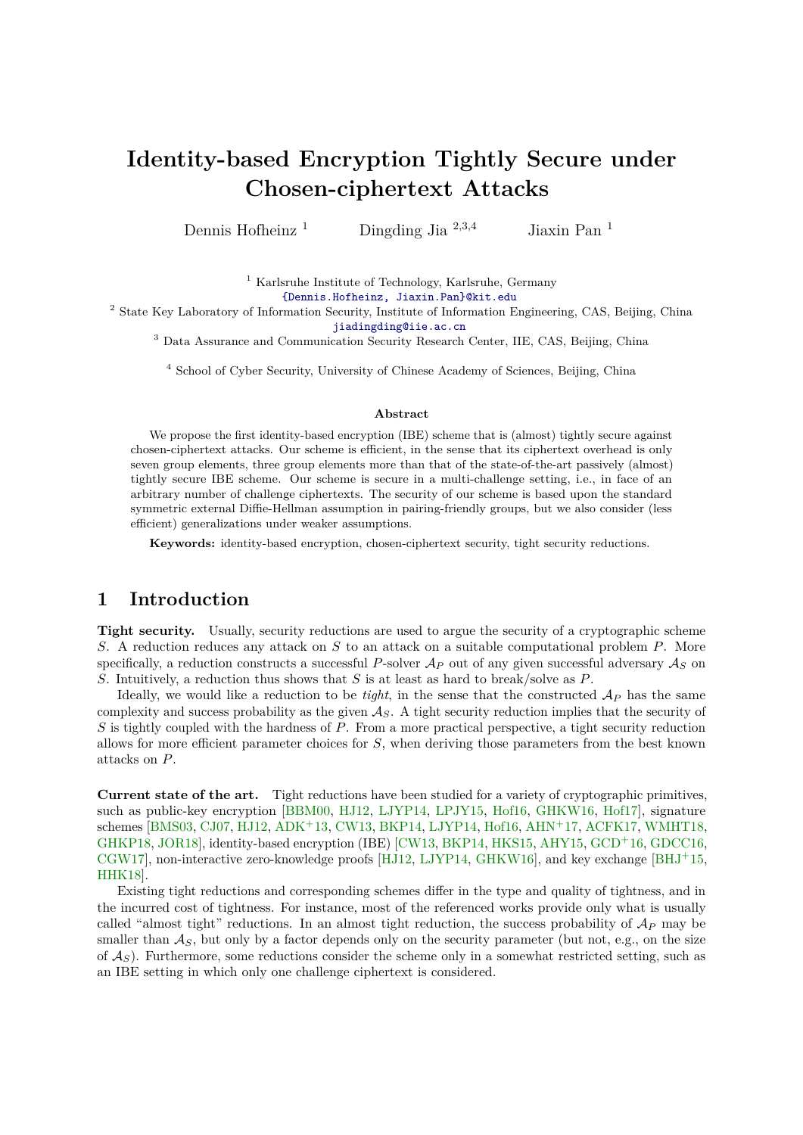# <span id="page-0-1"></span>**Identity-based Encryption Tightly Secure under Chosen-ciphertext Attacks**

Dennis Hofheinz <sup>1</sup> Dingding Jia <sup>2</sup>*,*3*,*<sup>4</sup> Jiaxin Pan <sup>1</sup>

<sup>1</sup> Karlsruhe Institute of Technology, Karlsruhe, Germany

[{Dennis.Hofheinz, Jiaxin.Pan}@kit.edu](mailto:jiadingding@iie.ac.cn )

<sup>2</sup> State Key Laboratory of Information Security, Institute of Information Engineering, CAS, Beijing, China [jiadingding@iie.ac.cn](mailto:jiadingding@iie.ac.cn )

<sup>3</sup> Data Assurance and Communication Security Research Center, IIE, CAS, Beijing, China

<sup>4</sup> School of Cyber Security, University of Chinese Academy of Sciences, Beijing, China

#### **Abstract**

We propose the first identity-based encryption (IBE) scheme that is (almost) tightly secure against chosen-ciphertext attacks. Our scheme is efficient, in the sense that its ciphertext overhead is only seven group elements, three group elements more than that of the state-of-the-art passively (almost) tightly secure IBE scheme. Our scheme is secure in a multi-challenge setting, i.e., in face of an arbitrary number of challenge ciphertexts. The security of our scheme is based upon the standard symmetric external Diffie-Hellman assumption in pairing-friendly groups, but we also consider (less efficient) generalizations under weaker assumptions.

**Keywords:** identity-based encryption, chosen-ciphertext security, tight security reductions.

# <span id="page-0-0"></span>**1 Introduction**

**Tight security.** Usually, security reductions are used to argue the security of a cryptographic scheme *S*. A reduction reduces any attack on *S* to an attack on a suitable computational problem *P*. More specifically, a reduction constructs a successful *P*-solver  $\mathcal{A}_P$  out of any given successful adversary  $\mathcal{A}_S$  on *S*. Intuitively, a reduction thus shows that *S* is at least as hard to break/solve as *P*.

Ideally, we would like a reduction to be *tight*, in the sense that the constructed  $\mathcal{A}_P$  has the same complexity and success probability as the given A*S*. A tight security reduction implies that the security of *S* is tightly coupled with the hardness of *P*. From a more practical perspective, a tight security reduction allows for more efficient parameter choices for *S*, when deriving those parameters from the best known attacks on *P*.

**Current state of the art.** Tight reductions have been studied for a variety of cryptographic primitives, such as public-key encryption [\[BBM00,](#page-21-0) [HJ12,](#page-22-0) [LJYP14,](#page-23-0) [LPJY15,](#page-23-1) [Hof16,](#page-22-1) [GHKW16,](#page-22-2) [Hof17\]](#page-23-2), signature schemes [\[BMS03,](#page-21-1) [CJ07,](#page-21-2) [HJ12,](#page-22-0) [ADK](#page-21-3)<sup>+</sup>13, [CW13,](#page-21-4) [BKP14,](#page-21-5) [LJYP14,](#page-23-0) [Hof16,](#page-22-1) [AHN](#page-21-6)<sup>+</sup>17, [ACFK17,](#page-20-0) [WMHT18,](#page-23-3) [GHKP18,](#page-22-3) [JOR18\]](#page-23-4), identity-based encryption (IBE) [\[CW13,](#page-21-4) [BKP14,](#page-21-5) [HKS15,](#page-22-4) [AHY15,](#page-21-7) [GCD](#page-22-5)<sup>+</sup>16, [GDCC16,](#page-22-6) [CGW17\]](#page-21-8), non-interactive zero-knowledge proofs [\[HJ12,](#page-22-0) [LJYP14,](#page-23-0) [GHKW16\]](#page-22-2), and key exchange [\[BHJ](#page-21-9)<sup>+</sup>15, [HHK18\]](#page-22-7).

Existing tight reductions and corresponding schemes differ in the type and quality of tightness, and in the incurred cost of tightness. For instance, most of the referenced works provide only what is usually called "almost tight" reductions. In an almost tight reduction, the success probability of  $\mathcal{A}_P$  may be smaller than  $A<sub>S</sub>$ , but only by a factor depends only on the security parameter (but not, e.g., on the size of  $\mathcal{A}_S$ ). Furthermore, some reductions consider the scheme only in a somewhat restricted setting, such as an IBE setting in which only one challenge ciphertext is considered.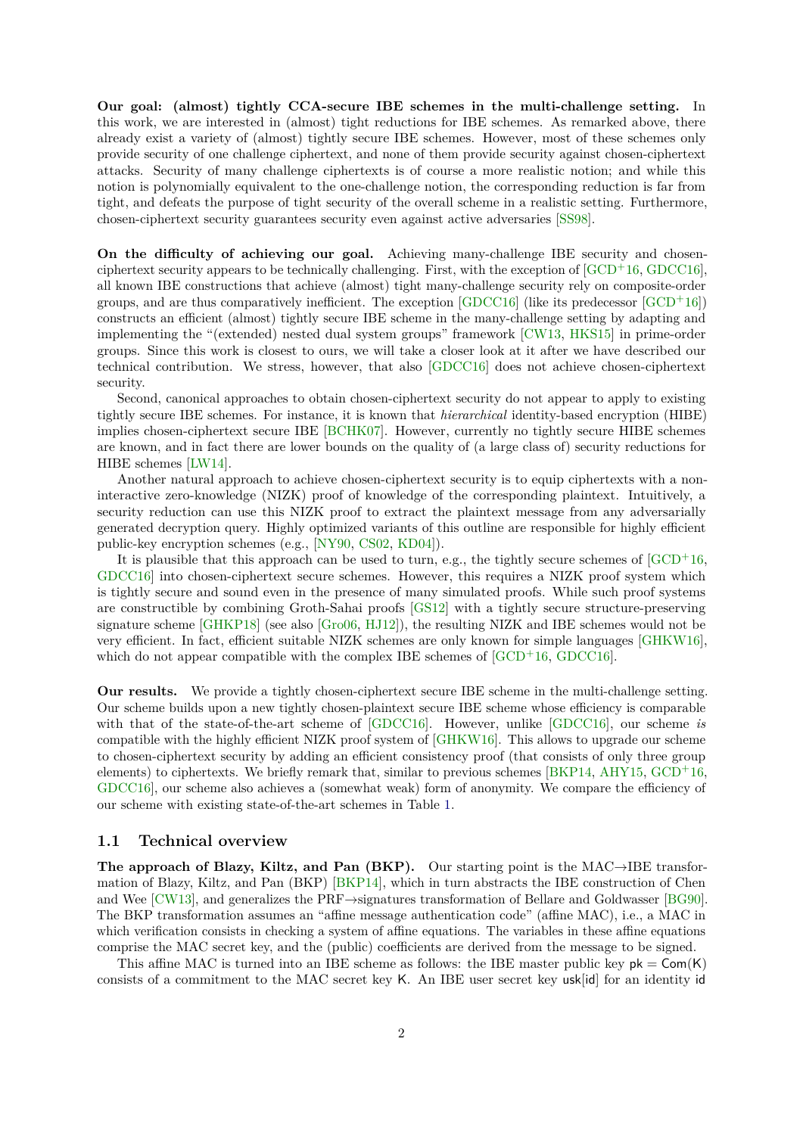<span id="page-1-0"></span>**Our goal: (almost) tightly CCA-secure IBE schemes in the multi-challenge setting.** In this work, we are interested in (almost) tight reductions for IBE schemes. As remarked above, there already exist a variety of (almost) tightly secure IBE schemes. However, most of these schemes only provide security of one challenge ciphertext, and none of them provide security against chosen-ciphertext attacks. Security of many challenge ciphertexts is of course a more realistic notion; and while this notion is polynomially equivalent to the one-challenge notion, the corresponding reduction is far from tight, and defeats the purpose of tight security of the overall scheme in a realistic setting. Furthermore, chosen-ciphertext security guarantees security even against active adversaries [\[SS98\]](#page-23-5).

**On the difficulty of achieving our goal.** Achieving many-challenge IBE security and chosenciphertext security appears to be technically challenging. First, with the exception of  $[GCD+16, GDCC16]$  $[GCD+16, GDCC16]$  $[GCD+16, GDCC16]$ , all known IBE constructions that achieve (almost) tight many-challenge security rely on composite-order groups, and are thus comparatively inefficient. The exception  $[\text{GDCC16}]$  (like its predecessor  $[\text{GCD}^+16]$ ) constructs an efficient (almost) tightly secure IBE scheme in the many-challenge setting by adapting and implementing the "(extended) nested dual system groups" framework [\[CW13,](#page-21-4) [HKS15\]](#page-22-4) in prime-order groups. Since this work is closest to ours, we will take a closer look at it after we have described our technical contribution. We stress, however, that also [\[GDCC16\]](#page-22-6) does not achieve chosen-ciphertext security.

Second, canonical approaches to obtain chosen-ciphertext security do not appear to apply to existing tightly secure IBE schemes. For instance, it is known that *hierarchical* identity-based encryption (HIBE) implies chosen-ciphertext secure IBE [\[BCHK07\]](#page-21-10). However, currently no tightly secure HIBE schemes are known, and in fact there are lower bounds on the quality of (a large class of) security reductions for HIBE schemes [\[LW14\]](#page-23-6).

Another natural approach to achieve chosen-ciphertext security is to equip ciphertexts with a noninteractive zero-knowledge (NIZK) proof of knowledge of the corresponding plaintext. Intuitively, a security reduction can use this NIZK proof to extract the plaintext message from any adversarially generated decryption query. Highly optimized variants of this outline are responsible for highly efficient public-key encryption schemes (e.g., [\[NY90,](#page-23-7) [CS02,](#page-21-11) [KD04\]](#page-23-8)).

It is plausible that this approach can be used to turn, e.g., the tightly secure schemes of  $[\text{GCD}^+16,$ [GDCC16\]](#page-22-6) into chosen-ciphertext secure schemes. However, this requires a NIZK proof system which is tightly secure and sound even in the presence of many simulated proofs. While such proof systems are constructible by combining Groth-Sahai proofs [\[GS12\]](#page-22-8) with a tightly secure structure-preserving signature scheme [\[GHKP18\]](#page-22-3) (see also [\[Gro06,](#page-22-9) [HJ12\]](#page-22-0)), the resulting NIZK and IBE schemes would not be very efficient. In fact, efficient suitable NIZK schemes are only known for simple languages [\[GHKW16\]](#page-22-2), which do not appear compatible with the complex IBE schemes of  $[GCD<sup>+</sup>16, GDCC16]$  $[GCD<sup>+</sup>16, GDCC16]$  $[GCD<sup>+</sup>16, GDCC16]$ .

**Our results.** We provide a tightly chosen-ciphertext secure IBE scheme in the multi-challenge setting. Our scheme builds upon a new tightly chosen-plaintext secure IBE scheme whose efficiency is comparable with that of the state-of-the-art scheme of [\[GDCC16\]](#page-22-6). However, unlike [\[GDCC16\]](#page-22-6), our scheme *is* compatible with the highly efficient NIZK proof system of [\[GHKW16\]](#page-22-2). This allows to upgrade our scheme to chosen-ciphertext security by adding an efficient consistency proof (that consists of only three group elements) to ciphertexts. We briefly remark that, similar to previous schemes [\[BKP14,](#page-21-5) [AHY15,](#page-21-7)  $GCD<sup>+</sup>16$  $GCD<sup>+</sup>16$ , [GDCC16\]](#page-22-6), our scheme also achieves a (somewhat weak) form of anonymity. We compare the efficiency of our scheme with existing state-of-the-art schemes in Table [1.](#page-2-0)

#### **1.1 Technical overview**

**The approach of Blazy, Kiltz, and Pan (BKP).** Our starting point is the MAC→IBE transformation of Blazy, Kiltz, and Pan (BKP) [\[BKP14\]](#page-21-5), which in turn abstracts the IBE construction of Chen and Wee [\[CW13\]](#page-21-4), and generalizes the PRF→signatures transformation of Bellare and Goldwasser [\[BG90\]](#page-21-12). The BKP transformation assumes an "affine message authentication code" (affine MAC), i.e., a MAC in which verification consists in checking a system of affine equations. The variables in these affine equations comprise the MAC secret key, and the (public) coefficients are derived from the message to be signed.

This affine MAC is turned into an IBE scheme as follows: the IBE master public key  $pk = \text{Com}(K)$ consists of a commitment to the MAC secret key K. An IBE user secret key usk[id] for an identity id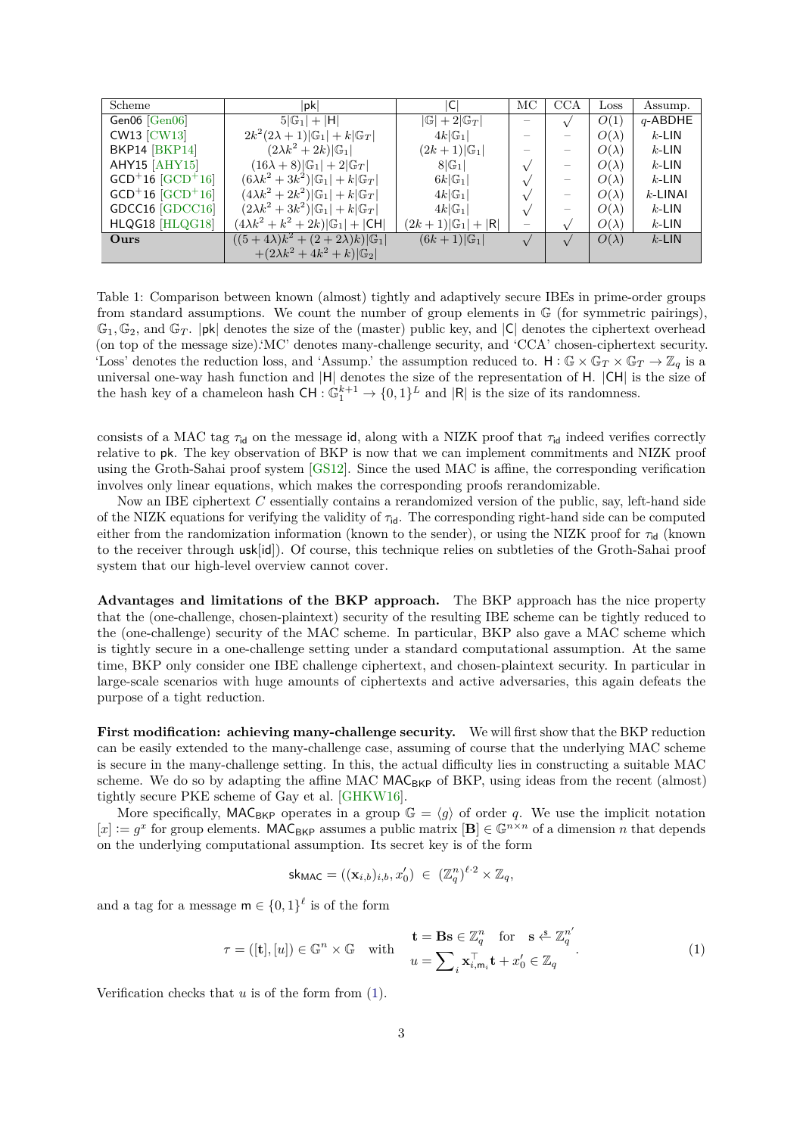<span id="page-2-2"></span>

| Scheme               | pk                                                        | C                              | МC | <b>CCA</b>               | Loss         | Assump.    |
|----------------------|-----------------------------------------------------------|--------------------------------|----|--------------------------|--------------|------------|
| Gen06 [Gen06]        | $5 G_1  +  H $                                            | $ \mathbb{G} +2 \mathbb{G}_T $ |    |                          | O(1)         | $q$ -ABDHE |
| <b>CW13</b> [CW13]   | $2k^2(2\lambda+1) \mathbb{G}_1 +k \mathbb{G}_T $          | $4k \mathbb{G}_1 $             |    |                          | $O(\lambda)$ | $k$ -LIN   |
| <b>BKP14 [BKP14]</b> | $(2\lambda k^2+2k) \mathbb{G}_1 $                         | $(2k+1) \mathbb{G}_1 $         |    |                          | $O(\lambda)$ | $k$ -LIN   |
| <b>AHY15 [AHY15]</b> | $(16\lambda+8) \mathbb{G}_1 +2 \mathbb{G}_T $             | $8 G_1 $                       |    |                          | $O(\lambda)$ | $k$ -LIN   |
| $GCD+16$ $[GCD+16]$  | $(6\lambda k^2 + 3k^2) \mathbb{G}_1  + k \mathbb{G}_T $   | $6k \mathbb{G}_1 $             |    |                          | $O(\lambda)$ | $k$ -LIN   |
| $GCD+16$ $[GCD+16]$  | $(4\lambda k^2 + 2k^2) \mathbb{G}_1  + k \mathbb{G}_T $   | $4k \mathbb{G}_1 $             |    |                          | $O(\lambda)$ | $k$ -LINAI |
| GDCC16 [GDCC16]      | $(2\lambda k^2 + 3k^2) \mathbb{G}_1  + k \mathbb{G}_T $   | $4k \mathbb{G}_1 $             |    | $\overline{\phantom{0}}$ | $O(\lambda)$ | $k$ -LIN   |
| HLQG18 [HLQG18]      | $(4\lambda k^2 + k^2 + 2k) \mathbb{G}_1  +  \mathsf{CH} $ | $(2k+1) \mathbb{G}_1 + R $     |    | $\sqrt{ }$               | $O(\lambda)$ | $k$ -LIN   |
| <b>Ours</b>          | $((5+4\lambda)k^2 + (2+2\lambda)k) \mathbb{G}_1 $         | $(6k+1) \mathbb{G}_1 $         |    |                          | $O(\lambda)$ | $k$ -LIN   |
|                      | $+(2\lambda k^2+4k^2+k) \mathbb{G}_2 $                    |                                |    |                          |              |            |

<span id="page-2-0"></span>Table 1: Comparison between known (almost) tightly and adaptively secure IBEs in prime-order groups from standard assumptions. We count the number of group elements in G (for symmetric pairings),  $\mathbb{G}_1, \mathbb{G}_2$ , and  $\mathbb{G}_T$ .  $|\mathsf{pk}|$  denotes the size of the (master) public key, and  $|\mathsf{C}|$  denotes the ciphertext overhead (on top of the message size).'MC' denotes many-challenge security, and 'CCA' chosen-ciphertext security. 'Loss' denotes the reduction loss, and 'Assump.' the assumption reduced to.  $H: \mathbb{G} \times \mathbb{G}_T \times \mathbb{G}_T \to \mathbb{Z}_q$  is a universal one-way hash function and |H| denotes the size of the representation of H. |CH| is the size of the hash key of a chameleon hash  $CH: \mathbb{G}_1^{k+1} \to \{0,1\}^L$  and  $|R|$  is the size of its randomness.

consists of a MAC tag  $\tau_{\text{id}}$  on the message id, along with a NIZK proof that  $\tau_{\text{id}}$  indeed verifies correctly relative to pk. The key observation of BKP is now that we can implement commitments and NIZK proof using the Groth-Sahai proof system [\[GS12\]](#page-22-8). Since the used MAC is affine, the corresponding verification involves only linear equations, which makes the corresponding proofs rerandomizable.

Now an IBE ciphertext *C* essentially contains a rerandomized version of the public, say, left-hand side of the NIZK equations for verifying the validity of *τ*id. The corresponding right-hand side can be computed either from the randomization information (known to the sender), or using the NIZK proof for  $\tau_{\text{id}}$  (known to the receiver through usk[id]). Of course, this technique relies on subtleties of the Groth-Sahai proof system that our high-level overview cannot cover.

**Advantages and limitations of the BKP approach.** The BKP approach has the nice property that the (one-challenge, chosen-plaintext) security of the resulting IBE scheme can be tightly reduced to the (one-challenge) security of the MAC scheme. In particular, BKP also gave a MAC scheme which is tightly secure in a one-challenge setting under a standard computational assumption. At the same time, BKP only consider one IBE challenge ciphertext, and chosen-plaintext security. In particular in large-scale scenarios with huge amounts of ciphertexts and active adversaries, this again defeats the purpose of a tight reduction.

**First modification: achieving many-challenge security.** We will first show that the BKP reduction can be easily extended to the many-challenge case, assuming of course that the underlying MAC scheme is secure in the many-challenge setting. In this, the actual difficulty lies in constructing a suitable MAC scheme. We do so by adapting the affine MAC  $MAC_{BKP}$  of BKP, using ideas from the recent (almost) tightly secure PKE scheme of Gay et al. [\[GHKW16\]](#page-22-2).

More specifically, MAC<sub>BKP</sub> operates in a group  $\mathbb{G} = \langle g \rangle$  of order q. We use the implicit notation  $[x] := g^x$  for group elements. MAC<sub>BKP</sub> assumes a public matrix  $[\mathbf{B}] \in \mathbb{G}^{n \times n}$  of a dimension *n* that depends on the underlying computational assumption. Its secret key is of the form

$$
\mathsf{sk}_{\mathsf{MAC}} = ((\mathbf{x}_{i, b})_{i, b}, x'_0) \; \in \; (\mathbb{Z}_q^n)^{\ell \cdot 2} \times \mathbb{Z}_q,
$$

and a tag for a message  $\mathsf{m} \in \{0,1\}^{\ell}$  is of the form

<span id="page-2-1"></span>
$$
\tau = ([\mathbf{t}], [u]) \in \mathbb{G}^n \times \mathbb{G} \quad \text{with} \quad \begin{aligned} \mathbf{t} &= \mathbf{B}\mathbf{s} \in \mathbb{Z}_q^n \quad \text{for} \quad \mathbf{s} \stackrel{\ast}{\leftarrow} \mathbb{Z}_q^{n'}\\ u &= \sum_i \mathbf{x}_{i,m_i}^\top \mathbf{t} + x_0' \in \mathbb{Z}_q \end{aligned} \tag{1}
$$

Verification checks that *u* is of the form from [\(1\)](#page-2-1).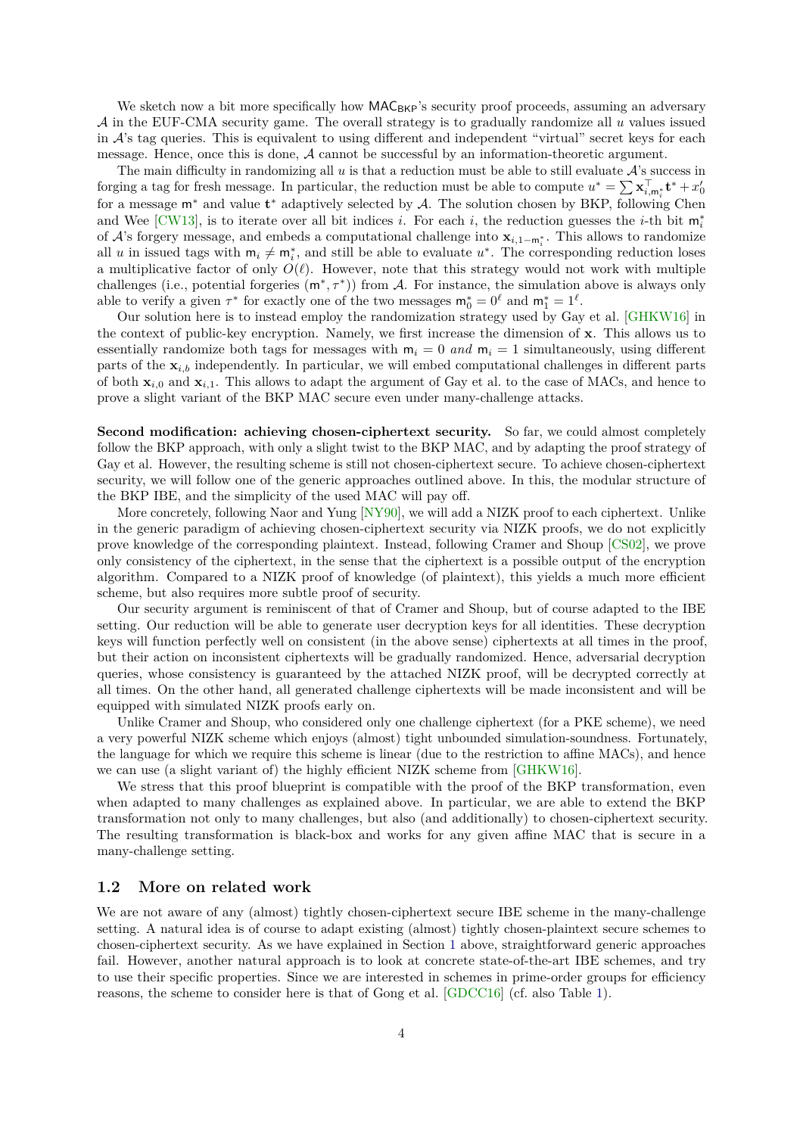<span id="page-3-0"></span>We sketch now a bit more specifically how  $MAC_{BKP}$ 's security proof proceeds, assuming an adversary A in the EUF-CMA security game. The overall strategy is to gradually randomize all *u* values issued in  $A$ 's tag queries. This is equivalent to using different and independent "virtual" secret keys for each message. Hence, once this is done,  $A$  cannot be successful by an information-theoretic argument.

The main difficulty in randomizing all  $u$  is that a reduction must be able to still evaluate  $A$ 's success in forging a tag for fresh message. In particular, the reduction must be able to compute  $u^* = \sum_{i} \mathbf{x}_{i,m_i^*}^{\top} \mathbf{t}^* + x_0^{\prime}$ for a message m<sup>∗</sup> and value **t**<sup>\*</sup> adaptively selected by A. The solution chosen by BKP, following Chen and Wee [\[CW13\]](#page-21-4), is to iterate over all bit indices *i*. For each *i*, the reduction guesses the *i*-th bit  $m_i^*$ of A's forgery message, and embeds a computational challenge into **x***i,*1−m<sup>∗</sup> *i* . This allows to randomize all *u* in issued tags with  $m_i \neq m_i^*$ , and still be able to evaluate  $u^*$ . The corresponding reduction loses a multiplicative factor of only  $O(\ell)$ . However, note that this strategy would not work with multiple challenges (i.e., potential forgeries  $(m^*, \tau^*)$ ) from A. For instance, the simulation above is always only able to verify a given  $\tau^*$  for exactly one of the two messages  $\mathbf{m}_0^* = \mathbf{0}^{\ell}$  and  $\mathbf{m}_1^* = \mathbf{1}^{\ell}$ .

Our solution here is to instead employ the randomization strategy used by Gay et al. [\[GHKW16\]](#page-22-2) in the context of public-key encryption. Namely, we first increase the dimension of **x**. This allows us to essentially randomize both tags for messages with  $m_i = 0$  *and*  $m_i = 1$  simultaneously, using different parts of the **x***i,b* independently. In particular, we will embed computational challenges in different parts of both  $\mathbf{x}_{i,0}$  and  $\mathbf{x}_{i,1}$ . This allows to adapt the argument of Gay et al. to the case of MACs, and hence to prove a slight variant of the BKP MAC secure even under many-challenge attacks.

Second modification: achieving chosen-ciphertext security. So far, we could almost completely follow the BKP approach, with only a slight twist to the BKP MAC, and by adapting the proof strategy of Gay et al. However, the resulting scheme is still not chosen-ciphertext secure. To achieve chosen-ciphertext security, we will follow one of the generic approaches outlined above. In this, the modular structure of the BKP IBE, and the simplicity of the used MAC will pay off.

More concretely, following Naor and Yung [\[NY90\]](#page-23-7), we will add a NIZK proof to each ciphertext. Unlike in the generic paradigm of achieving chosen-ciphertext security via NIZK proofs, we do not explicitly prove knowledge of the corresponding plaintext. Instead, following Cramer and Shoup [\[CS02\]](#page-21-11), we prove only consistency of the ciphertext, in the sense that the ciphertext is a possible output of the encryption algorithm. Compared to a NIZK proof of knowledge (of plaintext), this yields a much more efficient scheme, but also requires more subtle proof of security.

Our security argument is reminiscent of that of Cramer and Shoup, but of course adapted to the IBE setting. Our reduction will be able to generate user decryption keys for all identities. These decryption keys will function perfectly well on consistent (in the above sense) ciphertexts at all times in the proof, but their action on inconsistent ciphertexts will be gradually randomized. Hence, adversarial decryption queries, whose consistency is guaranteed by the attached NIZK proof, will be decrypted correctly at all times. On the other hand, all generated challenge ciphertexts will be made inconsistent and will be equipped with simulated NIZK proofs early on.

Unlike Cramer and Shoup, who considered only one challenge ciphertext (for a PKE scheme), we need a very powerful NIZK scheme which enjoys (almost) tight unbounded simulation-soundness. Fortunately, the language for which we require this scheme is linear (due to the restriction to affine MACs), and hence we can use (a slight variant of) the highly efficient NIZK scheme from [\[GHKW16\]](#page-22-2).

We stress that this proof blueprint is compatible with the proof of the BKP transformation, even when adapted to many challenges as explained above. In particular, we are able to extend the BKP transformation not only to many challenges, but also (and additionally) to chosen-ciphertext security. The resulting transformation is black-box and works for any given affine MAC that is secure in a many-challenge setting.

#### **1.2 More on related work**

We are not aware of any (almost) tightly chosen-ciphertext secure IBE scheme in the many-challenge setting. A natural idea is of course to adapt existing (almost) tightly chosen-plaintext secure schemes to chosen-ciphertext security. As we have explained in Section [1](#page-0-0) above, straightforward generic approaches fail. However, another natural approach is to look at concrete state-of-the-art IBE schemes, and try to use their specific properties. Since we are interested in schemes in prime-order groups for efficiency reasons, the scheme to consider here is that of Gong et al. [\[GDCC16\]](#page-22-6) (cf. also Table [1\)](#page-2-0).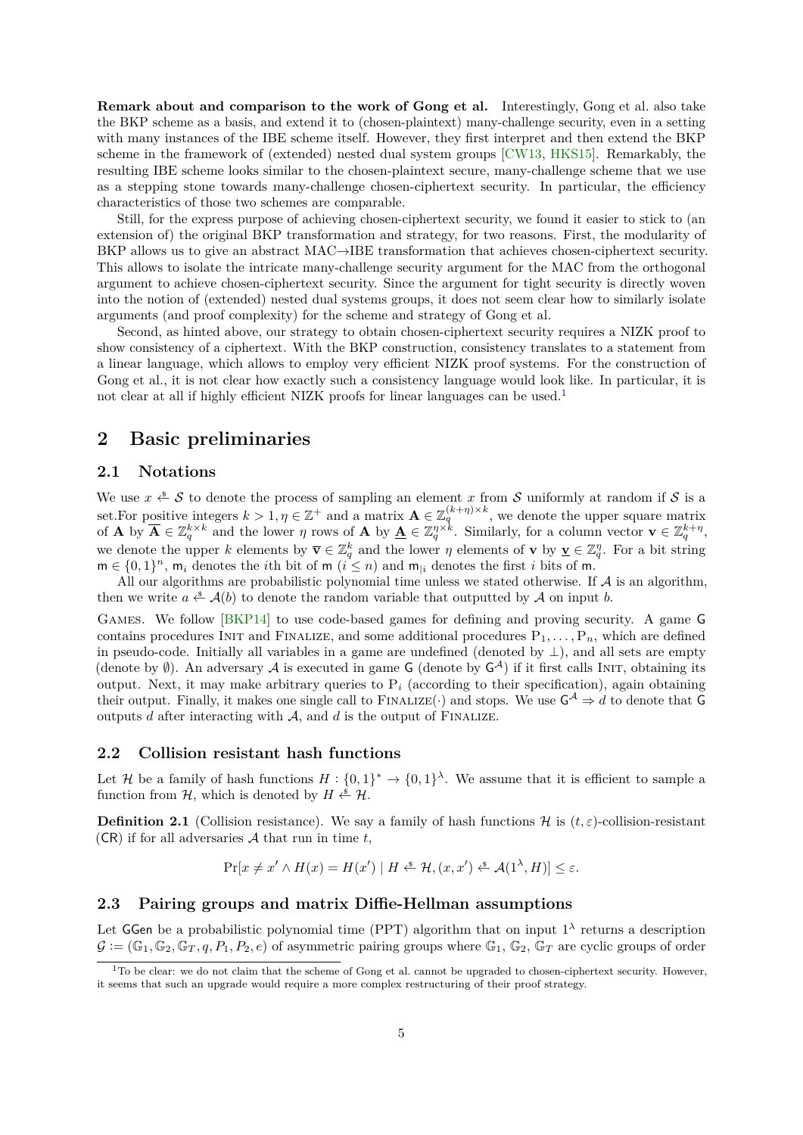<span id="page-4-1"></span>**Remark about and comparison to the work of Gong et al.** Interestingly, Gong et al. also take the BKP scheme as a basis, and extend it to (chosen-plaintext) many-challenge security, even in a setting with many instances of the IBE scheme itself. However, they first interpret and then extend the BKP scheme in the framework of (extended) nested dual system groups [\[CW13,](#page-21-4) [HKS15\]](#page-22-4). Remarkably, the resulting IBE scheme looks similar to the chosen-plaintext secure, many-challenge scheme that we use as a stepping stone towards many-challenge chosen-ciphertext security. In particular, the efficiency characteristics of those two schemes are comparable.

Still, for the express purpose of achieving chosen-ciphertext security, we found it easier to stick to (an extension of) the original BKP transformation and strategy, for two reasons. First, the modularity of BKP allows us to give an abstract MAC→IBE transformation that achieves chosen-ciphertext security. This allows to isolate the intricate many-challenge security argument for the MAC from the orthogonal argument to achieve chosen-ciphertext security. Since the argument for tight security is directly woven into the notion of (extended) nested dual systems groups, it does not seem clear how to similarly isolate arguments (and proof complexity) for the scheme and strategy of Gong et al.

Second, as hinted above, our strategy to obtain chosen-ciphertext security requires a NIZK proof to show consistency of a ciphertext. With the BKP construction, consistency translates to a statement from a linear language, which allows to employ very efficient NIZK proof systems. For the construction of Gong et al., it is not clear how exactly such a consistency language would look like. In particular, it is not clear at all if highly efficient NIZK proofs for linear languages can be used.<sup>[1](#page-4-0)</sup>

### **2 Basic preliminaries**

#### **2.1 Notations**

We use  $x \stackrel{\ast}{\leftarrow} S$  to denote the process of sampling an element x from S uniformly at random if S is a set. For positive integers  $k > 1, \eta \in \mathbb{Z}^+$  and a matrix  $\mathbf{A} \in \mathbb{Z}_q^{(k+\eta)\times k}$ , we denote the upper square matrix of **A** by  $\overline{\mathbf{A}} \in \mathbb{Z}_q^{k \times k}$  and the lower  $\eta$  rows of **A** by  $\underline{\mathbf{A}} \in \mathbb{Z}_q^{n \times k}$ . Similarly, for a column vector  $\mathbf{v} \in \mathbb{Z}_q^{k+\eta}$ , we denote the upper *k* elements by  $\bar{\mathbf{v}} \in \mathbb{Z}_q^k$  and the lower  $\eta$  elements of **v** by  $\underline{\mathbf{v}} \in \mathbb{Z}_q^n$ . For a bit string  $m \in \{0,1\}^n$ ,  $m_i$  denotes the *i*th bit of  $m$  ( $i \leq n$ ) and  $m_{|i}$  denotes the first *i* bits of m.

All our algorithms are probabilistic polynomial time unless we stated otherwise. If  $\mathcal A$  is an algorithm, then we write  $a \stackrel{s}{\leftarrow} \mathcal{A}(b)$  to denote the random variable that outputted by A on input *b*.

Games. We follow [\[BKP14\]](#page-21-5) to use code-based games for defining and proving security. A game G contains procedures INIT and FINALIZE, and some additional procedures  $P_1, \ldots, P_n$ , which are defined in pseudo-code. Initially all variables in a game are undefined (denoted by  $\perp$ ), and all sets are empty (denote by  $\emptyset$ ). An adversary A is executed in game G (denote by  $G^{\mathcal{A}}$ ) if it first calls INIT, obtaining its output. Next, it may make arbitrary queries to  $P_i$  (according to their specification), again obtaining their output. Finally, it makes one single call to FINALIZE( $\cdot$ ) and stops. We use  $G^{\mathcal{A}} \Rightarrow d$  to denote that G outputs  $d$  after interacting with  $A$ , and  $d$  is the output of FINALIZE.

#### **2.2 Collision resistant hash functions**

Let H be a family of hash functions  $H: \{0,1\}^* \to \{0,1\}^{\lambda}$ . We assume that it is efficient to sample a function from  $H$ , which is denoted by  $H \xleftarrow{\&} H$ .

**Definition 2.1** (Collision resistance). We say a family of hash functions H is  $(t, \varepsilon)$ -collision-resistant (CR) if for all adversaries A that run in time *t*,

$$
\Pr[x \neq x' \land H(x) = H(x') \mid H \stackrel{\text{s}}{\leftarrow} \mathcal{H}, (x, x') \stackrel{\text{s}}{\leftarrow} \mathcal{A}(1^{\lambda}, H)] \leq \varepsilon.
$$

#### **2.3 Pairing groups and matrix Diffie-Hellman assumptions**

Let GGen be a probabilistic polynomial time (PPT) algorithm that on input  $1^{\lambda}$  returns a description  $\mathcal{G} := (\mathbb{G}_1, \mathbb{G}_2, \mathbb{G}_T, q, P_1, P_2, e)$  of asymmetric pairing groups where  $\mathbb{G}_1, \mathbb{G}_2, \mathbb{G}_T$  are cyclic groups of order

<span id="page-4-0"></span><sup>&</sup>lt;sup>1</sup>To be clear: we do not claim that the scheme of Gong et al. cannot be upgraded to chosen-ciphertext security. However, it seems that such an upgrade would require a more complex restructuring of their proof strategy.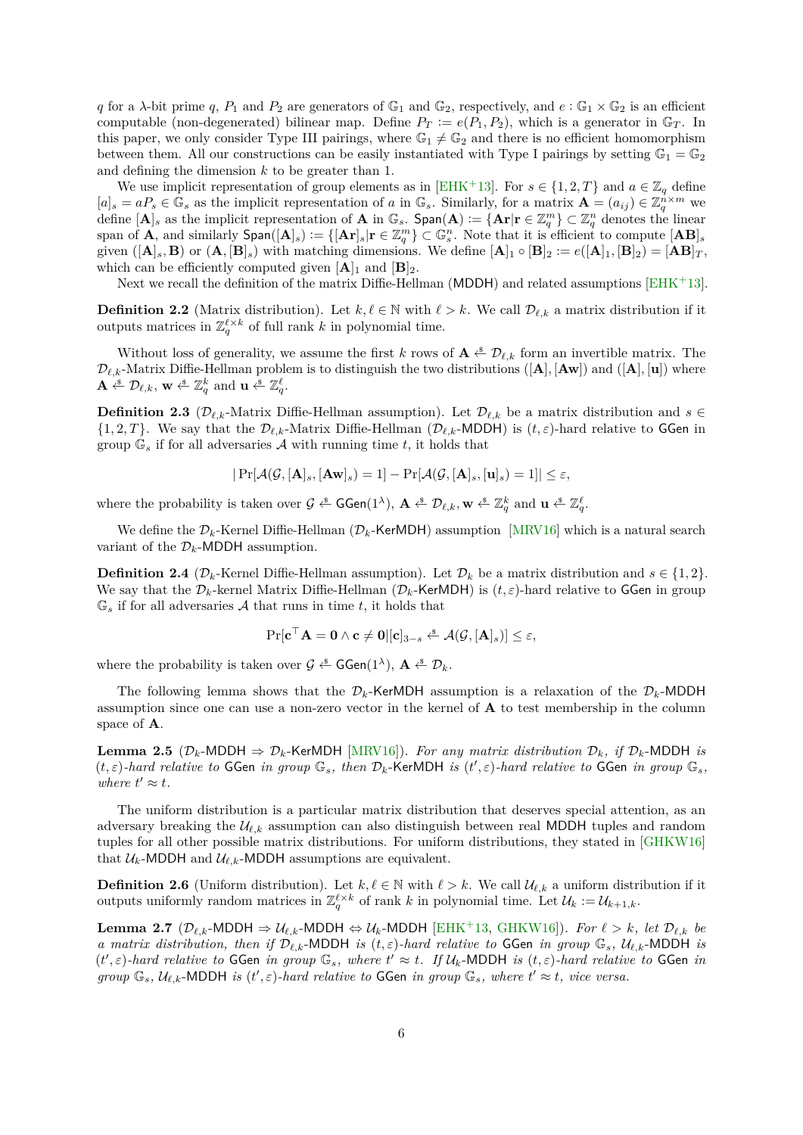<span id="page-5-1"></span>*q* for a *λ*-bit prime *q*, *P*<sub>1</sub> and *P*<sub>2</sub> are generators of  $\mathbb{G}_1$  and  $\mathbb{G}_2$ , respectively, and  $e : \mathbb{G}_1 \times \mathbb{G}_2$  is an efficient computable (non-degenerated) bilinear map. Define  $P_T := e(P_1, P_2)$ , which is a generator in  $\mathbb{G}_T$ . In this paper, we only consider Type III pairings, where  $\mathbb{G}_1 \neq \mathbb{G}_2$  and there is no efficient homomorphism between them. All our constructions can be easily instantiated with Type I pairings by setting  $\mathbb{G}_1 = \mathbb{G}_2$ and defining the dimension *k* to be greater than 1.

We use implicit representation of group elements as in [\[EHK](#page-21-13)<sup>+</sup>13]. For  $s \in \{1, 2, T\}$  and  $a \in \mathbb{Z}_q$  define  $[a]_s = aP_s \in \mathbb{G}_s$  as the implicit representation of *a* in  $\mathbb{G}_s$ . Similarly, for a matrix  $\mathbf{A} = (a_{ij}) \in \mathbb{Z}_q^{n \times m}$  we define  $[\mathbf{A}]_s$  as the implicit representation of **A** in  $\mathbb{G}_s$ . Span $(\mathbf{A}) := {\mathbf{A}\mathbf{r}}|\mathbf{r} \in \mathbb{Z}_q^m$   $\subset \mathbb{Z}_q^n$  denotes the linear span of **A**, and similarly  $\textsf{Span}([\mathbf{A}]_s) := \{ [\mathbf{Ar}]_s | \mathbf{r} \in \mathbb{Z}_q^m \} \subset \mathbb{G}_s^n$ . Note that it is efficient to compute  $[\mathbf{AB}]_s$ given  $([\mathbf{A}]_s, \mathbf{B})$  or  $(\mathbf{A}, [\mathbf{B}]_s)$  with matching dimensions. We define  $[\mathbf{A}]_1 \circ [\mathbf{B}]_2 := e([\mathbf{A}]_1, [\mathbf{B}]_2) = [\mathbf{A}\mathbf{B}]_T$ , which can be efficiently computed given  $[A]_1$  and  $[B]_2$ .

Next we recall the definition of the matrix Diffie-Hellman (MDDH) and related assumptions [\[EHK](#page-21-13)+13].

<span id="page-5-0"></span>**Definition 2.2** (Matrix distribution). Let  $k, \ell \in \mathbb{N}$  with  $\ell > k$ . We call  $\mathcal{D}_{\ell,k}$  a matrix distribution if it outputs matrices in  $\mathbb{Z}_q^{\ell \times k}$  of full rank *k* in polynomial time.

Without loss of generality, we assume the first *k* rows of  $\mathbf{A} \stackrel{\ast}{\leftarrow} \mathcal{D}_{\ell,k}$  form an invertible matrix. The  $\mathcal{D}_{\ell,k}$ -Matrix Diffie-Hellman problem is to distinguish the two distributions ([**A**], [**Aw**]) and ([**A**], [**u**]) where  $\mathbf{A} \stackrel{\cdot s}{\leftarrow} \mathcal{D}_{\ell,k}, \mathbf{w} \stackrel{s}{\leftarrow} \mathbb{Z}_q^k \text{ and } \mathbf{u} \stackrel{s}{\leftarrow} \mathbb{Z}_q^{\ell}.$ 

**Definition 2.3** ( $\mathcal{D}_{\ell,k}$ -Matrix Diffie-Hellman assumption). Let  $\mathcal{D}_{\ell,k}$  be a matrix distribution and *s* ∈  $\{1, 2, T\}$ . We say that the  $\mathcal{D}_{\ell,k}$ -Matrix Diffie-Hellman ( $\mathcal{D}_{\ell,k}$ -MDDH) is  $(t, \varepsilon)$ -hard relative to GGen in group  $\mathbb{G}_s$  if for all adversaries A with running time  $t$ , it holds that

$$
|\Pr[\mathcal{A}(\mathcal{G},[\mathbf{A}]_s,[\mathbf{A}\mathbf{w}]_s)=1]-\Pr[\mathcal{A}(\mathcal{G},[\mathbf{A}]_s,[\mathbf{u}]_s)=1]|\leq \varepsilon,
$$

where the probability is taken over  $G \xleftarrow{s} \mathsf{GGen}(1^{\lambda}), \mathbf{A} \xleftarrow{s} \mathcal{D}_{\ell,k}, \mathbf{w} \xleftarrow{s} \mathbb{Z}_q^k$  and  $\mathbf{u} \xleftarrow{s} \mathbb{Z}_q^{\ell}$ .

We define the  $\mathcal{D}_k$ -Kernel Diffie-Hellman ( $\mathcal{D}_k$ -KerMDH) assumption [\[MRV16\]](#page-23-9) which is a natural search variant of the  $\mathcal{D}_k$ -MDDH assumption.

**Definition 2.4** ( $\mathcal{D}_k$ -Kernel Diffie-Hellman assumption). Let  $\mathcal{D}_k$  be a matrix distribution and  $s \in \{1, 2\}$ . We say that the  $\mathcal{D}_k$ -kernel Matrix Diffie-Hellman ( $\mathcal{D}_k$ -KerMDH) is  $(t,\varepsilon)$ -hard relative to GGen in group  $\mathbb{G}_s$  if for all adversaries A that runs in time *t*, it holds that

$$
\Pr[\mathbf{c}^\top \mathbf{A} = \mathbf{0} \wedge \mathbf{c} \neq \mathbf{0} | [\mathbf{c}]_{3-s} \stackrel{\hspace{0.1em}\mathsf{\scriptscriptstyle\$}}{\leftarrow} \mathcal{A}(\mathcal{G}, [\mathbf{A}]_s)] \leq \varepsilon,
$$

where the probability is taken over  $G \xleftarrow{\$} \mathsf{GGen}(1^{\lambda}), \mathbf{A} \xleftarrow{\$} \mathcal{D}_k$ .

The following lemma shows that the  $\mathcal{D}_k$ -KerMDH assumption is a relaxation of the  $\mathcal{D}_k$ -MDDH assumption since one can use a non-zero vector in the kernel of **A** to test membership in the column space of **A**.

**Lemma 2.5** ( $\mathcal{D}_k$ -MDDH  $\Rightarrow \mathcal{D}_k$ -KerMDH [\[MRV16\]](#page-23-9)). *For any matrix distribution*  $\mathcal{D}_k$ *, if*  $\mathcal{D}_k$ -MDDH *is*  $(t, \varepsilon)$ -hard relative to GGen in group  $\mathbb{G}_s$ , then  $\mathcal{D}_k$ -KerMDH is  $(t', \varepsilon)$ -hard relative to GGen in group  $\mathbb{G}_s$ , *where*  $t' \approx t$ *.* 

The uniform distribution is a particular matrix distribution that deserves special attention, as an adversary breaking the  $\mathcal{U}_{\ell,k}$  assumption can also distinguish between real MDDH tuples and random tuples for all other possible matrix distributions. For uniform distributions, they stated in [\[GHKW16\]](#page-22-2) that  $U_k$ -MDDH and  $U_{\ell,k}$ -MDDH assumptions are equivalent.

**Definition 2.6** (Uniform distribution). Let  $k, \ell \in \mathbb{N}$  with  $\ell > k$ . We call  $\mathcal{U}_{\ell,k}$  a uniform distribution if it outputs uniformly random matrices in  $\mathbb{Z}_q^{\ell \times k}$  of rank *k* in polynomial time. Let  $\mathcal{U}_k := \mathcal{U}_{k+1,k}$ .

**Lemma 2.7** ( $\mathcal{D}_{\ell,k}$ -MDDH  $\Rightarrow \mathcal{U}_{\ell,k}$ -MDDH  $\Leftrightarrow \mathcal{U}_k$ -MDDH [\[EHK](#page-21-13)<sup>+</sup>13, [GHKW16\]](#page-22-2)). *For*  $\ell > k$ *, let*  $\mathcal{D}_{\ell,k}$  *be a matrix distribution, then if*  $\mathcal{D}_{\ell,k}$ -MDDH *is*  $(t, \varepsilon)$ -*hard relative to* GGen *in group*  $\mathbb{G}_s$ *, U*<sub> $\ell,k$ </sub>-MDDH *is*  $(t', \varepsilon)$ -hard relative to GGen in group  $\mathbb{G}_s$ , where  $t' \approx t$ . If  $\mathcal{U}_k$ -MDDH is  $(t, \varepsilon)$ -hard relative to GGen in *group*  $\mathbb{G}_s$ ,  $\mathcal{U}_{\ell,k}$ -MDDH *is*  $(t',\varepsilon)$ -*hard relative to* GGen *in group*  $\mathbb{G}_s$ *, where*  $t' \approx t$ *, vice versa.*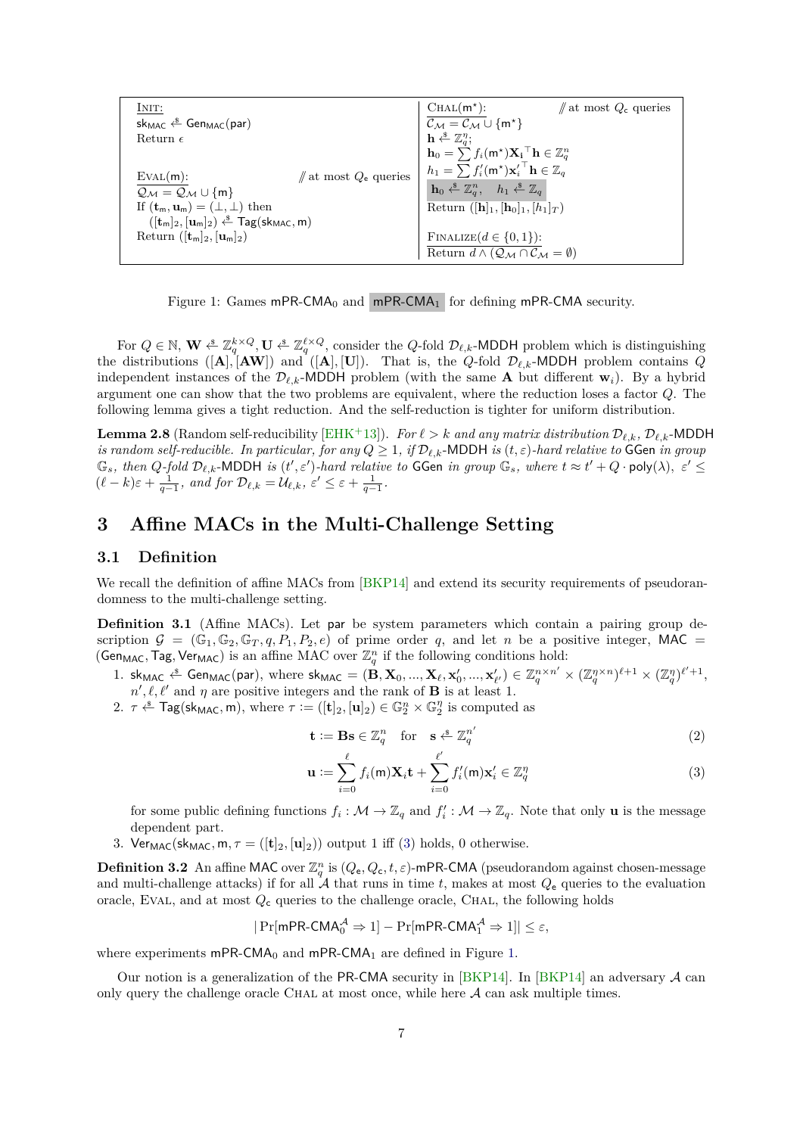<span id="page-6-4"></span>

| INIT:                                                                                               | $CHAL(m^*)$ :<br>$\#$ at most $Q_c$ queries                                                     |
|-----------------------------------------------------------------------------------------------------|-------------------------------------------------------------------------------------------------|
| $sk_{MAC} \stackrel{\$}{\leftarrow} Gen_{MAC}(par)$                                                 | $\overline{\mathcal{C}_M} = \overline{\mathcal{C}_M} \cup \{m^{\star}\}\$                       |
| Return $\epsilon$                                                                                   | $\mathbf{h} \leftarrow \mathbb{Z}_a^n;$                                                         |
|                                                                                                     | $\mathbf{h}_0 = \sum f_i(\mathsf{m}^{\star}) \mathbf{X_i}^{\top} \mathbf{h} \in \mathbb{Z}_a^n$ |
| EVAL(m):<br>$\#$ at most $Q_e$ queries                                                              | $h_1 = \sum f_i'(\mathsf{m}^{\star}) {\mathbf{x}_i'}^{\top} \mathbf{h} \in \mathbb{Z}_q$        |
| $Q_{\mathcal{M}} = Q_{\mathcal{M}} \cup \{m\}$                                                      | $\mathbf{h}_0 \triangleq \mathbb{Z}_q^n$ , $h_1 \triangleq \mathbb{Z}_q$                        |
| If $(\mathbf{t}_m, \mathbf{u}_m) = (\perp, \perp)$ then                                             | Return $([\mathbf{h}]_1, [\mathbf{h}_0]_1, [h_1]_T)$                                            |
| $([t_m]_2, [u_m]_2) \overset{\text{\sf g}}{\leftarrow} \textsf{Tag}(\textsf{sk}_{\textsf{MAC}}, m)$ |                                                                                                 |
| Return ( $[\mathbf{t}_m]_2$ , $[\mathbf{u}_m]_2$ )                                                  | FINALIZE $(d \in \{0,1\})$ :                                                                    |
|                                                                                                     | Return $d \wedge (Q_{\mathcal{M}} \cap C_{\mathcal{M}} = \emptyset)$                            |

<span id="page-6-1"></span>Figure 1: Games mPR-CMA<sub>0</sub> and mPR-CMA<sub>1</sub> for defining mPR-CMA security.

For  $Q \in \mathbb{N}$ ,  $\mathbf{W} \stackrel{\ast}{\leftarrow} \mathbb{Z}_q^{k \times Q}$ ,  $\mathbf{U} \stackrel{\ast}{\leftarrow} \mathbb{Z}_q^{\ell \times Q}$ , consider the *Q*-fold  $\mathcal{D}_{\ell,k}$ -MDDH problem which is distinguishing the distributions  $([A], [AW])$  and  $([A], [U])$ . That is, the *Q*-fold  $\mathcal{D}_{\ell,k}$ -MDDH problem contains *Q* independent instances of the  $\mathcal{D}_{\ell,k}$ -MDDH problem (with the same **A** but different  $\mathbf{w}_i$ ). By a hybrid argument one can show that the two problems are equivalent, where the reduction loses a factor *Q*. The following lemma gives a tight reduction. And the self-reduction is tighter for uniform distribution.

<span id="page-6-2"></span>**Lemma 2.8** (Random self-reducibility [\[EHK](#page-21-13)<sup>+</sup>13]). *For*  $\ell > k$  *and any matrix distribution*  $\mathcal{D}_{\ell,k}$ *,*  $\mathcal{D}_{\ell,k}$ -MDDH *is random self-reducible. In particular, for any*  $Q \geq 1$ , *if*  $\mathcal{D}_{\ell,k}$ -MDDH *is*  $(t,\varepsilon)$ -*hard relative to* GGen *in group*  $\mathbb{G}_s$ , then Q-fold  $\mathcal{D}_{\ell,k}$ -MDDH is  $(t',\varepsilon')$ -hard relative to GGen in group  $\mathbb{G}_s$ , where  $t \approx t' + Q \cdot \text{poly}(\lambda)$ ,  $\varepsilon' \leq$  $(\ell - k)\varepsilon + \frac{1}{q-1}, \text{ and for } \mathcal{D}_{\ell,k} = \mathcal{U}_{\ell,k}, \varepsilon' \leq \varepsilon + \frac{1}{q-1}.$ 

# <span id="page-6-3"></span>**3 Affine MACs in the Multi-Challenge Setting**

### **3.1 Definition**

We recall the definition of affine MACs from [\[BKP14\]](#page-21-5) and extend its security requirements of pseudorandomness to the multi-challenge setting.

**Definition 3.1** (Affine MACs). Let par be system parameters which contain a pairing group description  $\mathcal{G} = (\mathbb{G}_1, \mathbb{G}_2, \mathbb{G}_T, q, P_1, P_2, e)$  of prime order q, and let *n* be a positive integer, MAC = (Gen<sub>MAC</sub>, Tag, Ver<sub>MAC</sub>) is an affine MAC over  $\mathbb{Z}_q^n$  if the following conditions hold: *q*

- 1.  $\mathsf{sk}_\mathsf{MAC} \xleftarrow{\$} \mathsf{Gen}_\mathsf{MAC}( \mathsf{par}), \text{ where } \mathsf{sk}_\mathsf{MAC} = (\mathbf{B}, \mathbf{X}_0, ..., \mathbf{X}_{\ell}, \mathbf{x}'_0, ..., \mathbf{x}'_{\ell'}) \in \mathbb{Z}_q^{n \times n'} \times (\mathbb{Z}_q^{n \times n})^{\ell+1} \times (\mathbb{Z}_q^{\eta})^{\ell'+1},$  $n', \ell, \ell'$  and  $\eta$  are positive integers and the rank of **B** is at least 1.
- 2. *τ*  $\xi^*$  Tag(sk<sub>MAC</sub>, m), where  $\tau := ([t]_2, [u]_2) \in \mathbb{G}_2^n \times \mathbb{G}_2^\eta$  is computed as

<span id="page-6-0"></span>
$$
\mathbf{t} := \mathbf{Bs} \in \mathbb{Z}_q^n \quad \text{for} \quad \mathbf{s} \stackrel{\ast}{\leftarrow} \mathbb{Z}_q^{n'} \tag{2}
$$

$$
\mathbf{u} := \sum_{i=0}^{\ell} f_i(\mathbf{m}) \mathbf{X}_i \mathbf{t} + \sum_{i=0}^{\ell'} f'_i(\mathbf{m}) \mathbf{x}'_i \in \mathbb{Z}_q^n \tag{3}
$$

for some public defining functions  $f_i: \mathcal{M} \to \mathbb{Z}_q$  and  $f'_i: \mathcal{M} \to \mathbb{Z}_q$ . Note that only **u** is the message dependent part.

3. Ver<sub>MAC</sub>(sk<sub>MAC</sub>, m,  $\tau = (\lbrack t \rbrack_2, \lbrack u \rbrack_2)$ ) output 1 iff [\(3\)](#page-6-0) holds, 0 otherwise.

**Definition 3.2** An affine MAC over  $\mathbb{Z}_q^n$  is  $(Q_e, Q_c, t, \varepsilon)$ -mPR-CMA (pseudorandom against chosen-message and multi-challenge attacks) if for all  $\tilde{\mathcal{A}}$  that runs in time t, makes at most  $Q_{e}$  queries to the evaluation oracle, Eval, and at most *Q*<sup>c</sup> queries to the challenge oracle, Chal, the following holds

$$
|\Pr[\mathsf{mPR\text{-}CMA}^{\mathcal{A}}_0 \Rightarrow 1] - \Pr[\mathsf{mPR\text{-}CMA}^{\mathcal{A}}_1 \Rightarrow 1]| \leq \varepsilon,
$$

where experiments mPR-CMA<sub>0</sub> and mPR-CMA<sub>1</sub> are defined in Figure [1.](#page-6-1)

Our notion is a generalization of the PR-CMA security in [\[BKP14\]](#page-21-5). In [BKP14] an adversary  $\mathcal A$  can only query the challenge oracle CHAL at most once, while here  $A$  can ask multiple times.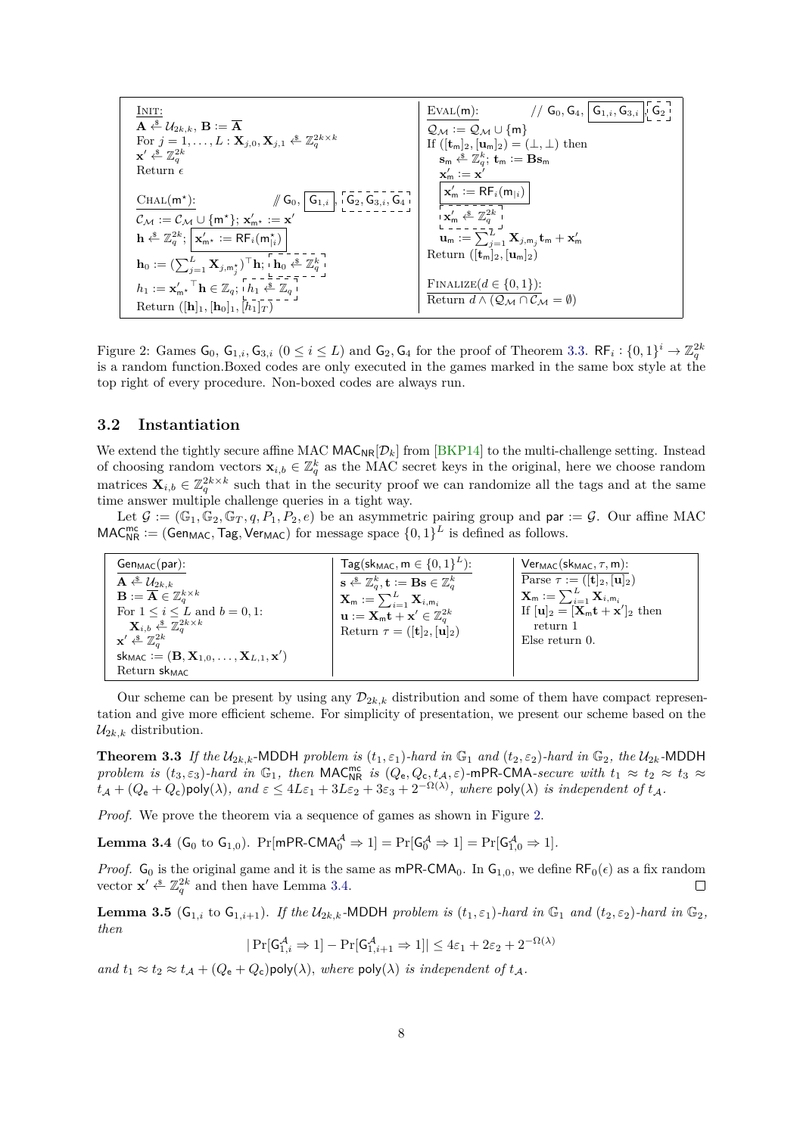<span id="page-7-4"></span>

<span id="page-7-1"></span>Figure 2: Games  $\mathsf{G}_0, \mathsf{G}_{1,i}, \mathsf{G}_{3,i}$   $(0 \le i \le L)$  and  $\mathsf{G}_2, \mathsf{G}_4$  for the proof of Theorem [3.3.](#page-7-0) RF<sub>i</sub>:  $\{0,1\}^i \to \mathbb{Z}_q^{2k}$ is a random function.Boxed codes are only executed in the games marked in the same box style at the top right of every procedure. Non-boxed codes are always run.

#### **3.2 Instantiation**

We extend the tightly secure affine MAC  $\text{MAC}_{NR}[D_k]$  from [\[BKP14\]](#page-21-5) to the multi-challenge setting. Instead of choosing random vectors  $\mathbf{x}_{i,b} \in \mathbb{Z}_q^k$  as the MAC secret keys in the original, here we choose random matrices  $\mathbf{X}_{i,b} \in \mathbb{Z}_q^{2k \times k}$  such that in the security proof we can randomize all the tags and at the same time answer multiple challenge queries in a tight way.

Let  $\mathcal{G} := (\mathbb{G}_1, \mathbb{G}_2, \mathbb{G}_T, q, P_1, P_2, e)$  be an asymmetric pairing group and par :=  $\mathcal{G}$ . Our affine MAC  $MAC_{NR}^{mc} := (Gen_{MAC}, Tag, Ver_{MAC})$  for message space  $\{0, 1\}^L$  is defined as follows.

| $Gen_{MAC}(par):$                                                                                                | $Tag(\text{sk}_{MAC}, m \in \{0, 1\}^L)$ :                                           | $\mathsf{Ver}_\mathsf{MAC}(\mathsf{sk}_\mathsf{MAC}, \tau, \mathsf{m})$ :        |
|------------------------------------------------------------------------------------------------------------------|--------------------------------------------------------------------------------------|----------------------------------------------------------------------------------|
| $\mathbf{A} \overset{\hspace{0.1em}\mathsf{\scriptscriptstyle\$}}{\leftarrow} \mathcal{U}_{2k,k}$                | $\mathbf{s} \triangleq \mathbb{Z}_a^k, \mathbf{t} := \mathbf{Bs} \in \mathbb{Z}_a^k$ | Parse $\tau := ([\mathbf{t}]_2, [\mathbf{u}]_2)$                                 |
| $\mathbf{B} \mathrel{\mathop{:}}= \overline{\mathbf{A}} \in \mathbb{Z}_a^{k \times k}$                           | $\mathbf{X}_{\mathsf{m}} \coloneqq \sum_{i=1}^{L} \mathbf{X}_{i, \mathsf{m}_i}$      | $\mathbf{X}_{\mathsf{m}} \vcentcolon= \sum_{i=1}^L \mathbf{X}_{i, \mathsf{m}_i}$ |
| For $1 \leq i \leq L$ and $b = 0, 1$ :                                                                           | $\mathbf{u} := \mathbf{X}_{m} \mathbf{t} + \mathbf{x}' \in \mathbb{Z}_{q}^{2k}$      | If $[\mathbf{u}]_2 = [\mathbf{X}_{m} \mathbf{t} + \mathbf{x}']_2$ then           |
| $\mathbf{X}_{i,b} \triangleq \mathbb{Z}_a^{2k \times k}$                                                         | Return $\tau = ([t]_2, [u]_2)$                                                       | return 1<br>Else return 0.                                                       |
| $\mathbf{x}' \leftarrow \mathbb{Z}_q^{2k}$                                                                       |                                                                                      |                                                                                  |
| $\mathsf{sk}_{\mathsf{MAC}} \vcentcolon = (\mathbf{B}, \mathbf{X}_{1,0}, \ldots, \mathbf{X}_{L,1}, \mathbf{x}')$ |                                                                                      |                                                                                  |
| Return sk <sub>MAC</sub>                                                                                         |                                                                                      |                                                                                  |

Our scheme can be present by using any  $\mathcal{D}_{2k,k}$  distribution and some of them have compact representation and give more efficient scheme. For simplicity of presentation, we present our scheme based on the  $\mathcal{U}_{2k,k}$  distribution.

<span id="page-7-0"></span>**Theorem 3.3** *If the*  $U_{2k,k}$ -MDDH *problem is*  $(t_1, \varepsilon_1)$ *-hard in*  $\mathbb{G}_1$  *and*  $(t_2, \varepsilon_2)$ *-hard in*  $\mathbb{G}_2$ *, the*  $U_{2k}$ -MDDH *problem is*  $(t_3, \varepsilon_3)$ *-hard in*  $\mathbb{G}_1$ *, then*  $\mathsf{MAC}_{\mathsf{NR}}^{\mathsf{mc}}$  *is*  $(Q_e, Q_c, t_A, \varepsilon)$ *-*mPR-CMA*-secure with*  $t_1 \approx t_2 \approx t_3 \approx$  $t_A + (Q_e + Q_c)$ poly( $\lambda$ ), and  $\varepsilon \le 4L\varepsilon_1 + 3L\varepsilon_2 + 3\varepsilon_3 + 2^{-\Omega(\lambda)}$ , where poly( $\lambda$ ) *is independent of*  $t_A$ .

<span id="page-7-2"></span>*Proof.* We prove the theorem via a sequence of games as shown in Figure [2.](#page-7-1)

**Lemma 3.4** ( $G_0$  to  $G_{1,0}$ ). Pr[mPR-CMA $_A^A \Rightarrow 1$ ] = Pr[ $G_0^A \Rightarrow 1$ ] = Pr[ $G_{1,0}^A \Rightarrow 1$ ].

*Proof.*  $G_0$  is the original game and it is the same as mPR-CMA<sub>0</sub>. In  $G_{1,0}$ , we define  $RF_0(\epsilon)$  as a fix random vector  $\mathbf{x}' \stackrel{\hspace{0.1em}\mathbf{\scriptscriptstyle\$}}{=} \mathbb{Z}_q^{2k}$  and then have Lemma [3.4.](#page-7-2) П

<span id="page-7-3"></span>**Lemma 3.5** ( $G_{1,i}$  to  $G_{1,i+1}$ ). If the  $U_{2k,k}$ -MDDH problem is  $(t_1, \varepsilon_1)$ -hard in  $G_1$  and  $(t_2, \varepsilon_2)$ -hard in  $G_2$ , *then*

$$
|\Pr[\mathsf{G}^{\mathcal{A}}_{1,i} \Rightarrow 1] - \Pr[\mathsf{G}^{\mathcal{A}}_{1,i+1} \Rightarrow 1]| \leq 4\varepsilon_1 + 2\varepsilon_2 + 2^{-\Omega(\lambda)}
$$

 $\alpha$ *and*  $t_1 \approx t_2 \approx t_A + (Q_e + Q_c)$  poly( $\lambda$ )*, where* poly( $\lambda$ ) *is independent of*  $t_A$ .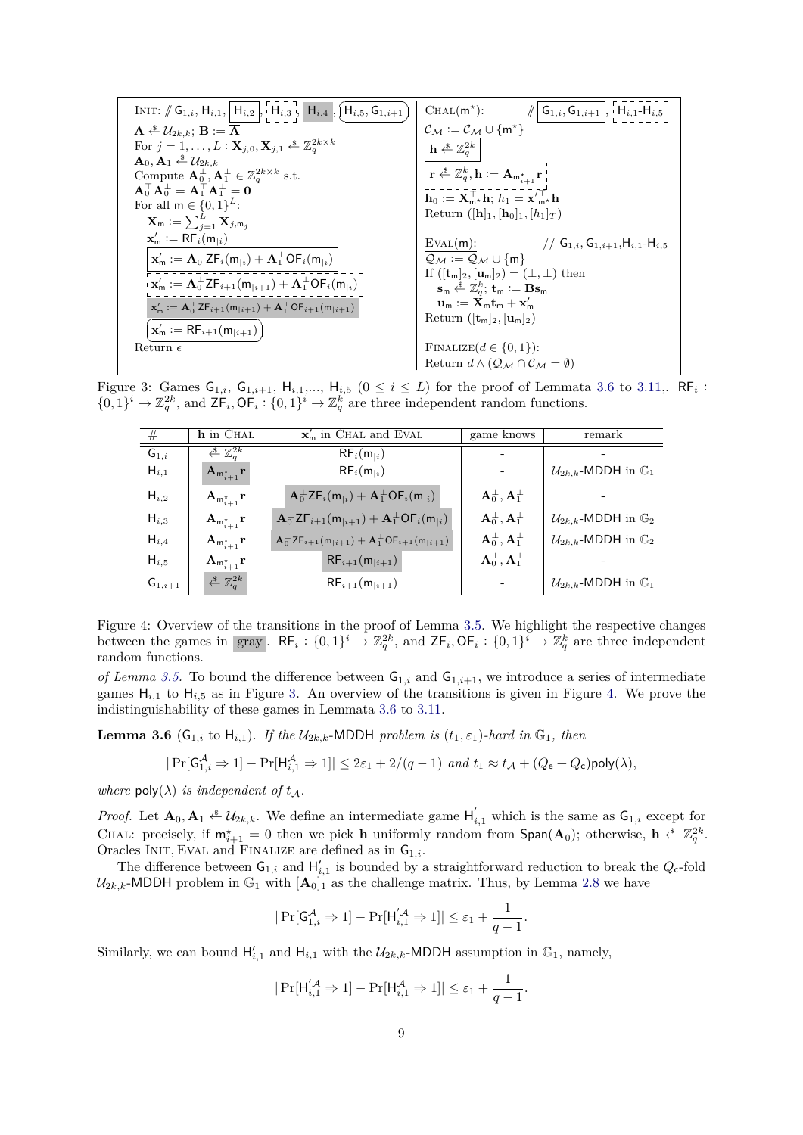| <u>INIT:</u> $\int G_{1,i}, H_{i,1},  H_{i,2} ,  H_{i,3} ,  H_{i,4} ,  H_{i,5}, G_{1,i+1} $                                                           | $CHAL(m^*)$ :<br>$\ A\ $ G <sub>1,i</sub> , G <sub>1,i+1</sub> $\ $ , H <sub>i,1</sub> -H <sub>i,5</sub>             |
|-------------------------------------------------------------------------------------------------------------------------------------------------------|----------------------------------------------------------------------------------------------------------------------|
| $\mathbf{A} \stackrel{\hspace{0.1em}\mathsf{\scriptscriptstyle\$}}{\leftarrow} \mathcal{U}_{2k,k}; \, \mathbf{B} \vcentcolon = \overline{\mathbf{A}}$ | $\mathcal{C}_\mathcal{M} := \mathcal{C}_\mathcal{M} \cup \{m^\star\}$                                                |
| For $j = 1, \ldots, L : \mathbf{X}_{i,0}, \mathbf{X}_{i,1} \leftarrow \mathbb{Z}_q^{2k \times k}$                                                     | $\mathbf{h} \overset{\mathsf{\$}}{\leftarrow} \mathbb{Z}_a^{2k}$                                                     |
| $\mathbf{A}_0, \mathbf{A}_1 \stackrel{\hspace{0.1em}\mathsf{\scriptscriptstyle\$}}{\leftarrow} \mathcal{U}_{2k,k}$                                    |                                                                                                                      |
| Compute $\mathbf{A}_0^{\perp}, \mathbf{A}_1^{\perp} \in \mathbb{Z}_q^{2k \times k}$ s.t.                                                              | $\mathbf{r} \triangleq \mathbb{Z}_q^k, \mathbf{h} := \mathbf{A}_{\mathsf{m}_{i+1}^\star} \mathbf{r}^\top$            |
| $\mathbf{A}_0^{\top} \mathbf{A}_0^{\perp} = \mathbf{A}_1^{\top} \mathbf{A}_1^{\perp} = \mathbf{0}$                                                    |                                                                                                                      |
| For all $m \in \{0, 1\}^L$ :                                                                                                                          | $\mathbf{h}_0 := \mathbf{X}_{m \star}^{\top} \mathbf{h}; h_1 = \mathbf{x}'_{m \star}^{\top} \mathbf{h}$              |
|                                                                                                                                                       | Return $([h]_1, [h_0]_1, [h_1]_T)$                                                                                   |
| $\mathbf{X}_{\mathsf{m}} := \sum_{i=1}^{L} \mathbf{X}_{j,\mathsf{m}_j}$                                                                               |                                                                                                                      |
| $\mathbf{x}'_{m} := \mathsf{RF}_{i}(m_{i})$                                                                                                           | EVAL(m):<br>// $G_{1,i}$ , $G_{1,i+1}$ , $H_{i,1}$ - $H_{i,5}$                                                       |
| $\mathbf{x}'_{m} := \mathbf{A}_{0}^{\perp} \mathsf{ZF}_{i}(\mathsf{m}_{ i}) + \mathbf{A}_{1}^{\perp} \mathsf{OF}_{i}(\mathsf{m}_{ i})$                | $Q_{\mathcal{M}} := Q_{\mathcal{M}} \cup \{m\}$                                                                      |
|                                                                                                                                                       | If $([\mathbf{t}_m]_2, [\mathbf{u}_m]_2) = (\perp, \perp)$ then                                                      |
| $\mathbf{x}'_{m} := \mathbf{A}_{0}^{\perp} \mathsf{ZF}_{i+1}(\mathsf{m}_{ i+1}) + \mathbf{A}_{1}^{\perp} \mathsf{OF}_{i}(\mathsf{m}_{ i})$            | $\mathbf{s}_{\mathsf{m}} \triangleq \mathbb{Z}_q^k$ ; $\mathbf{t}_{\mathsf{m}} := \mathbf{B}\mathbf{s}_{\mathsf{m}}$ |
| $\mathbf{x}'_m := \mathbf{A}_0^{\perp} \mathsf{ZF}_{i+1}(m_{i+1}) + \mathbf{A}_1^{\perp} \mathsf{OF}_{i+1}(m_{i+1})$                                  | $\mathbf{u}_{m} := \mathbf{X}_{m} \mathbf{t}_{m} + \mathbf{x}'_{m}$                                                  |
|                                                                                                                                                       | Return $([t_m]_2, [u_m]_2)$                                                                                          |
| ${\bf x}'_m := {\sf RF}_{i+1}({\sf m}_{ i+1})$                                                                                                        |                                                                                                                      |
| Return $\epsilon$                                                                                                                                     | FINALIZE $(d \in \{0, 1\})$ :                                                                                        |
|                                                                                                                                                       | Return $d \wedge (Q_{\mathcal{M}} \cap C_{\mathcal{M}} = \emptyset)$                                                 |

Figure 3: Games  $\mathsf{G}_{1,i}$ ,  $\mathsf{G}_{1,i+1}$ ,  $\mathsf{H}_{i,1},...$ ,  $\mathsf{H}_{i,5}$   $(0 \leq i \leq L)$  for the proof of Lemmata [3.6](#page-8-0) to [3.11,](#page-10-0). RF<sub>i</sub>:  $\{0,1\}^i \to \mathbb{Z}_q^{2k}$ , and  $\mathsf{ZF}_i$ ,  $\mathsf{OF}_i: \{0,1\}^i \to \mathbb{Z}_q^k$  are three independent random functions.

<span id="page-8-1"></span>

| #                             | h in CHAL                                         | $\mathbf{x}'_{m}$ in CHAL and EVAL                                                                          | game knows                                   | remark                                       |
|-------------------------------|---------------------------------------------------|-------------------------------------------------------------------------------------------------------------|----------------------------------------------|----------------------------------------------|
| $\overline{\mathsf{G}_{1,i}}$ | $\stackrel{\$}{\leftarrow} \mathbb{Z}_q^{2k}$     | $RF_i(m_{ i})$                                                                                              |                                              |                                              |
| $H_{i,1}$                     | $\mathbf{A}_{\mathsf{m}^{\star}_{i+1}}\mathbf{r}$ | $RF_i(m_{ii})$                                                                                              |                                              | $\mathcal{U}_{2k,k}$ -MDDH in $\mathbb{G}_1$ |
| $H_{i,2}$                     | $\mathbf{A}_{\mathsf{m}^{\star}_{i+1}}\mathbf{r}$ | $\mathbf{A}_0^{\perp} \mathsf{ZF}_i(\mathsf{m}_{ i}) + \mathbf{A}_1^{\perp} \mathsf{OF}_i(\mathsf{m}_{ i})$ | $\mathbf{A}_0^{\perp}, \mathbf{A}_1^{\perp}$ |                                              |
| $H_{i,3}$                     | $\mathbf{A}_{\mathsf{m}^{\star}_{i+1}}\mathbf{r}$ | ${\bf A}_{0}^{\perp}ZF_{i+1}(m_{ i+1}) + {\bf A}_{1}^{\perp}OF_{i}(m_{ i})$                                 | ${\bf A}_0^{\perp}, {\bf A}_1^{\perp}$       | $\mathcal{U}_{2k,k}$ -MDDH in $\mathbb{G}_2$ |
| $H_{i,4}$                     | $\mathbf{A}_{\mathsf{m}^{\star}_{i+1}}\mathbf{r}$ | ${\bf A}_{0}^{\perp}ZF_{i+1}({\sf m}_{ i+1})+{\bf A}_{1}^{\perp}OF_{i+1}({\sf m}_{ i+1})$                   | $\mathbf{A}_0^{\perp}, \mathbf{A}_1^{\perp}$ | $\mathcal{U}_{2k,k}$ -MDDH in $\mathbb{G}_2$ |
| $H_{i,5}$                     | $\mathbf{A}_{\mathsf{m}^{\star}_{i+1}}\mathbf{r}$ | $RF_{i+1}(m_{ i+1})$                                                                                        | $\mathbf{A}^{\perp}_0, \mathbf{A}^{\perp}_1$ |                                              |
| $G_{1,i+1}$                   | $\overset{\$}{\leftarrow} \mathbb{Z}_a^{2k}$      | $RF_{i+1}(m_{ i+1})$                                                                                        |                                              | $\mathcal{U}_{2k,k}$ -MDDH in $\mathbb{G}_1$ |

<span id="page-8-2"></span>Figure 4: Overview of the transitions in the proof of Lemma [3.5.](#page-7-3) We highlight the respective changes between the games in gray. RF<sub>i</sub>:  $\{0,1\}^i \to \mathbb{Z}_q^{2k}$ , and  $\mathsf{ZF}_i$ ,  $\mathsf{OF}_i$ :  $\{0,1\}^i \to \mathbb{Z}_q^k$  are three independent random functions.

*of Lemma [3.5.](#page-7-3)* To bound the difference between  $G_{1,i}$  and  $G_{1,i+1}$ , we introduce a series of intermediate games  $H_{i,1}$  to  $H_{i,5}$  as in Figure [3.](#page-8-1) An overview of the transitions is given in Figure [4.](#page-8-2) We prove the indistinguishability of these games in Lemmata [3.6](#page-8-0) to [3.11.](#page-10-0)

<span id="page-8-0"></span>**Lemma 3.6** ( $G_{1,i}$  to  $H_{i,1}$ ). *If the*  $\mathcal{U}_{2k,k}$ -MDDH *problem is*  $(t_1, \varepsilon_1)$ *-hard in*  $G_1$ *, then* 

$$
|\Pr[\mathsf{G}^{\mathcal{A}}_{1,i} \Rightarrow 1] - \Pr[\mathsf{H}^{\mathcal{A}}_{i,1} \Rightarrow 1]| \leq 2\varepsilon_1 + 2/(q-1) \text{ and } t_1 \approx t_{\mathcal{A}} + (Q_e + Q_c) \text{poly}(\lambda),
$$

*where*  $\text{poly}(\lambda)$  *is independent of*  $t_A$ *.* 

*Proof.* Let  $\mathbf{A}_0$ ,  $\mathbf{A}_1 \stackrel{\$}{\leftarrow} \mathcal{U}_{2k,k}$ . We define an intermediate game  $\mathsf{H}'_{i,1}$  which is the same as  $\mathsf{G}_{1,i}$  except for CHAL: precisely, if  $m_{i+1}^* = 0$  then we pick **h** uniformly random from  $\text{Span}(\mathbf{A}_0)$ ; otherwise,  $\mathbf{h} \overset{\$}{\leftarrow} \mathbb{Z}_q^{2k}$ . Oracles INIT, EVAL and FINALIZE are defined as in  $G_{1,i}$ .

The difference between  $\mathsf{G}_{1,i}$  and  $\mathsf{H}'_{i,1}$  is bounded by a straightforward reduction to break the  $Q_{\mathsf{c}}$ -fold  $U_{2k,k}$ -MDDH problem in  $\mathbb{G}_1$  with  $[\mathbf{A}_0]_1$  as the challenge matrix. Thus, by Lemma [2.8](#page-6-2) we have

$$
|\Pr[\mathsf{G}^{\mathcal{A}}_{1,i} \Rightarrow 1] - \Pr[\mathsf{H}^{'\mathcal{A}}_{i,1} \Rightarrow 1]| \leq \varepsilon_1 + \frac{1}{q-1}.
$$

Similarly, we can bound  $H'_{i,1}$  and  $H_{i,1}$  with the  $\mathcal{U}_{2k,k}$ -MDDH assumption in  $\mathbb{G}_1$ , namely,

$$
|\Pr[\mathsf{H}_{i,1}^{'\mathcal{A}} \Rightarrow 1]-\Pr[\mathsf{H}_{i,1}^{\mathcal{A}} \Rightarrow 1]|\leq \varepsilon_1+\frac{1}{q-1}.
$$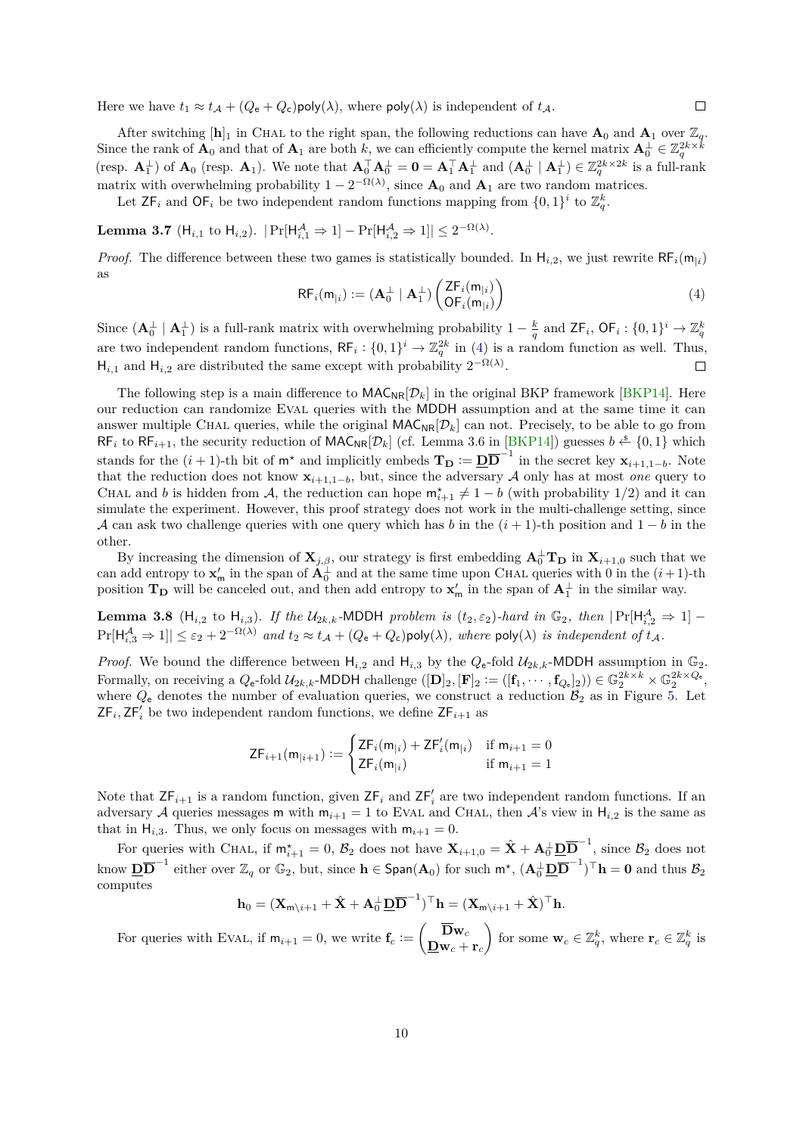<span id="page-9-3"></span>Here we have  $t_1 \approx t_A + (Q_e + Q_c)$  poly( $\lambda$ ), where poly( $\lambda$ ) is independent of  $t_A$ .

After switching  $[\mathbf{h}]_1$  in CHAL to the right span, the following reductions can have  $\mathbf{A}_0$  and  $\mathbf{A}_1$  over  $\mathbb{Z}_q$ . Since the rank of  $\mathbf{A}_0$  and that of  $\mathbf{A}_1$  are both *k*, we can efficiently compute the kernel matrix  $\mathbf{A}_0^{\perp} \in \mathbb{Z}_q^{2k \times k}$ (resp.  $\mathbf{A}_1^{\perp}$ ) of  $\mathbf{A}_0$  (resp.  $\mathbf{A}_1$ ). We note that  $\mathbf{A}_0^{\top} \mathbf{A}_0^{\perp} = \mathbf{0} = \mathbf{A}_1^{\top} \mathbf{A}_1^{\perp}$  and  $(\mathbf{A}_0^{\perp} \mid \mathbf{A}_1^{\perp}) \in \mathbb{Z}_q^{2k \times 2k}$  is a full-rank matrix with overwhelming probability  $1 - 2^{-\Omega(\lambda)}$ , since  $\mathbf{A}_0$  and  $\mathbf{A}_1$  are two random matrices.

Let  $\mathsf{ZF}_i$  and  $\mathsf{OF}_i$  be two independent random functions mapping from  $\{0,1\}^i$  to  $\mathbb{Z}_q^k$ .

<span id="page-9-2"></span>**Lemma 3.7** ( $H_{i,1}$  to  $H_{i,2}$ ).  $|\Pr[H_{i,1}^{\mathcal{A}} \Rightarrow 1] - \Pr[H_{i,2}^{\mathcal{A}} \Rightarrow 1]| \leq 2^{-\Omega(\lambda)}$ .

*Proof.* The difference between these two games is statistically bounded. In  $H_{i,2}$ , we just rewrite  $RF_i(m_{i})$ as

<span id="page-9-0"></span>
$$
\mathsf{RF}_{i}(\mathsf{m}_{|i}) := (\mathbf{A}_{0}^{\perp} \mid \mathbf{A}_{1}^{\perp}) \begin{pmatrix} \mathsf{ZF}_{i}(\mathsf{m}_{|i}) \\ \mathsf{OF}_{i}(\mathsf{m}_{|i}) \end{pmatrix}
$$
(4)

Since  $(\mathbf{A}_0^{\perp} \mid \mathbf{A}_1^{\perp})$  is a full-rank matrix with overwhelming probability  $1 - \frac{k}{q}$  and  $\mathsf{ZF}_i$ ,  $\mathsf{OF}_i : \{0,1\}^i \to \mathbb{Z}_q^k$ are two independent random functions,  $\mathsf{RF}_i: \{0,1\}^i \to \mathbb{Z}_q^{2k}$  in [\(4\)](#page-9-0) is a random function as well. Thus,  $H_{i,1}$  and  $H_{i,2}$  are distributed the same except with probability  $2^{-\Omega(\lambda)}$ .  $\Box$ 

The following step is a main difference to  $\text{MAC}_{\text{NR}}[\mathcal{D}_k]$  in the original BKP framework [\[BKP14\]](#page-21-5). Here our reduction can randomize Eval queries with the MDDH assumption and at the same time it can answer multiple CHAL queries, while the original  $MAC_{NR}[\mathcal{D}_k]$  can not. Precisely, to be able to go from  $RF_i$  to  $RF_{i+1}$ , the security reduction of  $MAC_{NR}[\mathcal{D}_k]$  (cf. Lemma 3.6 in [\[BKP14\]](#page-21-5)) guesses  $b \stackrel{s}{\leftarrow} \{0,1\}$  which stands for the  $(i + 1)$ -th bit of  $m^*$  and implicitly embeds  $\mathbf{T_D} := \mathbf{D} \overline{\mathbf{D}}^{-1}$  in the secret key  $\mathbf{x}_{i+1,1-b}$ . Note that the reduction does not know  $\mathbf{x}_{i+1,1-b}$ , but, since the adversary A only has at most *one* query to CHAL and *b* is hidden from A, the reduction can hope  $m_{i+1}^* \neq 1 - b$  (with probability 1/2) and it can simulate the experiment. However, this proof strategy does not work in the multi-challenge setting, since A can ask two challenge queries with one query which has *b* in the  $(i + 1)$ -th position and  $1 - b$  in the other.

By increasing the dimension of  $\mathbf{X}_{j,\beta}$ , our strategy is first embedding  $\mathbf{A}_0^{\perp} \mathbf{T_D}$  in  $\mathbf{X}_{i+1,0}$  such that we can add entropy to  $\mathbf{x}'_m$  in the span of  $\mathbf{A}_0^{\perp}$  and at the same time upon CHAL queries with 0 in the  $(i+1)$ -th position  $T_D$  will be canceled out, and then add entropy to  $\mathbf{x}'_m$  in the span of  $\mathbf{A}_1^{\perp}$  in the similar way.

<span id="page-9-1"></span>**Lemma 3.8** (H<sub>i,2</sub> to H<sub>i,3</sub>). *If the*  $\mathcal{U}_{2k,k}$ -MDDH *problem is* ( $t_2, \epsilon_2$ )-hard in  $\mathbb{G}_2$ , then  $|\Pr[\mathsf{H}_{i,2}^{\mathcal{A}} \Rightarrow 1]$  –  $\Pr[\mathsf{H}_{i,3}^{\mathcal{A}} \Rightarrow 1] \leq \varepsilon_2 + 2^{-\Omega(\lambda)}$  and  $t_2 \approx t_{\mathcal{A}} + (Q_e + Q_c)$ poly $(\lambda)$ *, where* poly $(\lambda)$  *is independent of*  $t_{\mathcal{A}}$ *.* 

*Proof.* We bound the difference between  $H_{i,2}$  and  $H_{i,3}$  by the  $Q_e$ -fold  $\mathcal{U}_{2k,k}$ -MDDH assumption in  $\mathbb{G}_2$ . Formally, on receiving a  $Q_{e}$ -fold  $\mathcal{U}_{2k,k}$ -MDDH challenge  $([\mathbf{D}]_2, [\mathbf{F}]_2 := ([\mathbf{f}_1, \cdots, \mathbf{f}_{Q_e}]_2) \in \mathbb{G}_2^{2k \times k} \times \mathbb{G}_2^{2k \times Q_e}$ , where  $Q_e$  denotes the number of evaluation queries, we construct a reduction  $\mathcal{B}_2$  as in Figure [5.](#page-10-1) Let  $\mathsf{ZF}_i, \mathsf{ZF}_i'$  be two independent random functions, we define  $\mathsf{ZF}_{i+1}$  as

$$
\mathsf{ZF}_{i+1}(\mathsf{m}_{|i+1}) := \begin{cases} \mathsf{ZF}_i(\mathsf{m}_{|i}) + \mathsf{ZF}'_i(\mathsf{m}_{|i}) & \text{if } \mathsf{m}_{i+1} = 0\\ \mathsf{ZF}_i(\mathsf{m}_{|i}) & \text{if } \mathsf{m}_{i+1} = 1 \end{cases}
$$

Note that  $ZF_{i+1}$  is a random function, given  $ZF_i$  and  $ZF_i'$  are two independent random functions. If an adversary A queries messages m with  $m_{i+1} = 1$  to EVAL and CHAL, then A's view in  $H_{i,2}$  is the same as that in  $H_{i,3}$ . Thus, we only focus on messages with  $m_{i+1} = 0$ .

For queries with CHAL, if  $m_{i+1}^* = 0$ ,  $\mathcal{B}_2$  does not have  $\mathbf{X}_{i+1,0} = \hat{\mathbf{X}} + \mathbf{A}_0^{\perp} \mathbf{D} \overline{\mathbf{D}}^{-1}$ , since  $\mathcal{B}_2$  does not know  $\underline{\mathbf{D}}\overline{\mathbf{D}}^{-1}$  either over  $\mathbb{Z}_q$  or  $\mathbb{G}_2,$  but, since  $\mathbf{h}\in \mathsf{Span}(\mathbf{A}_0)$  for such  $\mathsf{m}^\star,$   $(\mathbf{A}_0^\perp\underline{\mathbf{D}}\overline{\mathbf{D}}^{-1})^\top\mathbf{h}=\mathbf{0}$  and thus  $\mathcal{B}_2$ computes

$$
\mathbf{h}_0 = (\mathbf{X}_{m\setminus i+1} + \hat{\mathbf{X}} + \mathbf{A}_0^{\perp} \mathbf{D} \overline{\mathbf{D}}^{-1})^{\top} \mathbf{h} = (\mathbf{X}_{m\setminus i+1} + \hat{\mathbf{X}})^{\top} \mathbf{h}.
$$

For queries with EVAL, if  $m_{i+1} = 0$ , we write  $\mathbf{f}_c := \begin{pmatrix} \overline{\mathbf{D}} \mathbf{w}_c \\ \mathbf{D} \mathbf{w}_c \end{pmatrix}$  $\mathbf{\underline{D}}\mathbf{w}_{c} + \mathbf{r}_{c}$ for some  $\mathbf{w}_c \in \mathbb{Z}_q^k$ , where  $\mathbf{r}_c \in \mathbb{Z}_q^k$  is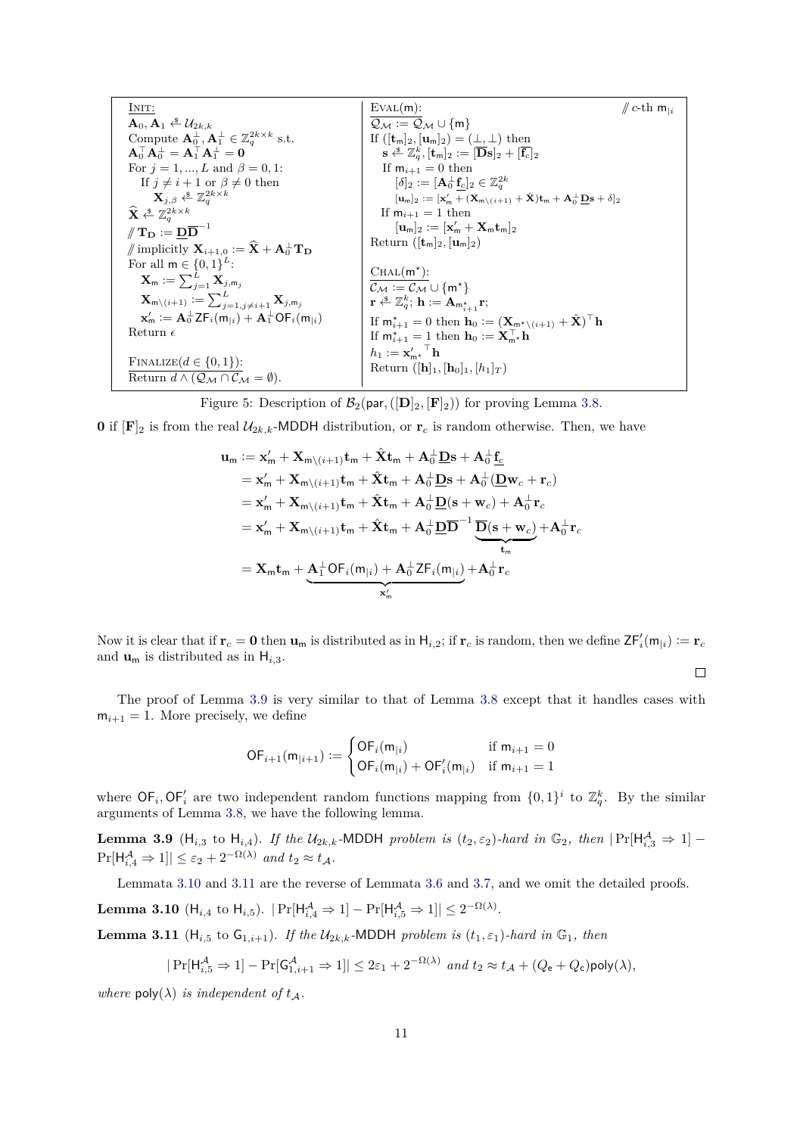| INIT:                                                                      | $A_0, A_1$ $\overset{\&}{\sim} \mathcal{U}_{2k,k}$                    | $\mathcal{E}_{2k,k}$                                                                                                                                                                                                                                                                                                                                                                                                                                                                                                                                                                                                                                                                                                                                                                                                                                                                                                                                                                                                                                                                                                  |
|----------------------------------------------------------------------------|-----------------------------------------------------------------------|-----------------------------------------------------------------------------------------------------------------------------------------------------------------------------------------------------------------------------------------------------------------------------------------------------------------------------------------------------------------------------------------------------------------------------------------------------------------------------------------------------------------------------------------------------------------------------------------------------------------------------------------------------------------------------------------------------------------------------------------------------------------------------------------------------------------------------------------------------------------------------------------------------------------------------------------------------------------------------------------------------------------------------------------------------------------------------------------------------------------------|
| Compute $A_0^{\dagger}, A_1^{\dagger} \in \mathbb{Z}_q^{2k \times k}$ s.t. | \n $A_0^{\dagger} A_0^{\dagger} = A_1^{\dagger} A_1^{\dagger} = 0$ \n | \n $F$ for $j = 1, ..., L$ and $\beta = 0, 1$ :\n        If $j \neq i + 1$ or $\beta \neq 0$ then\n        If $j \neq i + 1$ or $\beta \neq 0$ then\n $\begin{aligned}\n &\text{if } \mathbf{m}_{i+1} = 0 \\  &\text{if } \mathbf{m}_{i+1} = 0 \text{ then} \\  &\text{if } \mathbf{m}_{i+1} = 0 \text{ then} \\  &\text{if } \mathbf{m}_{i+1} = 0 \text{ then} \\  &\text{if } \mathbf{m}_{i+1} = 0 \text{ then} \\  &\text{if } \mathbf{m}_{i+1} = 1 \text{ then} \\  &\text{if } \mathbf{m}_{i+1} = 1 \text{ then} \\  &\text{if } \mathbf{m}_{i+1} = 1 \text{ then} \\  &\text{if } \mathbf{m}_{i+1} = 1 \text{ then} \\  &\text{if } \mathbf{m}_{i+1} = 1 \text{ then} \\  &\text{if } \mathbf{m}_{i+1} = 1 \text{ then} \\  &\text{if } \mathbf{m}_{i+1} = 1 \text{ then} \\  &\text{if } \mathbf{m}_{i+1} = 1 \text{ then} \\  &\text{if } \mathbf{m}_{i+1} = 1 \text{ then} \\  &\text{if } \mathbf{m}_{i+1} = 0 \text{ then} \\  &\text{if } \mathbf{m}_{i+1} = 0 \text{ then} \\  &\text{if } \mathbf{m}_{i+1} = 0 \text{ then} \\  &\text{if } \mathbf{m}_{i+1} = 0 \text{ then} \\  &\text{if } \mathbf{$ |

<span id="page-10-1"></span>Figure 5: Description of  $\mathcal{B}_2(\text{par},([\mathbf{D}]_2,[\mathbf{F}]_2))$  for proving Lemma [3.8.](#page-9-1)

**0** if  $[\mathbf{F}]_2$  is from the real  $\mathcal{U}_{2k,k}$ -MDDH distribution, or  $\mathbf{r}_c$  is random otherwise. Then, we have

$$
\mathbf{u}_{\mathsf{m}} := \mathbf{x}'_{\mathsf{m}} + \mathbf{X}_{\mathsf{m}\setminus(i+1)}\mathbf{t}_{\mathsf{m}} + \hat{\mathbf{X}}\mathbf{t}_{\mathsf{m}} + \mathbf{A}_{0}^{\perp}\underline{\mathbf{D}}\mathbf{s} + \mathbf{A}_{0}^{\perp}\underline{\mathbf{f}}_{c}
$$
\n
$$
= \mathbf{x}'_{\mathsf{m}} + \mathbf{X}_{\mathsf{m}\setminus(i+1)}\mathbf{t}_{\mathsf{m}} + \hat{\mathbf{X}}\mathbf{t}_{\mathsf{m}} + \mathbf{A}_{0}^{\perp}\underline{\mathbf{D}}\mathbf{s} + \mathbf{A}_{0}^{\perp}(\underline{\mathbf{D}}\mathbf{w}_{c} + \mathbf{r}_{c})
$$
\n
$$
= \mathbf{x}'_{\mathsf{m}} + \mathbf{X}_{\mathsf{m}\setminus(i+1)}\mathbf{t}_{\mathsf{m}} + \hat{\mathbf{X}}\mathbf{t}_{\mathsf{m}} + \mathbf{A}_{0}^{\perp}\underline{\mathbf{D}}(\mathbf{s} + \mathbf{w}_{c}) + \mathbf{A}_{0}^{\perp}\mathbf{r}_{c}
$$
\n
$$
= \mathbf{x}'_{\mathsf{m}} + \mathbf{X}_{\mathsf{m}\setminus(i+1)}\mathbf{t}_{\mathsf{m}} + \hat{\mathbf{X}}\mathbf{t}_{\mathsf{m}} + \mathbf{A}_{0}^{\perp}\underline{\mathbf{D}}\overline{\mathbf{D}}^{-1}\underbrace{\overline{\mathbf{D}}(\mathbf{s} + \mathbf{w}_{c})}_{\mathbf{t}_{\mathsf{m}}} + \mathbf{A}_{0}^{\perp}\mathbf{r}_{c}
$$
\n
$$
= \mathbf{X}_{\mathsf{m}}\mathbf{t}_{\mathsf{m}} + \underbrace{\mathbf{A}_{1}^{\perp}\mathbf{O}\mathbf{F}_{i}(\mathsf{m}_{|i}) + \mathbf{A}_{0}^{\perp}\mathbf{Z}\mathbf{F}_{i}(\mathsf{m}_{|i})}_{\mathbf{x}'_{\mathsf{m}}} + \mathbf{A}_{0}^{\perp}\mathbf{r}_{c}
$$

Now it is clear that if  $\mathbf{r}_c = \mathbf{0}$  then  $\mathbf{u}_m$  is distributed as in  $H_{i,2}$ ; if  $\mathbf{r}_c$  is random, then we define  $\mathsf{ZF}'_i(\mathsf{m}_{|i}) := \mathbf{r}_c$ and  $\mathbf{u}_m$  is distributed as in  $H_{i,3}$ .  $\Box$ 

The proof of Lemma [3.9](#page-10-2) is very similar to that of Lemma [3.8](#page-9-1) except that it handles cases with  $m_{i+1} = 1$ . More precisely, we define

$$
\mathsf{OF}_{i+1}(\mathsf{m}_{|i+1}) := \begin{cases} \mathsf{OF}_{i}(\mathsf{m}_{|i}) & \text{if } \mathsf{m}_{i+1} = 0 \\ \mathsf{OF}_{i}(\mathsf{m}_{|i}) + \mathsf{OF}'_{i}(\mathsf{m}_{|i}) & \text{if } \mathsf{m}_{i+1} = 1 \end{cases}
$$

where  $\mathsf{OF}_i$ ,  $\mathsf{OF}_i'$  are two independent random functions mapping from  $\{0,1\}^i$  to  $\mathbb{Z}_q^k$ . By the similar arguments of Lemma [3.8,](#page-9-1) we have the following lemma.

<span id="page-10-2"></span>**Lemma 3.9** (H<sub>i,3</sub> to H<sub>i,4</sub>). *If the*  $\mathcal{U}_{2k,k}$ -MDDH *problem is* ( $t_2, \epsilon_2$ )-hard in  $\mathbb{G}_2$ , then  $|\Pr[\mathsf{H}_{i,3}^{\mathcal{A}} \Rightarrow 1]$  –  $\Pr[\mathsf{H}_{i,4}^{\mathcal{A}} \Rightarrow 1] \leq \varepsilon_2 + 2^{-\Omega(\lambda)} \text{ and } t_2 \approx t_{\mathcal{A}}.$ 

<span id="page-10-3"></span>Lemmata [3.10](#page-10-3) and [3.11](#page-10-0) are the reverse of Lemmata [3.6](#page-8-0) and [3.7,](#page-9-2) and we omit the detailed proofs. **Lemma 3.10**  $(H_{i,4} \text{ to } H_{i,5})$ .  $|\Pr[H_{i,4}^{\mathcal{A}} \Rightarrow 1] - \Pr[H_{i,5}^{\mathcal{A}} \Rightarrow 1]| \leq 2^{-\Omega(\lambda)}$ .

<span id="page-10-0"></span>**Lemma 3.11** ( $H_{i,5}$  to  $G_{1,i+1}$ ). *If the*  $\mathcal{U}_{2k,k}$ *-MDDH problem is*  $(t_1, \varepsilon_1)$ *-hard in*  $G_1$ *, then* 

$$
|\Pr[\mathsf{H}_{i,5}^{\mathcal{A}} \Rightarrow 1] - \Pr[\mathsf{G}_{1,i+1}^{\mathcal{A}} \Rightarrow 1]| \leq 2\varepsilon_1 + 2^{-\Omega(\lambda)} \text{ and } t_2 \approx t_{\mathcal{A}} + (Q_e + Q_c) \text{poly}(\lambda),
$$

*where*  $\text{poly}(\lambda)$  *is independent of*  $t_A$ *.*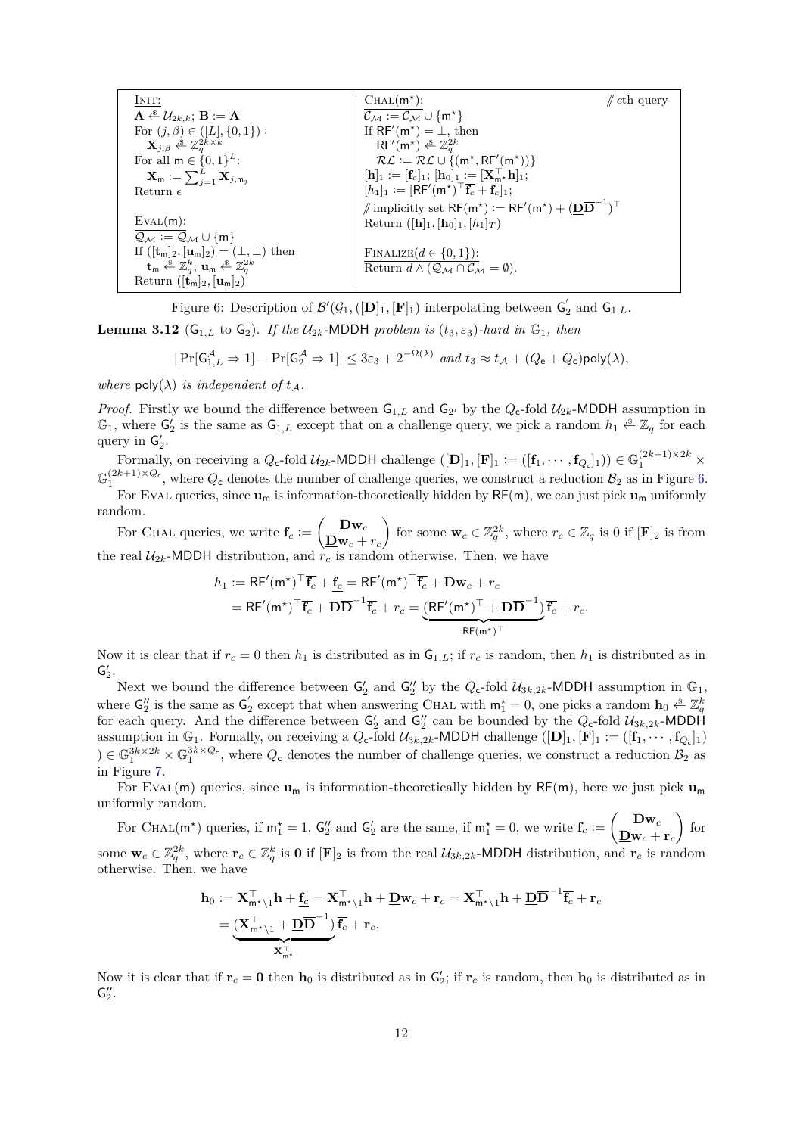| INIT:                                                                                                    | $CHAL(m^*)$ :                                                                                                                               | $\ell$ cth query |
|----------------------------------------------------------------------------------------------------------|---------------------------------------------------------------------------------------------------------------------------------------------|------------------|
| $\mathbf{A} \stackrel{\$}{\leftarrow} \mathcal{U}_{2k,k}; \, \mathbf{B} \coloneqq \overline{\mathbf{A}}$ | $\overline{\mathcal{C}_M := \mathcal{C}_M} \cup \{m^{\star}\}\$                                                                             |                  |
| For $(j, \beta) \in ([L], \{0, 1\})$ :                                                                   | If $RF'(m^*) = \perp$ , then                                                                                                                |                  |
| $\mathbf{X}_{i, \beta} \notin \mathbb{Z}_a^{2k \times k}$                                                | $RF'(m^*)\leftarrow \mathbb{Z}_q^{2k}$                                                                                                      |                  |
| For all $m \in \{0, 1\}^L$ :                                                                             | $\mathcal{RL} := \mathcal{RL} \cup \{(\mathsf{m}^{\star}, \mathsf{RF}'(\mathsf{m}^{\star}))\}$                                              |                  |
| $\mathbf{X}_{\mathsf{m}} \vcentcolon= \sum_{i=1}^L \mathbf{X}_{j,\mathsf{m}_i}$                          | $[\mathbf{h}]_1 := [\overline{\mathbf{f}_c}]_1; [\mathbf{h}_0]_1 := [\mathbf{X}_{m^*}^{\top} \mathbf{h}]_1;$                                |                  |
| Return $\epsilon$                                                                                        | $[h_1]_1 := [RF'(m^*)^{\top} \overline{f_c} + f_c]_1;$                                                                                      |                  |
|                                                                                                          | $\text{min}(\text{S})$ implicitly set RF(m <sup>*</sup> ) := RF'(m <sup>*</sup> ) + ( $\mathbf{D}\overline{\mathbf{D}}^{-1}$ ) <sup>T</sup> |                  |
| EVAL(m):                                                                                                 | Return $([h]_1, [h_0]_1, [h_1]_T)$                                                                                                          |                  |
| $Q_{\mathcal{M}} := Q_{\mathcal{M}} \cup \{m\}$                                                          |                                                                                                                                             |                  |
| If $([\mathbf{t}_m]_2, [\mathbf{u}_m]_2) = (\perp, \perp)$ then                                          | FINALIZE $(d \in \{0, 1\})$ :                                                                                                               |                  |
| $\mathbf{t}_{\mathsf{m}} \notin \mathbb{Z}_a^k$ ; $\mathbf{u}_{\mathsf{m}} \notin \mathbb{Z}_a^{2k}$     | Return $d \wedge (Q_M \cap C_M = \emptyset)$ .                                                                                              |                  |
| Return $([t_m]_2, [u_m]_2)$                                                                              |                                                                                                                                             |                  |

<span id="page-11-0"></span>Figure 6: Description of  $\mathcal{B}'(\mathcal{G}_1,([\mathbf{D}]_1,[\mathbf{F}]_1)$  interpolating between  $\mathsf{G}_2'$  and  $\mathsf{G}_{1,L}$ .

**Lemma 3.12** ( $G_{1,L}$  to  $G_2$ ). If the  $U_{2k}$ -MDDH problem is  $(t_3, \varepsilon_3)$ -hard in  $G_1$ , then

 $|\Pr[\mathsf{G}_{1,L}^{\mathcal{A}} \Rightarrow 1] - \Pr[\mathsf{G}_{2}^{\mathcal{A}} \Rightarrow 1]| \leq 3\varepsilon_3 + 2^{-\Omega(\lambda)} \text{ and } t_3 \approx t_{\mathcal{A}} + (Q_{\mathsf{e}} + Q_{\mathsf{c}}) \mathsf{poly}(\lambda),$ 

*where*  $poly(\lambda)$  *is independent of*  $t_A$ *.* 

*Proof.* Firstly we bound the difference between  $G_{1,L}$  and  $G_{2'}$  by the  $Q_c$ -fold  $\mathcal{U}_{2k}$ -MDDH assumption in  $\mathbb{G}_1$ , where  $\mathsf{G}_2'$  is the same as  $\mathsf{G}_{1,L}$  except that on a challenge query, we pick a random  $h_1 \stackrel{\hspace{0.1em}\mathsf{\scriptscriptstyle\$}}{}}{\longrightarrow} \mathbb{Z}_q$  for each query in  $G'_2$ .

Formally, on receiving a  $Q_c$ -fold  $\mathcal{U}_{2k}$ -MDDH challenge  $([\mathbf{D}]_1, [\mathbf{F}]_1 := ([\mathbf{f}_1, \cdots, \mathbf{f}_{Q_c}]_1) \in \mathbb{G}_1^{(2k+1)\times 2k} \times$  $\mathbb{G}_1^{(2k+1)\times Q_c}$ , where  $Q_c$  denotes the number of challenge queries, we construct a reduction  $\mathcal{B}_2$  as in Figure [6.](#page-11-0) For EVAL queries, since  $\mathbf{u}_m$  is information-theoretically hidden by  $\mathsf{RF}(m)$ , we can just pick  $\mathbf{u}_m$  uniformly random.

For CHAL queries, we write  $\mathbf{f}_c := \begin{pmatrix} \overline{\mathbf{D}} \mathbf{w}_c \\ \mathbf{D} \mathbf{w}_c \end{pmatrix}$  $\mathbf{\underline{D}}\mathbf{w}_c + r_c$ for some  $\mathbf{w}_c \in \mathbb{Z}_q^{2k}$ , where  $r_c \in \mathbb{Z}_q$  is 0 if  $[\mathbf{F}]_2$  is from the real  $U_{2k}$ -MDDH distribution, and  $r_c$  is random otherwise. Then, we have

$$
h_1 := \mathsf{RF}'(\mathsf{m}^{\star})^{\top} \overline{\mathbf{f}_c} + \underline{\mathbf{f}_c} = \mathsf{RF}'(\mathsf{m}^{\star})^{\top} \overline{\mathbf{f}_c} + \underline{\mathbf{D}} \mathbf{w}_c + r_c
$$
  
= \mathsf{RF}'(\mathsf{m}^{\star})^{\top} \overline{\mathbf{f}\_c} + \underline{\mathbf{D}} \overline{\mathbf{D}}^{-1} \overline{\mathbf{f}\_c} + r\_c = \underbrace{(\mathsf{RF}'(\mathsf{m}^{\star})^{\top} + \underline{\mathbf{D}} \overline{\mathbf{D}}^{-1})}\_{\mathsf{RF}(\mathsf{m}^{\star})^{\top}} \overline{\mathbf{f}\_c} + r\_c.

Now it is clear that if  $r_c = 0$  then  $h_1$  is distributed as in  $G_{1,L}$ ; if  $r_c$  is random, then  $h_1$  is distributed as in  $\mathsf{G}_2'.$ 

Next we bound the difference between  $G'_2$  and  $G''_2$  by the  $Q_c$ -fold  $\mathcal{U}_{3k,2k}$ -MDDH assumption in  $\mathbb{G}_1$ , where  $G''_2$  is the same as  $G'_2$  except that when answering CHAL with  $m_1^* = 0$ , one picks a random  $h_0 \stackrel{*}{\leftarrow} \mathbb{Z}_q^k$ for each query. And the difference between  $G'_2$  and  $G''_2$  can be bounded by the  $Q_c$ -fold  $\mathcal{U}_{3k,2k}$ -MDDH assumption in  $\mathbb{G}_1$ . Formally, on receiving a  $Q_c$ -fold  $\mathcal{U}_{3k,2k}$ -MDDH challenge  $([\mathbf{D}]_1, [\mathbf{F}]_1 :=([\mathbf{f}_1, \cdots, \mathbf{f}_{Q_c}]_1)$  $\mathcal{L} \in \mathbb{G}_1^{3k \times 2k} \times \mathbb{G}_1^{3k \times Q_c}$ , where  $Q_c$  denotes the number of challenge queries, we construct a reduction  $\mathcal{B}_2$  as in Figure [7.](#page-12-0)

For EVAL(m) queries, since  $\mathbf{u}_m$  is information-theoretically hidden by  $RF(m)$ , here we just pick  $\mathbf{u}_m$ uniformly random.

For CHAL( $m^*$ ) queries, if  $m_1^* = 1$ ,  $G_2''$  and  $G_2'$  are the same, if  $m_1^* = 0$ , we write  $\mathbf{f}_c := \begin{pmatrix} \overline{\mathbf{D}} \mathbf{w}_c \\ \mathbf{D} \mathbf{w}_c \end{pmatrix}$  $\mathbf{\underline{D}}\mathbf{w}_{c} + \mathbf{r}_{c}$  $\Big)$  for some  $\mathbf{w}_c \in \mathbb{Z}_q^{2k}$ , where  $\mathbf{r}_c \in \mathbb{Z}_q^k$  is 0 if  $[\mathbf{F}]_2$  is from the real  $\mathcal{U}_{3k,2k}$ -MDDH distribution, and  $\mathbf{r}_c$  is random otherwise. Then, we have

$$
\begin{aligned} \mathbf{h}_0 &:= \mathbf{X}_{\mathsf{m}^\star \backslash 1}^\top \mathbf{h} + \underline{\mathbf{f}}_c = \mathbf{X}_{\mathsf{m}^\star \backslash 1}^\top \mathbf{h} + \underline{\mathbf{D}} \mathbf{w}_c + \mathbf{r}_c = \mathbf{X}_{\mathsf{m}^\star \backslash 1}^\top \mathbf{h} + \underline{\mathbf{D}} \overline{\mathbf{D}}^{-1} \overline{\mathbf{f}}_c + \mathbf{r}_c \\ & = \underbrace{(\mathbf{X}_{\mathsf{m}^\star \backslash 1}^\top + \underline{\mathbf{D}} \overline{\mathbf{D}}^{-1})}_{\mathbf{X}_{\mathsf{m}^\star}^\top} \overline{\mathbf{f}}_c + \mathbf{r}_c. \end{aligned}
$$

Now it is clear that if  $\mathbf{r}_c = \mathbf{0}$  then  $\mathbf{h}_0$  is distributed as in  $\mathsf{G}'_2$ ; if  $\mathbf{r}_c$  is random, then  $\mathbf{h}_0$  is distributed as in  $G_2''$ .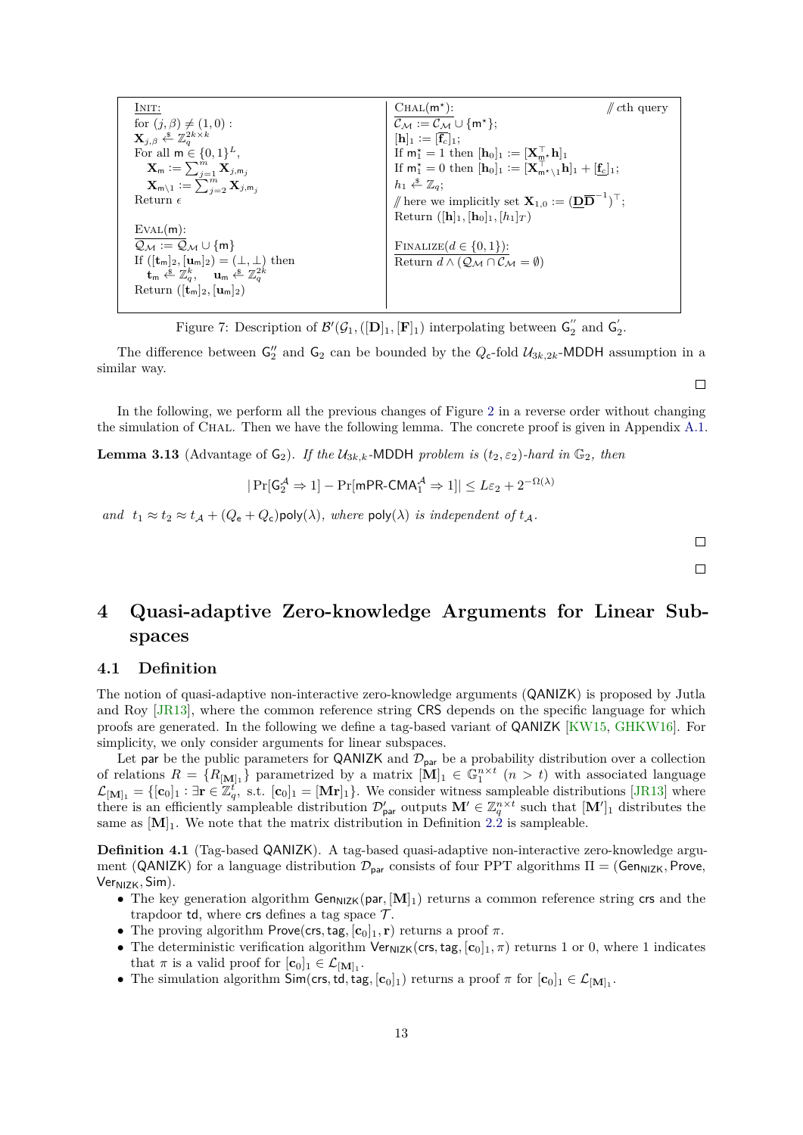<span id="page-12-2"></span>

| INIT:                                                                                                                                      |                                                                                                                        | $\ell$ cth query |
|--------------------------------------------------------------------------------------------------------------------------------------------|------------------------------------------------------------------------------------------------------------------------|------------------|
| for $(j, \beta) \neq (1, 0)$ :                                                                                                             | CHAL(m <sup>*</sup> ):<br>$\overline{C_{\mathcal{M}}} := \overline{C_{\mathcal{M}}} \cup \{m^*\};$                     |                  |
| $\mathbf{X}_{j,\beta} \overset{\hspace{0.1em}\mathsf{\scriptscriptstyle\$}}{\leftarrow} \mathbb{Z}_q^{2k \times k}$                        | $[\mathbf{h}]_1 := [\overline{\mathbf{f}_c}]_1;$                                                                       |                  |
| For all $m \in \{0,1\}^L$ ,                                                                                                                | If $m_1^* = 1$ then $[\mathbf{h}_0]_1 := [\mathbf{X}_{m^*}^{\top} \mathbf{h}]_1$                                       |                  |
| $\mathbf{X}_{\mathsf{m}} \vcentcolon= \sum_{i=1}^m \mathbf{X}_{j,\mathsf{m}_j}$                                                            | If $\mathbf{m}_1^* = 0$ then $[\mathbf{h}_0]_1 := [\mathbf{X}_{m^*\setminus 1}^\top \mathbf{h}]_1 + [\mathbf{f}_c]_1;$ |                  |
| $\mathbf{X}_{\mathsf{m}\backslash 1} \coloneqq \sum_{i=2}^m \mathbf{X}_{j,\mathsf{m}_i}$                                                   | $h_1 \xleftarrow{\$} \mathbb{Z}_q$ ;                                                                                   |                  |
| Return $\epsilon$                                                                                                                          | $\mathscr{N}$ here we implicitly set $\mathbf{X}_{1,0} := (\mathbf{D}\mathbf{\overline{D}}^{-1})^{\top}$ ;             |                  |
|                                                                                                                                            | Return $([h]_1, [h_0]_1, [h_1]_T)$                                                                                     |                  |
| EVAL(m):                                                                                                                                   |                                                                                                                        |                  |
| $\mathcal{Q}_\mathcal{M} := \mathcal{Q}_\mathcal{M} \cup \{m\}$                                                                            | FINALIZE $(d \in \{0, 1\})$ :                                                                                          |                  |
| If $([\mathbf{t}_m]_2, [\mathbf{u}_m]_2) = (\perp, \perp)$ then                                                                            | Return $d \wedge (Q_{\mathcal{M}} \cap C_{\mathcal{M}} = \emptyset)$                                                   |                  |
| $\mathbf{t}_{\mathsf{m}} \stackrel{\$}{\leftarrow} \mathbb{Z}_a^k$ , $\mathbf{u}_{\mathsf{m}} \stackrel{\$}{\leftarrow} \mathbb{Z}_a^{2k}$ |                                                                                                                        |                  |
| Return $([t_m]_2, [u_m]_2)$                                                                                                                |                                                                                                                        |                  |
|                                                                                                                                            |                                                                                                                        |                  |

<span id="page-12-0"></span>Figure 7: Description of  $\mathcal{B}'(\mathcal{G}_1,([\mathbf{D}]_1,[\mathbf{F}]_1)$  interpolating between  $\mathsf{G}'_2$  and  $\mathsf{G}'_2$ .

The difference between  $G_2''$  and  $G_2$  can be bounded by the  $Q_c$ -fold  $\mathcal{U}_{3k,2k}$ -MDDH assumption in a similar way.

In the following, we perform all the previous changes of Figure [2](#page-7-1) in a reverse order without changing the simulation of Chal. Then we have the following lemma. The concrete proof is given in Appendix [A.1.](#page-23-10)

<span id="page-12-3"></span>**Lemma 3.13** (Advantage of  $\mathsf{G}_2$ ). *If the*  $\mathcal{U}_{3k,k}$ -MDDH *problem is*  $(t_2, \varepsilon_2)$ -*hard in*  $\mathbb{G}_2$ *, then* 

$$
|\Pr[\mathsf{G}_2^{\mathcal{A}} \Rightarrow 1] - \Pr[\mathsf{mPR\text{-}CMA}_1^{\mathcal{A}} \Rightarrow 1]| \le L\varepsilon_2 + 2^{-\Omega(\lambda)}
$$

*and*  $t_1 \approx t_2 \approx t_A + (Q_e + Q_c)$ poly( $\lambda$ )*, where* poly( $\lambda$ ) *is independent of*  $t_A$ *.* 

 $\Box$  $\Box$ 

 $\Box$ 

# <span id="page-12-1"></span>**4 Quasi-adaptive Zero-knowledge Arguments for Linear Subspaces**

#### **4.1 Definition**

The notion of quasi-adaptive non-interactive zero-knowledge arguments (QANIZK) is proposed by Jutla and Roy [\[JR13\]](#page-23-11), where the common reference string CRS depends on the specific language for which proofs are generated. In the following we define a tag-based variant of QANIZK [\[KW15,](#page-23-12) [GHKW16\]](#page-22-2). For simplicity, we only consider arguments for linear subspaces.

Let par be the public parameters for QANIZK and  $\mathcal{D}_{par}$  be a probability distribution over a collection of relations  $R = \{R_{\textbf{[M]}_1}\}$  parametrized by a matrix  $\textbf{[M]}_1 \in \mathbb{G}_1^{n \times t}$   $(n > t)$  with associated language  $\mathcal{L}_{\left[\mathbf{M}\right]_1} = \{[\mathbf{c}_0]_1 : \exists \mathbf{r} \in \mathbb{Z}_q^{t'}$ , s.t.  $[\mathbf{c}_0]_1 = [\mathbf{Mr}]_1\}$ . We consider witness sampleable distributions [\[JR13\]](#page-23-11) where there is an efficiently sampleable distribution  $\mathcal{D}'_{\text{par}}$  outputs  $\mathbf{M}' \in \mathbb{Z}_q^{n \times t}$  such that  $[\mathbf{M}']_1$  distributes the same as  $[M]_1$ . We note that the matrix distribution in Definition [2.2](#page-5-0) is sampleable.

**Definition 4.1** (Tag-based QANIZK). A tag-based quasi-adaptive non-interactive zero-knowledge argument (QANIZK) for a language distribution  $\mathcal{D}_{par}$  consists of four PPT algorithms  $\Pi = (Gen_{NIZK}, Prove,$ VerNIZK*,* Sim).

- The key generation algorithm  $Gen_{NIZK}(par, [M]_1)$  returns a common reference string crs and the trapdoor td, where crs defines a tag space  $\mathcal{T}$ .
- The proving algorithm Prove(crs, tag,  $[\mathbf{c}_0]_1$ , **r**) returns a proof  $\pi$ .
- The deterministic verification algorithm  $\text{Ver}_{\text{NIZK}}(\text{crs},\text{tag},[\mathbf{c}_0]_1,\pi)$  returns 1 or 0, where 1 indicates that  $\pi$  is a valid proof for  $[\mathbf{c}_0]_1 \in \mathcal{L}_{[\mathbf{M}]_1}$ .
- The simulation algorithm  $Sim(crs, td, tag, [c_0]_1)$  returns a proof  $\pi$  for  $[c_0]_1 \in \mathcal{L}_{[M]_1}$ .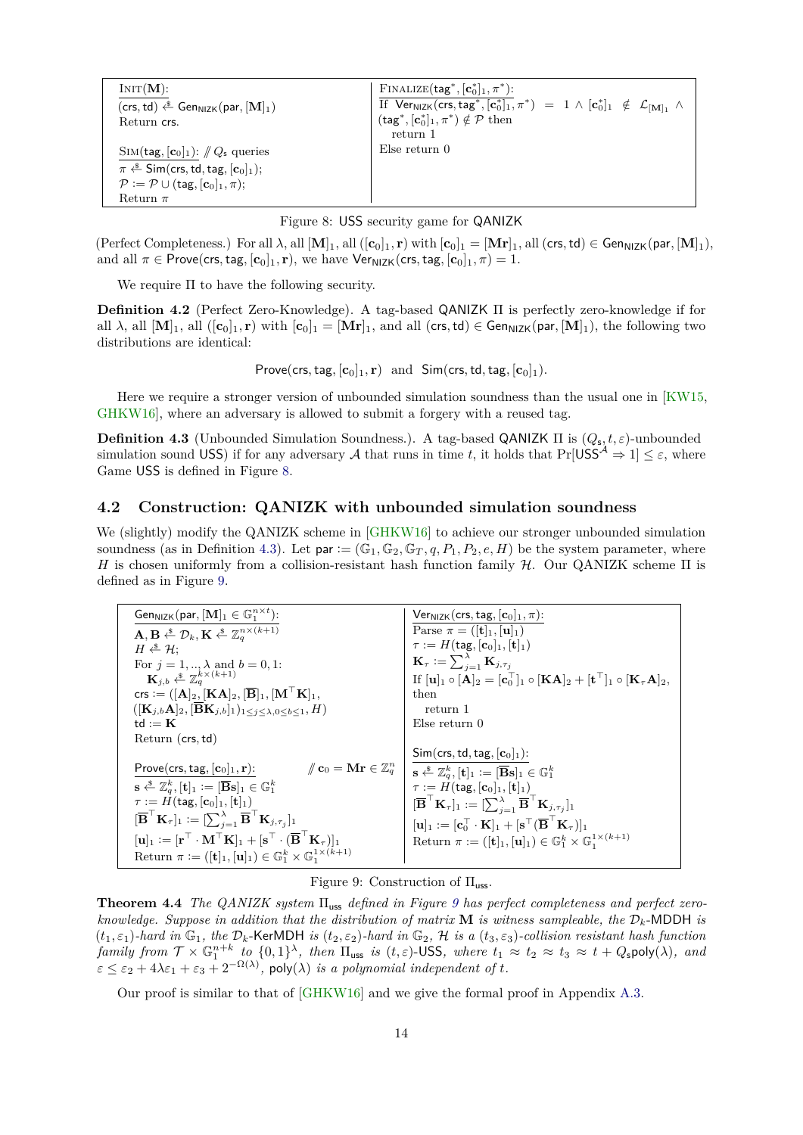<span id="page-13-3"></span>

| INT(M):                                                                                                          | FINALIZE(tag <sup>*</sup> , $[\mathbf{c}_0^*]_1, \pi^*$ ):                                                                               |
|------------------------------------------------------------------------------------------------------------------|------------------------------------------------------------------------------------------------------------------------------------------|
| $(crs, td) \xleftarrow{\$} Gen_{NIZK}(par, [M]_1)$                                                               | If Ver <sub>NIZK</sub> (crs, tag <sup>*</sup> , $[c_0^*]_1, \pi^*$ ) = 1 $\wedge$ $[c_0^*]_1 \notin \mathcal{L}_{ \mathbf{M} _1} \wedge$ |
| Return crs.                                                                                                      | $(\textsf{tag}^*, [\mathbf{c}_0^*]_1, \pi^*) \notin \mathcal{P}$ then                                                                    |
|                                                                                                                  | return 1                                                                                                                                 |
| SIM(tag, $[\mathbf{c}_0]_1$ ): $\mathcal{O}_s$ queries                                                           | $E$ lse return $0$                                                                                                                       |
| $\pi \stackrel{\hspace{0.1em}\mathsf{\scriptscriptstyle\$}}{\leftarrow}$ Sim(crs, td, tag, $[\mathbf{c}_0]_1$ ); |                                                                                                                                          |
| $\mathcal{P} := \mathcal{P} \cup (\text{tag}, [\mathbf{c}_0]_1, \pi);$                                           |                                                                                                                                          |
| Return $\pi$                                                                                                     |                                                                                                                                          |

<span id="page-13-0"></span>

| Figure 8: USS security game for QANIZK |  |  |
|----------------------------------------|--|--|
|                                        |  |  |

(Perfect Completeness.) For all  $\lambda$ , all  $[M]_1$ , all  $([c_0]_1, r)$  with  $[c_0]_1 = [Mr]_1$ , all  $(crs, td) \in Gen_{NIZK}(par, [M]_1)$ , and all  $\pi \in \text{Prove}(\text{crs},\text{tag}, [\mathbf{c}_0]_1, \mathbf{r})$ , we have  $\text{Ver}_{\text{NIZK}}(\text{crs},\text{tag}, [\mathbf{c}_0]_1, \pi) = 1$ .

We require Π to have the following security.

**Definition 4.2** (Perfect Zero-Knowledge). A tag-based QANIZK Π is perfectly zero-knowledge if for all  $\lambda$ , all  $[M]_1$ , all  $([c_0]_1, r)$  with  $[c_0]_1 = [Mr]_1$ , and all  $(crs, td) \in Gen_{NIZK}(par, [M]_1)$ , the following two distributions are identical:

Prove(crs, tag,  $[\mathbf{c}_0]_1$ , **r**) and  $\textsf{Sim}(\textsf{crs},\textsf{td},\textsf{tag},[\mathbf{c}_0]_1)$ *.* 

Here we require a stronger version of unbounded simulation soundness than the usual one in [\[KW15,](#page-23-12) [GHKW16\]](#page-22-2), where an adversary is allowed to submit a forgery with a reused tag.

<span id="page-13-1"></span>**Definition 4.3** (Unbounded Simulation Soundness.). A tag-based QANIZK Π is (*Q*<sup>s</sup> *, t, ε*)-unbounded simulation sound USS) if for any adversary A that runs in time *t*, it holds that  $Pr[USS^{\mathcal{A}} \Rightarrow 1] \leq \varepsilon$ , where Game USS is defined in Figure [8.](#page-13-0)

### **4.2 Construction: QANIZK with unbounded simulation soundness**

We (slightly) modify the QANIZK scheme in [\[GHKW16\]](#page-22-2) to achieve our stronger unbounded simulation soundness (as in Definition [4.3\)](#page-13-1). Let  $\mathsf{par} := (\mathbb{G}_1, \mathbb{G}_2, \mathbb{G}_T, q, P_1, P_2, e, H)$  be the system parameter, where *H* is chosen uniformly from a collision-resistant hash function family *H*. Our QANIZK scheme Π is defined as in Figure [9.](#page-13-2)

| Gen <sub>NIZK</sub> (par, $[M]_1 \in \mathbb{G}_1^{n \times t}$ ):                                                                                                                                                   | $Ver_{NIZK}(crs, tag, [c0]1, \pi):$                                                                                                                                                                                           |
|----------------------------------------------------------------------------------------------------------------------------------------------------------------------------------------------------------------------|-------------------------------------------------------------------------------------------------------------------------------------------------------------------------------------------------------------------------------|
| $\mathbf{A}, \mathbf{B} \overset{\hspace{0.1em}\mathsf{\scriptscriptstyle\$}}{\leftarrow} \mathcal{D}_k, \mathbf{K} \overset{\hspace{0.1em}\mathsf{\scriptscriptstyle\$}}{\leftarrow} \mathbb{Z}_q^{n \times (k+1)}$ | Parse $\pi = ([\mathbf{t}]_1, [\mathbf{u}]_1)$                                                                                                                                                                                |
| $H \xleftarrow{\$} \mathcal{H}$ :                                                                                                                                                                                    | $\tau := H(\text{tag}, [\mathbf{c}_0]_1, [\mathbf{t}]_1)$                                                                                                                                                                     |
| For $j = 1, , \lambda$ and $b = 0, 1$ :                                                                                                                                                                              | $\mathbf{K}_{\tau} \vcentcolon= \sum_{i=1}^{\lambda} \mathbf{K}_{j,\tau_i}$                                                                                                                                                   |
| $\mathbf{K}_{i,b} \overset{\hspace{0.1em}\mathsf{\scriptscriptstyle\$}}{\leftarrow} \mathbb{Z}_a^{k \times (k+1)}$                                                                                                   | If $[\mathbf{u}]_1 \circ [\mathbf{A}]_2 = [\mathbf{c}_0^\top]_1 \circ [\mathbf{K} \mathbf{A}]_2 + [\mathbf{t}^\top]_1 \circ [\mathbf{K}_{\tau} \mathbf{A}]_2$                                                                 |
| crs := $([\mathbf{A}]_2, [\mathbf{K}\mathbf{A}]_2, [\overline{\mathbf{B}}]_1, [\mathbf{M}^\top\mathbf{K}]_1$                                                                                                         | then                                                                                                                                                                                                                          |
| $([{\bf K}_{j,b}{\bf A}]_2, [{\bf B}{\bf K}_{j,b}]_1)_{1\leq j\leq\lambda,0\leq b\leq 1}, H)$                                                                                                                        | return 1                                                                                                                                                                                                                      |
| $td := K$                                                                                                                                                                                                            | $E$ lse return 0                                                                                                                                                                                                              |
| Return (crs, td)                                                                                                                                                                                                     |                                                                                                                                                                                                                               |
|                                                                                                                                                                                                                      | $Sim(crs, td, tag,  c0 1)$ :                                                                                                                                                                                                  |
| Prove(crs, tag, $ {\bf c}_0 _1$ , r):                                                                                                                                                                                | $\mathbb{Z}/\hspace{-0.1cm}C_0=\mathbf{Mr}\in\mathbb{Z}_q^n\;\left \;\; \mathbf{s}\stackrel{\hspace{0.1em}\mathbf{s}}{\leftarrow}\mathbb{Z}_q^k, [\mathbf{t}]_1:=[\mathbf{\overline{B}}\mathbf{s}]_1\in\mathbb{G}_1^k\right $ |
| $\mathbf{s} \stackrel{\$}{\leftarrow} \mathbb{Z}_q^k, [\mathbf{t}]_1 := [\overline{\mathbf{B}} \mathbf{s}]_1 \in \mathbb{G}_1^k$                                                                                     | $\tau := H(\mathsf{tag}, [\mathbf{c}_0]_1, [\mathbf{t}]_1)$                                                                                                                                                                   |
| $\tau := H(\text{tag}, [\mathbf{c}_0]_1, [\mathbf{t}]_1)$                                                                                                                                                            | $[\overline{\mathbf{B}}^{\top} \mathbf{K}_{\tau}]_1 := [\sum_{i=1}^{\lambda} \overline{\mathbf{B}}^{\top} \mathbf{K}_{j, \tau_i}]_1$                                                                                          |
| $[\overline{\mathbf{B}}^\top \mathbf{K}_\tau]_1 \vcentcolon= [\sum_{j=1}^\lambda \overline{\mathbf{B}}^\top \mathbf{K}_{j,\tau_j}]_1$                                                                                | $[\mathbf{u}]_1 := [\mathbf{c}_0^\top \cdot \mathbf{K}]_1 + [\mathbf{s}^\top (\overline{\mathbf{B}}^\top \mathbf{K}_\tau)]_1$                                                                                                 |
| $[\mathbf{u}]_1 := [\mathbf{r}^\top \cdot \mathbf{M}^\top \mathbf{K}]_1 + [\mathbf{s}^\top \cdot (\overline{\mathbf{B}}^\top \mathbf{K}_\tau)]_1$                                                                    | Return $\pi := ([\mathbf{t}]_1, [\mathbf{u}]_1) \in \mathbb{G}_1^k \times \mathbb{G}_1^{1 \times (k+1)}$                                                                                                                      |
| Return $\pi := ([{\bf t}]_1, [{\bf u}]_1) \in \mathbb{G}_1^k \times \mathbb{G}_1^{1 \times (k+1)}$                                                                                                                   |                                                                                                                                                                                                                               |

<span id="page-13-2"></span>Figure 9: Construction of  $\Pi_{\text{use}}$ .

<span id="page-13-4"></span>**Theorem 4.4** *The QANIZK system* Πuss *defined in Figure [9](#page-13-2) has perfect completeness and perfect zeroknowledge. Suppose in addition that the distribution of matrix*  $\bf{M}$  *is witness sampleable, the*  $D_k$ -MDDH *is*  $(t_1, \varepsilon_1)$ *-hard in*  $\mathbb{G}_1$ *, the*  $\mathcal{D}_k$ -KerMDH *is* ( $t_2, \varepsilon_2$ )*-hard in*  $\mathbb{G}_2$ *,*  $\mathcal{H}$  *is a* ( $t_3, \varepsilon_3$ )*-collision resistant hash function family from*  $\mathcal{T} \times \mathbb{G}_1^{n+k}$  *to*  $\{0,1\}^{\lambda}$ *, then*  $\Pi_{\text{uss}}$  *is*  $(t,\varepsilon)$ -USS*, where*  $t_1 \approx t_2 \approx t_3 \approx t + Q_{\text{s}}$ poly $(\lambda)$ *, and*  $\varepsilon \leq \varepsilon_2 + 4\lambda \varepsilon_1 + \varepsilon_3 + 2^{-\Omega(\lambda)}$ , poly $(\lambda)$  *is a polynomial independent of t.* 

Our proof is similar to that of [\[GHKW16\]](#page-22-2) and we give the formal proof in Appendix [A.3.](#page-27-0)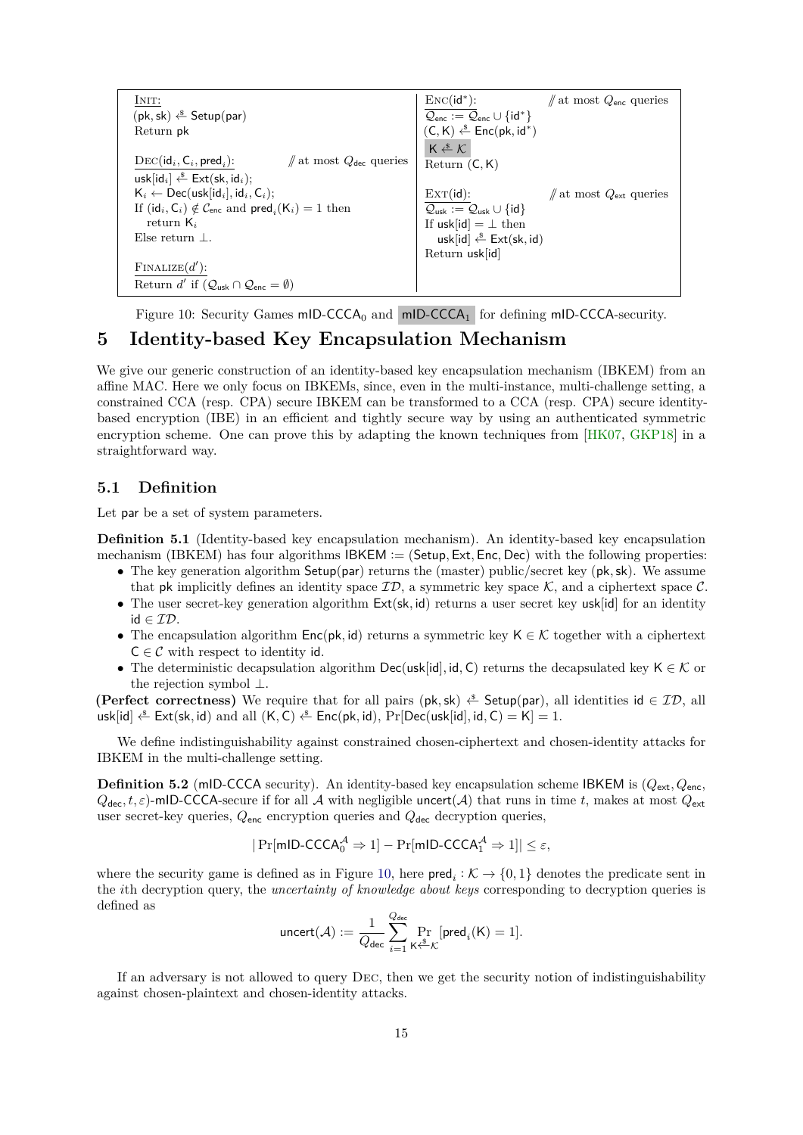<span id="page-14-1"></span>

| INIT:                                                                                                                             | $\text{Enc}(\mathsf{id}^*)$ :                                                                           | $\#$ at most $Q_{\text{enc}}$ queries |
|-----------------------------------------------------------------------------------------------------------------------------------|---------------------------------------------------------------------------------------------------------|---------------------------------------|
| $(\mathsf{pk}, \mathsf{sk}) \overset{\hspace{0.1em}\mathsf{\scriptscriptstyle\$}}{\leftarrow} \mathsf{Setup}(\mathsf{par})$       | $\overline{\mathcal{Q}_{\mathsf{enc}}} := \overline{\mathcal{Q}}_{\mathsf{enc}} \cup \{\mathsf{id}^*\}$ |                                       |
| Return pk                                                                                                                         | $(C, K) \stackrel{\$}{\leftarrow} Enc(pk, id^*)$                                                        |                                       |
|                                                                                                                                   | $K \xleftarrow{\$} K$                                                                                   |                                       |
| $\mathrm{DEC}(\mathsf{id}_i, \mathsf{C}_i, \mathsf{pred}_i)$ :<br>$\#$ at most $Q_{\text{dec}}$ queries                           | Return $(C, K)$                                                                                         |                                       |
| usk $[\mathrm{id}_i] \stackrel{\hspace{0.1em}\mathsf{\scriptscriptstyle\$}}{\leftarrow} \mathsf{Ext}(\mathsf{sk},\mathrm{id}_i);$ |                                                                                                         |                                       |
| $K_i \leftarrow \text{Dec}(\text{usk}[\text{id}_i], \text{id}_i, C_i);$                                                           | $\operatorname{EXT}(\operatorname{\sf id})$ :                                                           | $\#$ at most $Q_{\text{ext}}$ queries |
| If $(id_i, C_i) \notin \mathcal{C}_{\text{enc}}$ and $\text{pred}_i(K_i) = 1$ then                                                | $\mathcal{Q}_{\text{usk}} := \mathcal{Q}_{\text{usk}} \cup \{\text{id}\}\$                              |                                       |
| return $K_i$                                                                                                                      | If $usk(id] = \perp then$                                                                               |                                       |
| Else return $\perp$ .                                                                                                             | usk[id] $\xleftarrow{\$}$ Ext(sk, id)                                                                   |                                       |
|                                                                                                                                   | Return usklid                                                                                           |                                       |
| $\text{FinALIZE}(d')$ :                                                                                                           |                                                                                                         |                                       |
| Return d' if $(Q_{usk} \cap Q_{enc} = \emptyset)$                                                                                 |                                                                                                         |                                       |

<span id="page-14-0"></span>Figure 10: Security Games mID-CCCA<sub>0</sub> and mID-CCCA<sub>1</sub> for defining mID-CCCA-security.

# **5 Identity-based Key Encapsulation Mechanism**

We give our generic construction of an identity-based key encapsulation mechanism (IBKEM) from an affine MAC. Here we only focus on IBKEMs, since, even in the multi-instance, multi-challenge setting, a constrained CCA (resp. CPA) secure IBKEM can be transformed to a CCA (resp. CPA) secure identitybased encryption (IBE) in an efficient and tightly secure way by using an authenticated symmetric encryption scheme. One can prove this by adapting the known techniques from [\[HK07,](#page-22-12) [GKP18\]](#page-22-13) in a straightforward way.

### **5.1 Definition**

Let par be a set of system parameters.

**Definition 5.1** (Identity-based key encapsulation mechanism). An identity-based key encapsulation mechanism (IBKEM) has four algorithms IBKEM := (Setup*,* Ext*,* Enc*,* Dec) with the following properties:

- The key generation algorithm Setup(par) returns the (master) public/secret key (pk*,*sk). We assume that pk implicitly defines an identity space  $\mathcal{ID}$ , a symmetric key space K, and a ciphertext space C.
- The user secret-key generation algorithm  $Ext(s, id)$  returns a user secret key usk[id] for an identity  $id \in \mathcal{ID}.$
- The encapsulation algorithm  $Enc(\mathsf{pk}, \mathsf{id})$  returns a symmetric key  $\mathsf{K} \in \mathcal{K}$  together with a ciphertext  $C \in \mathcal{C}$  with respect to identity id.
- The deterministic decapsulation algorithm  $\text{Dec}(\text{usk}[id], id, C)$  returns the decapsulated key  $K \in \mathcal{K}$  or the rejection symbol ⊥.

**(Perfect correctness)** We require that for all pairs  $(\mathsf{pk}, \mathsf{sk}) \overset{\hspace{0.1em}\mathsf{\scriptscriptstyle\$}}{\phantom{}} \mathsf{Setup}(\mathsf{par})$ , all identities  $\mathsf{id} \in \mathcal{ID}$ , all usk[id]  $\overset{\circ}{\le}$  Ext(sk, id) and all  $(K, C) \overset{\circ}{\le}$  Enc(pk, id), Pr[Dec(usk[id], id, C) = K] = 1.

We define indistinguishability against constrained chosen-ciphertext and chosen-identity attacks for IBKEM in the multi-challenge setting.

**Definition 5.2** (mID-CCCA security). An identity-based key encapsulation scheme IBKEM is (*Q*ext*, Q*enc*,*  $Q_{\text{dec}}$ ,  $t, \varepsilon$ )-mID-CCCA-secure if for all A with negligible uncert(A) that runs in time *t*, makes at most  $Q_{\text{ext}}$ user secret-key queries,  $Q_{\text{enc}}$  encryption queries and  $Q_{\text{dec}}$  decryption queries,

$$
|\Pr[\mathsf{mID\text{-}\mathsf{CCCA}^{\mathcal{A}}_0 \Rightarrow 1] - \Pr[\mathsf{mID\text{-}\mathsf{CCCA}^{\mathcal{A}}_1 \Rightarrow 1]| \le \varepsilon,
$$

where the security game is defined as in Figure [10,](#page-14-0) here  $\text{pred}_i : \mathcal{K} \to \{0,1\}$  denotes the predicate sent in the *i*th decryption query, the *uncertainty of knowledge about keys* corresponding to decryption queries is defined as

$$
\mathsf{uncert}(\mathcal{A}) := \frac{1}{Q_{\mathsf{dec}}} \sum_{i=1}^{Q_{\mathsf{dec}}} \Pr_{\mathsf{K}^{\xi^{\underline{\mathsf{S}}}} \mathcal{K}}[\mathsf{pred}_i(\mathsf{K}) = 1].
$$

If an adversary is not allowed to query Dec, then we get the security notion of indistinguishability against chosen-plaintext and chosen-identity attacks.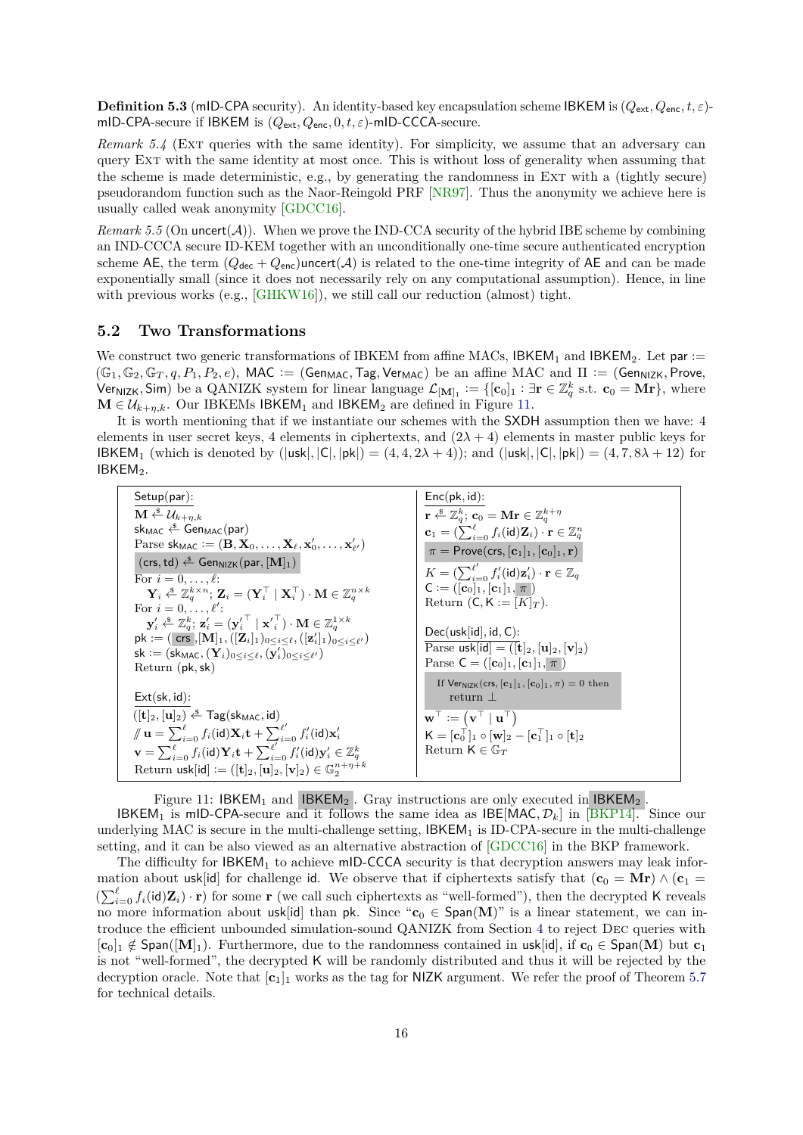<span id="page-15-1"></span>**Definition 5.3** (mID-CPA security). An identity-based key encapsulation scheme IBKEM is  $(Q_{ext}, Q_{enc}, t, \varepsilon)$ mID-CPA-secure if IBKEM is (*Q*ext*, Q*enc*,* 0*, t, ε*)-mID-CCCA-secure.

*Remark 5.4* (EXT queries with the same identity). For simplicity, we assume that an adversary can query Ext with the same identity at most once. This is without loss of generality when assuming that the scheme is made deterministic, e.g., by generating the randomness in Ext with a (tightly secure) pseudorandom function such as the Naor-Reingold PRF [\[NR97\]](#page-23-13). Thus the anonymity we achieve here is usually called weak anonymity [\[GDCC16\]](#page-22-6).

*Remark 5.5* (On uncert( $\mathcal{A}$ )). When we prove the IND-CCA security of the hybrid IBE scheme by combining an IND-CCCA secure ID-KEM together with an unconditionally one-time secure authenticated encryption scheme AE, the term  $(Q_{\text{dec}} + Q_{\text{enc}})$ uncert(A) is related to the one-time integrity of AE and can be made exponentially small (since it does not necessarily rely on any computational assumption). Hence, in line with previous works (e.g.,  $[GHKW16]$ ), we still call our reduction (almost) tight.

#### **5.2 Two Transformations**

We construct two generic transformations of IBKEM from affine MACs,  $IBKEM_1$  and  $IBKEM_2$ . Let par :=  $(\mathbb{G}_1, \mathbb{G}_2, \mathbb{G}_T, q, P_1, P_2, e)$ , MAC := (Gen<sub>MAC</sub>, Tag, Ver<sub>MAC</sub>) be an affine MAC and  $\Pi := (\text{Gen}_{NIZK}, \text{Prove}, \text{Gen}_{NIZK})$  $\mathsf{Ver}_{\mathsf{NIZK}}$ , Sim) be a QANIZK system for linear language  $\mathcal{L}_{[\mathbf{M}]_1} := \{[\mathbf{c}_0]_1 : \exists \mathbf{r} \in \mathbb{Z}_q^k \text{ s.t. } \mathbf{c}_0 = \mathbf{Mr}\},\$  where  $\mathbf{M} \in \mathcal{U}_{k+n,k}$ . Our IBKEMs IBKEM<sub>1</sub> and IBKEM<sub>2</sub> are defined in Figure [11.](#page-15-0)

It is worth mentioning that if we instantiate our schemes with the SXDH assumption then we have: 4 elements in user secret keys, 4 elements in ciphertexts, and  $(2\lambda + 4)$  elements in master public keys for IBKEM<sub>1</sub> (which is denoted by  $(|\text{usk}|, |C|, |\text{pk}|) = (4, 4, 2\lambda + 4)$ ); and  $(|\text{usk}|, |C|, |\text{pk}|) = (4, 7, 8\lambda + 12)$  for  $IBKEM<sub>2</sub>$ .

| Setup(par):                                                                                                                                                                     | $Enc(pk, id)$ :                                                                                                                                                  |
|---------------------------------------------------------------------------------------------------------------------------------------------------------------------------------|------------------------------------------------------------------------------------------------------------------------------------------------------------------|
| $\mathbf{M} \overset{\hspace{0.1em}\mathsf{\scriptscriptstyle\$}}{\leftarrow} \mathcal{U}_{k+\eta,k}$                                                                           | $\mathbf{r} \overset{\hspace{0.1em}\mathsf{\scriptscriptstyle\$}}{\leftarrow} \mathbb{Z}_q^k; \, \mathbf{c}_0 = \mathbf{M} \mathbf{r} \in \mathbb{Z}_q^{k+\eta}$ |
| $\frac{1}{2}$ Sk <sub>MAC</sub> $\frac{1}{2}$ Gen <sub>MAC</sub> (par)                                                                                                          | $\mathbf{c}_1 = \left(\sum_{i=0}^{\ell} f_i(\mathsf{id}) \mathbf{Z}_i\right) \cdot \mathbf{r} \in \mathbb{Z}_q^n$                                                |
| Parse sk <sub>MAC</sub> := $(\mathbf{B}, \mathbf{X}_0, \dots, \mathbf{X}_{\ell}, \mathbf{x}'_0, \dots, \mathbf{x}'_{\ell})$                                                     | $\pi = \text{Prove}(\text{crs}, [\mathbf{c}_1]_1, [\mathbf{c}_0]_1, \mathbf{r})$                                                                                 |
| $(crs, td) \xleftarrow{\$} Gen_{NIZK}(par, [M]_1)$                                                                                                                              |                                                                                                                                                                  |
| For $i=0,\ldots,\ell$ :                                                                                                                                                         | $\overline{K} = (\sum_{i=0}^{\ell'} f'_i(\mathsf{id}) \mathbf{z}'_i) \cdot \mathbf{r} \in \mathbb{Z}_q$<br>$C := ([c_0]_1, [c_1]_1, \pi)$                        |
| $\mathbf{Y}_i \stackrel{\$}{\leftarrow} \mathbb{Z}_a^{k \times n}$ ; $\mathbf{Z}_i = (\mathbf{Y}_i^\top \mid \mathbf{X}_i^\top) \cdot \mathbf{M} \in \mathbb{Z}_a^{n \times k}$ | Return $(C, K := [K]_T)$ .                                                                                                                                       |
| For $i=0,\ldots,\ell'$ :                                                                                                                                                        |                                                                                                                                                                  |
| $\mathbf{y}'_i \stackrel{\$}{\leftarrow} \mathbb{Z}_{a}^k$ ; $\mathbf{z}'_i = (\mathbf{y}'_i^\top \mid \mathbf{x}'_i^\top) \cdot \mathbf{M} \in \mathbb{Z}_{a}^{1 \times k}$    | $Dec(usklid], id, C)$ :                                                                                                                                          |
| $pk := ( \text{ crs }, [M]_1, ([Z_i]_1)_{0 \leq i \leq \ell}, ([z'_i]_1)_{0 \leq i \leq \ell'})$                                                                                | Parse usk[id] = $([t]_2, [u]_2, [v]_2)$                                                                                                                          |
| $\mathsf{sk} := (\mathsf{sk}_{\mathsf{MAC}}, (\mathbf{Y}_i)_{0 \leq i \leq \ell}, (\mathbf{y}'_i)_{0 \leq i \leq \ell'})$<br>Return (pk, sk)                                    | Parse $C = ( c_0 _1,  c_1 _1, \pi)$                                                                                                                              |
|                                                                                                                                                                                 | If Ver <sub>NIZK</sub> (crs, $[\mathbf{c}_1]_1$ , $[\mathbf{c}_0]_1$ , $\pi$ ) = 0 then                                                                          |
| $Ext(sk, id)$ :                                                                                                                                                                 | return $\perp$                                                                                                                                                   |
| $([t]_2, [u]_2) \stackrel{\hspace{0.1em}\mathsf{\scriptscriptstyle\$}}{\leftarrow} \mathsf{Tag}(\mathsf{sk}_{\mathsf{MAC}}, \mathsf{id})$                                       | $\mathbf{w}^{\top} := (\mathbf{v}^{\top}   \mathbf{u}^{\top})$                                                                                                   |
| $\mathcal{J}_i \mathbf{u} = \sum_{i=0}^\ell f_i(\mathsf{id}) \mathbf{X}_i \mathbf{t} + \sum_{i=0}^{\ell'} f'_i(\mathsf{id}) \mathbf{x}'_i$                                      | $K = [\mathbf{c}_0^\top]_1 \circ [\mathbf{w}]_2 - [\mathbf{c}_1^\top]_1 \circ [\mathbf{t}]_2$                                                                    |
| $\mathbf{v} = \sum_{i=0}^{\ell} f_i(\mathsf{id}) \mathbf{Y}_i \mathbf{t} + \sum_{i=0}^{\ell'} f'_i(\mathsf{id}) \mathbf{y}'_i \in \mathbb{Z}_q^k$                               | Return $\mathsf{K} \in \mathbb{G}_T$                                                                                                                             |
| Return usk[id] $:=( [t]_2, [u]_2, [v]_2) \in \mathbb{G}_2^{n+\eta+k}$                                                                                                           |                                                                                                                                                                  |

<span id="page-15-0"></span>Figure 11:  $IBKEM_1$  and  $IBKEM_2$ . Gray instructions are only executed in  $IBKEM_2$ . IBKEM<sub>1</sub> is mID-CPA-secure and it follows the same idea as IBE[MAC,  $\mathcal{D}_k$ ] in [\[BKP14\]](#page-21-5). Since our underlying MAC is secure in the multi-challenge setting,  $IBKEM_1$  is ID-CPA-secure in the multi-challenge setting, and it can be also viewed as an alternative abstraction of [\[GDCC16\]](#page-22-6) in the BKP framework.

The difficulty for  $IBKEM_1$  to achieve mID-CCCA security is that decryption answers may leak information about usk[id] for challenge id. We observe that if ciphertexts satisfy that  $(c_0 = Mr) \wedge (c_1 =$  $\left(\sum_{i=0}^{\ell} f_i(\mathsf{id}) \mathbf{Z}_i\right) \cdot \mathbf{r}$  for some  $\mathbf{r}$  (we call such ciphertexts as "well-formed"), then the decrypted K reveals no more information about usk[id] than pk. Since " $c_0 \in Span(M)$ " is a linear statement, we can introduce the efficient unbounded simulation-sound QANIZK from Section [4](#page-12-1) to reject Dec queries with  $[\mathbf{c}_0]_1 \notin \text{Span}([\mathbf{M}]_1)$ . Furthermore, due to the randomness contained in usk[id], if  $\mathbf{c}_0 \in \text{Span}(\mathbf{M})$  but  $\mathbf{c}_1$ is not "well-formed", the decrypted K will be randomly distributed and thus it will be rejected by the decryption oracle. Note that  $[\mathbf{c}_1]_1$  works as the tag for NIZK argument. We refer the proof of Theorem [5.7](#page-16-0) for technical details.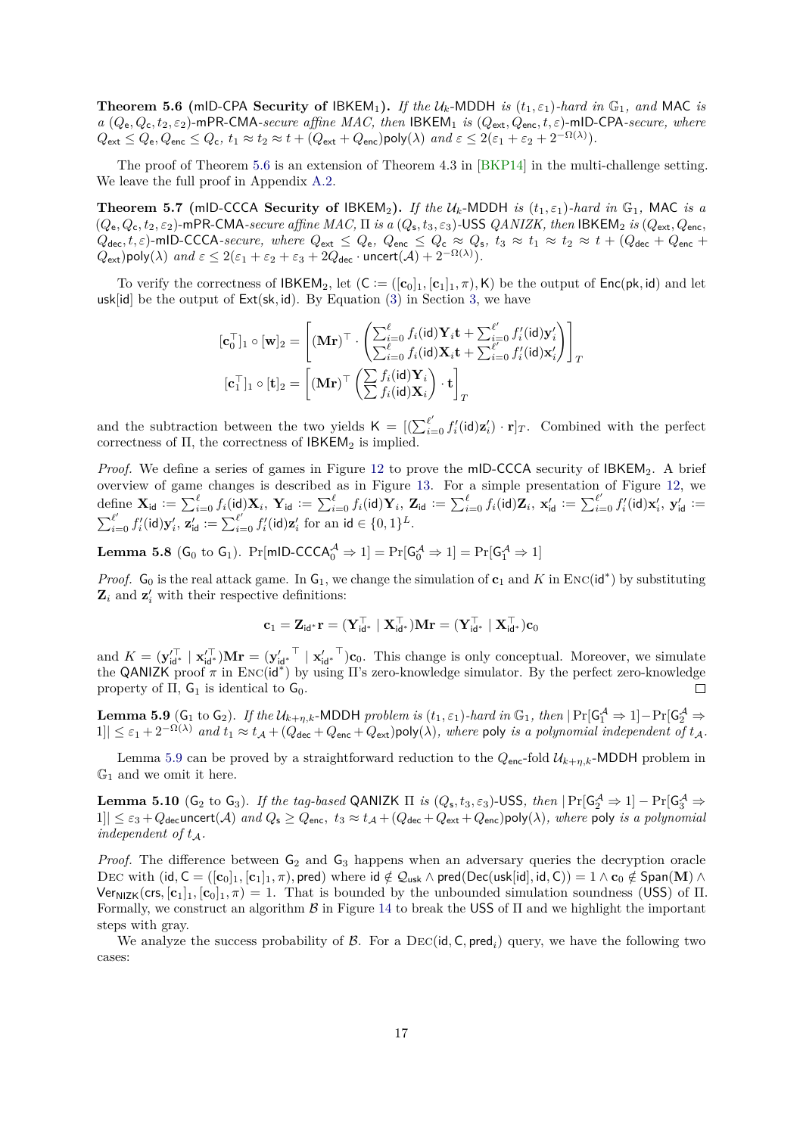<span id="page-16-5"></span><span id="page-16-1"></span>**Theorem 5.6 (**mID-CPA **Security of** IBKEM<sub>1</sub>). *If the*  $U_k$ -MDDH *is*  $(t_1, \varepsilon_1)$ *-hard in*  $\mathbb{G}_1$ *, and* MAC *is*  $a (Q_e, Q_c, t_2, \varepsilon_2)$ -mPR-CMA-secure affine MAC, then IBKEM<sub>1</sub> is  $(Q_{ext}, Q_{enc}, t, \varepsilon)$ -mID-CPA-secure, where  $Q_{\text{ext}} \leq Q_{\text{e}}, Q_{\text{enc}} \leq Q_{\text{c}}, t_1 \approx t_2 \approx t + (Q_{\text{ext}} + Q_{\text{enc}}) \text{poly}(\lambda) \text{ and } \varepsilon \leq 2(\varepsilon_1 + \varepsilon_2 + 2^{-\Omega(\lambda)}).$ 

The proof of Theorem [5.6](#page-16-1) is an extension of Theorem 4.3 in [\[BKP14\]](#page-21-5) in the multi-challenge setting. We leave the full proof in Appendix [A.2.](#page-25-0)

<span id="page-16-0"></span>**Theorem 5.7** (mID-CCCA **Security of** IBKEM<sub>2</sub>). *If the*  $U_k$ -MDDH *is* ( $t_1, \epsilon_1$ )*-hard in*  $\mathbb{G}_1$ , MAC *is a*  $(Q_e, Q_c, t_2, \varepsilon_2)$ -mPR-CMA-secure affine  $MAC$ ,  $\Pi$  *is a*  $(Q_s, t_3, \varepsilon_3)$ -USS  $QANIZK$ , then  $\mathsf{IBKEM}_2$  *is*  $(Q_{\mathsf{ext}}, Q_{\mathsf{enc}},$  $Q_{\text{dec}}$ ,  $t, \varepsilon$ )-mID-CCCA*-secure, where*  $Q_{\text{ext}} \leq Q_{\text{e}}$ ,  $Q_{\text{enc}} \leq Q_{\text{c}} \approx Q_{\text{s}}$ ,  $t_3 \approx t_1 \approx t_2 \approx t + (Q_{\text{dec}} + Q_{\text{enc}} + Q_{\text{enc}})$  $Q_{\mathsf{ext}}$ )poly $(\lambda)$  *and*  $\varepsilon \leq 2(\varepsilon_1 + \varepsilon_2 + \varepsilon_3 + 2Q_{\mathsf{dec}} \cdot \mathsf{uncert}(\mathcal{A}) + 2^{-\Omega(\lambda)}).$ 

To verify the correctness of IBKEM<sub>2</sub>, let  $(C := ([c_0]_1, [c_1]_1, \pi), K)$  be the output of Enc(pk, id) and let usk[id] be the output of Ext(sk*,* id). By Equation [\(3\)](#page-6-0) in Section [3,](#page-6-3) we have

$$
[\mathbf{c}_0^\top]_1 \circ [\mathbf{w}]_2 = \left[ (\mathbf{M}\mathbf{r})^\top \cdot \left( \frac{\sum_{i=0}^\ell f_i(\mathrm{id}) \mathbf{Y}_i \mathbf{t} + \sum_{i=0}^{\ell'} f'_i(\mathrm{id}) \mathbf{y}'_i}{\sum_{i=0}^{\ell} f_i(\mathrm{id}) \mathbf{X}_i \mathbf{t} + \sum_{i=0}^{\ell'} f'_i(\mathrm{id}) \mathbf{x}'_i} \right) \right]_T
$$

$$
[\mathbf{c}_1^\top]_1 \circ [\mathbf{t}]_2 = \left[ (\mathbf{M}\mathbf{r})^\top \left( \sum_{i=0}^{\ell} f_i(\mathrm{id}) \mathbf{Y}_i \right) \cdot \mathbf{t} \right]_T
$$

and the subtraction between the two yields  $\mathbf{K} = \left[ \left( \sum_{i=0}^{\ell'} f'_i(\mathbf{id}) \mathbf{z}'_i \right) \cdot \mathbf{r} \right]_T$ . Combined with the perfect correctness of  $\Pi$ , the correctness of  $IBKEM_2$  is implied.

*Proof.* We define a series of games in Figure [12](#page-17-0) to prove the mID-CCCA security of IBKEM<sub>2</sub>. A brief overview of game changes is described as in Figure [13.](#page-18-0) For a simple presentation of Figure [12,](#page-17-0) we  $\text{define }\mathbf{X}_{\mathsf{id}}\,:=\sum_{i=0}^\ell f_i(\mathsf{id})\mathbf{X}_i,\ \mathbf{Y}_{\mathsf{id}}\,:=\sum_{i=0}^\ell f_i(\mathsf{id})\mathbf{Y}_i,\ \mathbf{Z}_{\mathsf{id}}\,:=\sum_{i=0}^\ell f_i(\mathsf{id})\mathbf{Z}_i,\ \mathbf{x}'_{\mathsf{id}}\,:=\sum_{i=0}^{\ell'} f'_i(\mathsf{id})\mathbf{x}'_i,\ \mathbf{y}'_{\mathsf{id}}\,:=\sum_{i=0}^\ell f'_i(\mathsf{id})\mathbf{x}'_i$  $\sum_{i=0}^{\ell'} f'_i(\text{id}) \mathbf{y}'_i, \mathbf{z}'_i = \sum_{i=0}^{\ell'} f'_i(\text{id}) \mathbf{z}'_i \text{ for an id } \in \{0,1\}^L.$ 

<span id="page-16-4"></span>**Lemma 5.8** ( $G_0$  to  $G_1$ ). Pr[mID-CCCA $_0^{\mathcal{A}} \Rightarrow 1] = Pr[G_0^{\mathcal{A}} \Rightarrow 1] = Pr[G_1^{\mathcal{A}} \Rightarrow 1]$ 

*Proof.*  $G_0$  is the real attack game. In  $G_1$ , we change the simulation of  $c_1$  and K in ENC(id<sup>\*</sup>) by substituting  $\mathbf{Z}_i$  and  $\mathbf{z}'_i$  with their respective definitions:

$$
\mathbf{c}_1 = \mathbf{Z}_{\mathsf{id}^*}\mathbf{r} = (\mathbf{Y}_{\mathsf{id}^*}^\top \mid \mathbf{X}_{\mathsf{id}^*}^\top)\mathbf{M}\mathbf{r} = (\mathbf{Y}_{\mathsf{id}^*}^\top \mid \mathbf{X}_{\mathsf{id}^*}^\top)\mathbf{c}_0
$$

and  $K = (\mathbf{y}_{\mathsf{id}^*}^{\prime\top} \mid \mathbf{x}_{\mathsf{id}^*}^{\prime\top}) \mathbf{M} \mathbf{r} = (\mathbf{y}_{\mathsf{id}^*}^{\prime\top} \mid \mathbf{x}_{\mathsf{id}^*}^{\prime\top}) \mathbf{c}_0$ . This change is only conceptual. Moreover, we simulate the QANIZK proof  $\pi$  in ENC(id<sup>\*</sup>) by using  $\Pi$ 's zero-knowledge simulator. By the perfect zero-knowledge property of  $\Pi$ ,  $G_1$  is identical to  $G_0$ .  $\Box$ 

<span id="page-16-2"></span>**Lemma 5.9** ( $G_1$  to  $G_2$ ). *If the*  $\mathcal{U}_{k+\eta,k}$ -MDDH *problem is*  $(t_1, \varepsilon_1)$ -hard in  $\mathbb{G}_1$ , then  $|\Pr[G_1^{\mathcal{A}} \Rightarrow 1] - \Pr[G_2^{\mathcal{A}} \Rightarrow$  $|1| \leq \varepsilon_1 + 2^{-\Omega(\lambda)}$  and  $t_1 \approx t_{\mathcal{A}} + (Q_{\text{dec}} + Q_{\text{enc}} + Q_{\text{ext}})$ poly $(\lambda)$ *, where* poly *is a polynomial independent of*  $t_{\mathcal{A}}$ *.* 

Lemma [5.9](#page-16-2) can be proved by a straightforward reduction to the  $Q_{\text{enc}}$ -fold  $\mathcal{U}_{k+\eta,k}$ -MDDH problem in  $\mathbb{G}_1$  and we omit it here.

<span id="page-16-3"></span>**Lemma 5.10** ( $G_2$  to  $G_3$ ). *If the tag-based* QANIZK  $\Pi$  *is* ( $Q_s$ ,  $t_3$ ,  $\varepsilon_3$ )-USS, *then*  $|\Pr[G_2^{\mathcal{A}} \Rightarrow 1] - \Pr[G_3^{\mathcal{A}} \Rightarrow$  $1| |\leq \varepsilon_3 + Q_{\text{dec}}$ uncert(*A*) and  $Q_s \geq Q_{\text{enc}}$ ,  $t_3 \approx t_A + (Q_{\text{dec}} + Q_{\text{ext}} + Q_{\text{enc}})$ poly(*λ*), where poly *is a polynomial independent of*  $t_A$ .

*Proof.* The difference between  $G_2$  and  $G_3$  happens when an adversary queries the decryption oracle DEC with  $(id, C = ([c_0]_1, [c_1]_1, \pi)$ , pred) where  $id \notin Q_{usk} \wedge pred(Dec(usk[id], id, C)) = 1 \wedge c_0 \notin Span(M) \wedge$ Ver<sub>NIZK</sub>(crs,  $[\mathbf{c}_1]_1, [\mathbf{c}_0]_1, \pi$ ) = 1. That is bounded by the unbounded simulation soundness (USS) of  $\Pi$ . Formally, we construct an algorithm  $\beta$  in Figure [14](#page-19-0) to break the USS of  $\Pi$  and we highlight the important steps with gray.

We analyze the success probability of  $\mathcal{B}$ . For a DEC(id, C, pred<sub>i</sub>) query, we have the following two cases: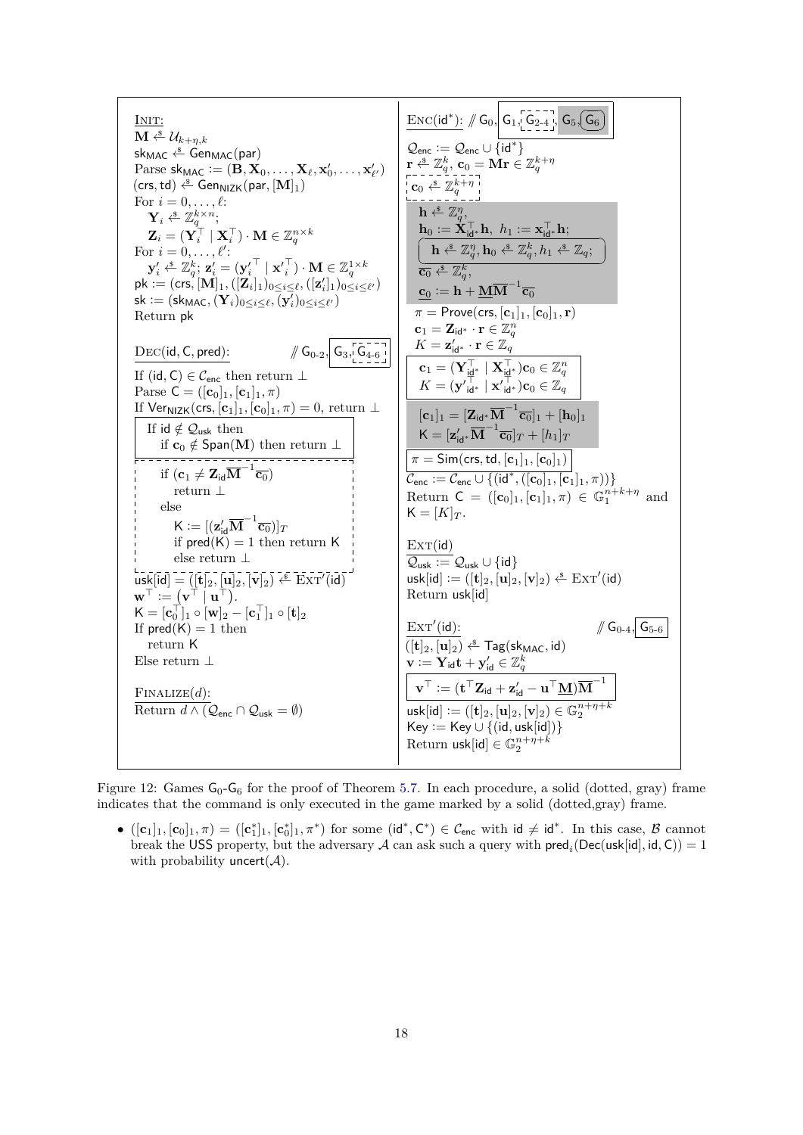INIT:  $\mathbf{M} \overset{\hspace{0.1em}\mathsf{\scriptscriptstyle\$}}{\leftarrow} \mathcal{U}_{k+\eta,k}$  $sk_{MAC} \overset{\$}{\leftarrow} Gen_{MAC}(par)$  $\text{Parse } \textsf{sk}_{\textsf{MAC}} := (\mathbf{B}, \mathbf{X}_0, \dots, \mathbf{X}_{\ell}, \mathbf{x}'_0, \dots, \mathbf{x}'_{\ell'})$  $(crs, td) \xleftarrow{s} Gen_{NIZK}(par, [\mathbf{M}]_1)$ For  $i = 0, \ldots, \ell$ :  $\mathbf{Y}_i \triangleq \mathbb{Z}_q^{k \times n};$  $\mathbf{Z}_i = (\mathbf{Y}_i^\top \mid \mathbf{X}_i^\top) \cdot \mathbf{M} \in \mathbb{Z}_q^{n \times k}$ For  $i = 0, \ldots, \ell'$ :  $\mathbf{y}_i' \overset{\hspace{0.1em}\mathsf{\scriptscriptstyle\$}}{\leftarrow} \mathbb{Z}_q^k; \, \mathbf{z}_i' = (\mathbf{y}_i'^\top \mid \mathbf{x'}_i^\top) \cdot \mathbf{M} \in \mathbb{Z}_q^{1 \times k} \ \mathsf{pk} := (\mathsf{crs}, [\mathbf{M}]_1, ([\mathbf{Z}_i]_1)_{0 \leq i \leq \ell}, ([\mathbf{z}'_i]_1)_{0 \leq i \leq \ell'})$  $\mathsf{sk} \coloneqq (\mathsf{sk}_\mathsf{MAC}, (\mathbf{Y}_i)_{0 \leq i \leq \ell}, (\mathbf{y}'_i)_{0 \leq i \leq \ell'})$ Return pk  $\text{DEC}(\text{id}, \textsf{C}, \textsf{pred})$ : //  $\textsf{G}_{0-2}$ ,  $\textsf{G}_3$ ,  $\textsf{G}_{4-6}$ If  $(id, C) \in \mathcal{C}_{enc}$  then return Parse  $C = ([c_0]_1, [c_1]_1, \pi)$ If  $Ver_{NIZK}(crs, [c_1]_1, [c_0]_1, \pi) = 0$ , return ⊥ If id  $\notin \mathcal{Q}_{\text{usk}}$  then if  $c_0 \notin \text{Span}(M)$  then return ⊥ if  $(\mathbf{c}_1 \neq \mathbf{Z}_{\mathsf{id}} \overline{\mathbf{M}}^{-1} \overline{\mathbf{c}_0})$ return ⊥ else  $\mathsf{K} := [(\mathbf{z}^\prime_{\mathsf{id}} \overline{\mathbf{M}}^{-1} \overline{\mathbf{c}_0})]_T$ if  $pred(K) = 1$  then return K else return ⊥  $\overline{\text{u}}$ sk $[\overline{\text{id}}] = (\overline{\text{t}}]_2, \overline{\text{u}}]_2, \overline{\text{v}}]_2$ )  $\overline{\leftarrow}$  Ext $\overline{\text{r}}'(\overline{\text{id}})$  $\mathbf{w}^{\top} \vcentcolon= (\mathbf{v}^{\top} \mid \mathbf{u}^{\top}).$  $\mathsf{K} = [\mathbf{c}_0^\top]_1 \circ [\mathbf{w}]_2 - [\mathbf{c}_1^\top]_1 \circ [\mathbf{t}]_2$ If  $pred(K) = 1$  then return K Else return ⊥  $\text{FINALIZE}(d)$ : Return  $d \wedge (Q_{\text{enc}} \cap Q_{\text{usk}} = \emptyset)$  $\text{Enc}(\mathsf{id}^*)$ :  $\mathcal{N}$  G<sub>0</sub>, G<sub>1</sub>, G<sub>2-4</sub><sup>-1</sup>, G<sub>5</sub>, G  $\left($  G<sub>6</sub> ☎  $^{\prime}$  $\mathcal{Q}_{\mathsf{enc}} \vcentcolon= \mathcal{Q}_{\mathsf{enc}} \cup \{\mathsf{id}^*\}$  $\mathbf{r} \triangleq \mathbb{Z}_q^k, \, \mathbf{c}_0 = \tilde{\mathbf{M}} \mathbf{r} \in \mathbb{Z}_q^{k+\eta}$  $\mathbf{c}_0 \overset{\hspace{0.1em}\mathsf{\scriptscriptstyle\$}}{\leftarrow} \mathbb{Z}_q^{k+\eta}$  $\mathbf{h} \stackrel{\$}{\leftarrow} \mathbb{Z}_a^\eta,$  $\mathbf{h}_0 := \mathbf{X}_{\mathsf{id}^*}^\top \mathbf{h}, \ h_1 := \mathbf{x}_{\mathsf{id}^*}^\top \mathbf{h};$  $\overline{\mathbf{c}_0 \triangleq \mathbb{Z}_q^k},$  $\mathbf{a}$ ✆  $\mathbf{h} \stackrel{\$}{\leftarrow} \mathbb{Z}_q^n, \mathbf{h}_0 \stackrel{\$}{\leftarrow} \mathbb{Z}_q^k, h_1 \stackrel{\$}{\leftarrow} \mathbb{Z}_q;$  $\mathbf{c}_0 \vcentcolon= \overline{\mathbf{h}} + \underline{\mathbf{M}} \overline{\mathbf{M}}^{-1} \overline{\mathbf{c}_0}$  $\pi = \text{Prove}(\text{crs}, [\mathbf{c}_1]_1, [\mathbf{c}_0]_1, \mathbf{r})$  $\mathbf{c}_1 = \mathbf{Z}_{\mathsf{id}^*} \cdot \mathbf{r} \in \mathbb{Z}_q^n$  $K = \mathbf{z}^{\prime}_{\mathsf{id}^*} \cdot \mathbf{r} \in \mathbb{Z}_q$  $\mathbf{c}_1 = (\mathbf{Y}_{\mathsf{\underline{id}}^*}^\top \mid \mathbf{X}_{\mathsf{\underline{id}}^*}^\top)\mathbf{c}_0 \in \mathbb{Z}_q^n$  $K = (\mathbf{y'}_{\mathsf{id}^*}^\top \mid \mathbf{x'}_{\mathsf{id}^*}^\top)\mathbf{c}_0 \in \mathbb{Z}_q^{\top}$  $[\mathbf{c}_1]_1 = [\mathbf{Z}_\mathsf{id^*} \overline{\mathbf{M}}^{-1} \overline{\mathbf{c}_0}]_1 + [\mathbf{h}_0]_1$  $\mathsf{K} = [\mathbf{z}^{\prime}_{\mathsf{id}^*}\overline{\mathbf{M}}^{-1}\overline{\mathbf{c}_0}]_T + [h_1]_T$  $\pi = Sim(crs, td, [\mathbf{c}_1]_1, [\mathbf{c}_0]_1)$  $\overline{\mathcal{C}_{\mathsf{enc}}\coloneqq \mathcal{C}_{\mathsf{enc}}\cup\{(\mathsf{id}^*,([\mathbf{c}_0]_1,[\mathbf{c}_1]_1,\pi))\}}$ Return  $C = ([c_0]_1, [c_1]_1, \pi) \in \mathbb{G}_1^{n+k+\eta}$  and  $K = [K]_T$ .  $EXT(id)$  $\mathcal{Q}_{\mathsf{usk}} := \mathcal{Q}_{\mathsf{usk}} \cup \{\mathsf{id}\}$  $\textsf{usk}[\textsf{id}] := ([\textbf{t}]_2, [\textbf{u}]_2, [\textbf{v}]_2) \overset{\hspace{0.1em}\mathsf{\scriptscriptstyle\$}}{\leftarrow} \text{EXT}'(\textsf{id})$ Return usk[id]  $\operatorname{ExT}^{\prime}$ (id):  $\sqrt{G_{0-4}}, G_{5-6}$  $(\overline{[\mathbf{t}}]_2, [\mathbf{u}]_2) \overset{\hspace{0.1em}\mathsf{\scriptscriptstyle\$}}{\leftarrow} \mathsf{Tag}(\mathsf{sk}_{\mathsf{MAC}}, \mathsf{id})$  $\mathbf{v} \vcentcolon= \mathbf{Y}_{\mathsf{id}} \mathbf{t} + \mathbf{y}'_{\mathsf{id}} \in \mathbb{Z}_q^k$  $\mathbf{v}^\top := (\mathbf{t}^\top \mathbf{Z}_{\mathsf{id}} + \mathbf{z}'_{\mathsf{id}} - \mathbf{u}^\top \underline{\mathbf{M}}) \overline{\mathbf{M}}^{-1}$  $\textsf{usk}[\textsf{id}] := ([\textbf{t}]_2, [\textbf{u}]_2, [\textbf{v}]_2) \in \mathbb{G}_2^{n+\eta+k}$  $Key := Key \cup \{(id, usk(id])\}$  $\text{Return usk}[\text{id}] \in \mathbb{G}_2^{n+\eta+k}$ 

Figure 12: Games  $G_0-G_6$  for the proof of Theorem [5.7.](#page-16-0) In each procedure, a solid (dotted, gray) frame indicates that the command is only executed in the game marked by a solid (dotted,gray) frame.

<span id="page-17-0"></span> $\bullet$  ( $[\mathbf{c}_1]_1, [\mathbf{c}_0]_1, \pi$ ) = ( $[\mathbf{c}_1^*]_1, [\mathbf{c}_0^*]_1, \pi^*$ ) for some ( $\mathsf{id}^*, \mathsf{C}^*$ )  $\in \mathcal{C}_{\mathsf{enc}}$  with  $\mathsf{id} \neq \mathsf{id}^*$ . In this case,  $\mathcal{B}$  cannot break the USS property, but the adversary  $\mathcal A$  can ask such a query with  $\mathsf{pred}_i(\mathsf{Dec}(\mathsf{usk}[\mathsf{id}], \mathsf{id}, \mathsf{C})) = 1$ with probability uncert $(A)$ .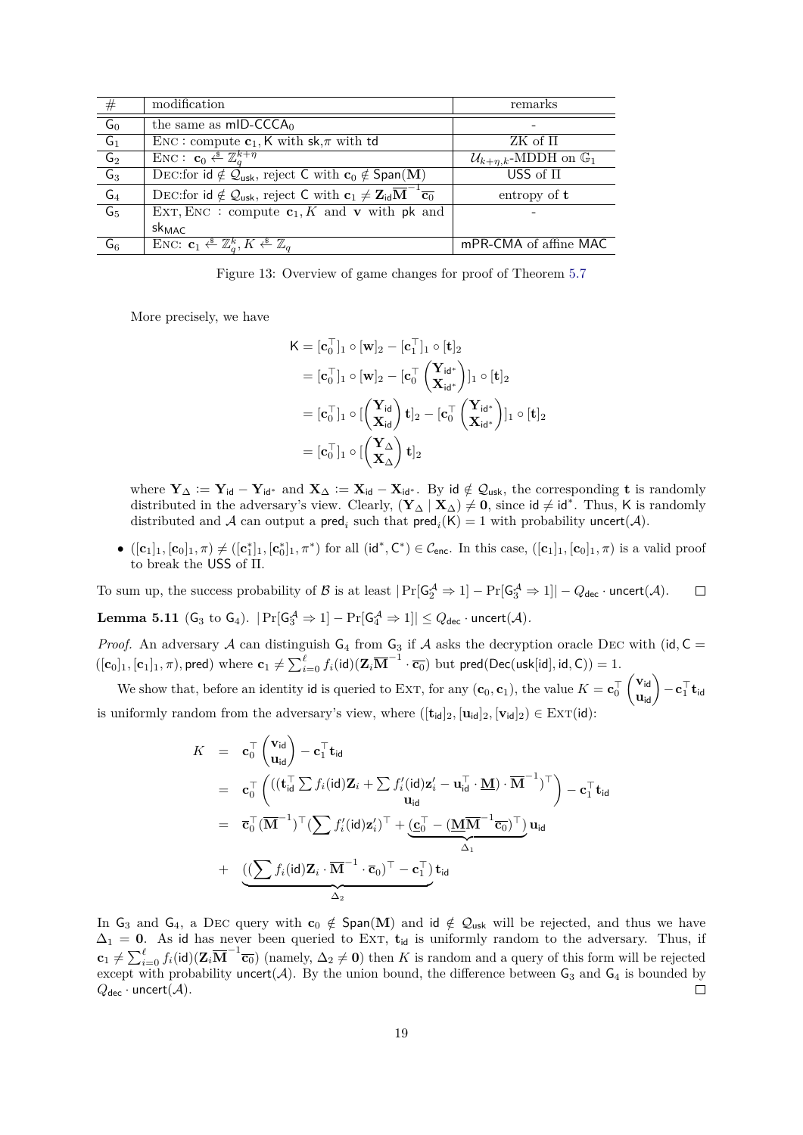| #                                   | modification                                                                                                                       | remarks                                       |
|-------------------------------------|------------------------------------------------------------------------------------------------------------------------------------|-----------------------------------------------|
| $\overline{\mathsf{G}_0}$           | the same as $mID-CCCA0$                                                                                                            |                                               |
| $\overline{\mathsf{G}_1}$           | ENC: compute $c_1$ , K with $sk, \pi$ with td                                                                                      | $2K$ of $\Pi$                                 |
| $\overline{\mathsf{G}_2}$           | ENC: $\mathbf{c}_0 \stackrel{\$}{\leftarrow} \mathbb{Z}_a^{k+\eta}$                                                                | $\mathcal{U}_{k+n,k}$ -MDDH on $\mathbb{G}_1$ |
| $\overline{\mathsf{G}_3}$           | DEC:for $id \notin \mathcal{Q}_{usk}$ , reject C with $\mathbf{c}_0 \notin Span(\mathbf{M})$                                       | USS of $\Pi$                                  |
| $\frac{\mathsf{G}_4}{\mathsf{G}_5}$ | DEC:for id $\notin Q_{usk}$ , reject C with $\mathbf{c}_1 \neq \mathbf{Z}_{id} \overline{\mathbf{M}}^{-1} \overline{\mathbf{c}_0}$ | entropy of $t$                                |
|                                     | EXT, ENC : compute $c_1, K$ and v with pk and                                                                                      |                                               |
|                                     | <b>sk</b> <sub>MAC</sub>                                                                                                           |                                               |
| $G_6$                               | ENC: $\mathbf{c}_1 \xleftarrow{\$} \mathbb{Z}_q^k, K \xleftarrow{\$} \mathbb{Z}_q$                                                 | mPR-CMA of affine MAC                         |

<span id="page-18-0"></span>Figure 13: Overview of game changes for proof of Theorem [5.7](#page-16-0)

More precisely, we have

$$
\begin{aligned} \mathsf{K} &=[\mathbf{c}_0^\top]_1\circ [\mathbf{w}]_2-[\mathbf{c}_1^\top]_1\circ [\mathbf{t}]_2 \\&=[\mathbf{c}_0^\top]_1\circ [\mathbf{w}]_2-[\mathbf{c}_0^\top \begin{pmatrix} \mathbf{Y}_{\mathsf{id}^*}\\ \mathbf{X}_{\mathsf{id}^*} \end{pmatrix}]_1\circ [\mathbf{t}]_2 \\&=[\mathbf{c}_0^\top]_1\circ [\begin{pmatrix} \mathbf{Y}_{\mathsf{id}}\\ \mathbf{X}_{\mathsf{id}} \end{pmatrix}\mathbf{t}]_2-[\mathbf{c}_0^\top \begin{pmatrix} \mathbf{Y}_{\mathsf{id}^*}\\ \mathbf{X}_{\mathsf{id}^*} \end{pmatrix}]_1\circ [\mathbf{t}]_2 \\&=[\mathbf{c}_0^\top]_1\circ [\begin{pmatrix} \mathbf{Y}_{\Delta}\\ \mathbf{X}_{\Delta} \end{pmatrix}\mathbf{t}]_2 \end{aligned}
$$

where  $Y_{\Delta} := Y_{id} - Y_{id}$ <sup>\*</sup> and  $X_{\Delta} := X_{id} - X_{id}$ <sup>\*</sup>. By  $id \notin \mathcal{Q}_{usk}$ , the corresponding **t** is randomly distributed in the adversary's view. Clearly,  $(Y_\Delta | X_\Delta) \neq 0$ , since  $\mathsf{id} \neq \mathsf{id}^*$ . Thus, K is randomly distributed and  $A$  can output a  $\mathsf{pred}_i$  such that  $\mathsf{pred}_i(\mathsf{K}) = 1$  with probability uncert $(A)$ .

 $\bullet$  ([**c**<sub>1</sub>]<sub>1</sub>, [**c**<sub>0</sub>]<sub>1</sub>,  $\pi$ )  $\neq$  ([**c**<sup>\*</sup><sub>1</sub>]<sub>1</sub>, [**c**<sup>\*</sup><sub>0</sub>]<sub>1</sub>,  $\pi$ <sup>\*</sup>) for all (**id**<sup>\*</sup>, **C**<sup>\*</sup>)  $\in$  *C*<sub>enc</sub>. In this case, ([**c**<sub>1</sub>]<sub>1</sub>, [**c**<sub>0</sub>]<sub>1</sub>,  $\pi$ ) is a valid proof to break the USS of Π.

To sum up, the success probability of  $\mathcal B$  is at least  $|\Pr[\mathsf{G}_2^{\mathcal A}\Rightarrow 1]-\Pr[\mathsf{G}_3^{\mathcal A}\Rightarrow 1]|-Q_{\mathsf{dec}}\cdot \mathsf{uncert}(\mathcal A).$  $\Box$ Lemma 5.11  $(G_3 \text{ to } G_4)$ .  $|\Pr[G_3^{\mathcal{A}} \Rightarrow 1] - \Pr[G_4^{\mathcal{A}} \Rightarrow 1]| \leq Q_{\text{dec}} \cdot \text{uncert}(\mathcal{A})$ *.* 

*Proof.* An adversary A can distinguish  $G_4$  from  $G_3$  if A asks the decryption oracle DEC with (id, C =  $([\mathbf{c}_0]_1, [\mathbf{c}_1]_1, \pi)$ , pred) where  $\mathbf{c}_1 \neq \sum_{i=0}^\ell f_i(\mathsf{id}) (\mathbf{Z}_i \overline{\mathbf{M}}^{-1} \cdot \overline{\mathbf{c}_0})$  but  $\mathsf{pred}(\mathsf{Dec}(\mathsf{usk}[\mathsf{id}], \mathsf{id}, \mathsf{C})) = 1.$ 

We show that, before an identity id is queried to EXT, for any  $(c_0, c_1)$ , the value  $K = \mathbf{c}_0^{\top}$  $\begin{pmatrix} \mathbf{v}_{\mathsf{id}} \\ \mathbf{u}_{\mathsf{id}} \end{pmatrix} - \mathbf{c}_1^\top \mathbf{t}_{\mathsf{id}}$ is uniformly random from the adversary's view, where  $([\mathbf{t}_{\mathsf{id}}]_2, [\mathbf{u}_{\mathsf{id}}]_2, [\mathbf{v}_{\mathsf{id}}]_2) \in \text{EXT}(\mathsf{id})$ :

$$
K = \mathbf{c}_{0}^{\top} \begin{pmatrix} \mathbf{v}_{\mathbf{id}} \\ \mathbf{u}_{\mathbf{id}} \end{pmatrix} - \mathbf{c}_{1}^{\top} \mathbf{t}_{\mathbf{id}} \\
= \mathbf{c}_{0}^{\top} \left( \begin{pmatrix} (\mathbf{t}_{\mathbf{id}}^{\top} \sum f_{i}(\mathbf{id}) \mathbf{Z}_{i} + \sum f'_{i}(\mathbf{id}) \mathbf{z}_{i}^{\prime} - \mathbf{u}_{\mathbf{id}}^{\top} \cdot \underline{\mathbf{M}}) \cdot \overline{\mathbf{M}}^{-1} \end{pmatrix}^{\top} \right) - \mathbf{c}_{1}^{\top} \mathbf{t}_{\mathbf{id}} \\
= \overline{\mathbf{c}}_{0}^{\top} (\overline{\mathbf{M}}^{-1})^{\top} (\sum f'_{i}(\mathbf{id}) \mathbf{z}_{i}^{\prime})^{\top} + \underbrace{(\mathbf{c}_{0}^{\top} - (\underline{\mathbf{M}} \overline{\mathbf{M}}^{-1} \overline{\mathbf{c}_{0}})^{\top})}_{\Delta_{1}} \mathbf{u}_{\mathbf{id}} \\
+ \underbrace{((\sum f_{i}(\mathbf{id}) \mathbf{Z}_{i} \cdot \overline{\mathbf{M}}^{-1} \cdot \overline{\mathbf{c}}_{0})^{\top} - \mathbf{c}_{1}^{\top})}_{\Delta_{2}} \mathbf{t}_{\mathbf{id}}
$$

In  $G_3$  and  $G_4$ , a DEC query with  $c_0 \notin Span(M)$  and id  $\notin \mathcal{Q}_{usk}$  will be rejected, and thus we have  $\Delta_1 = 0$ . As id has never been queried to Ext,  $t_{\text{id}}$  is uniformly random to the adversary. Thus, if  $\mathbf{c}_1 \neq \sum_{i=0}^{\ell} f_i(\text{id}) (\mathbf{Z}_i \overline{\mathbf{M}}^{-1} \overline{\mathbf{c}_0})$  (namely,  $\Delta_2 \neq \mathbf{0}$ ) then *K* is random and a query of this form will be rejected except with probability uncert( $A$ ). By the union bound, the difference between  $G_3$  and  $G_4$  is bounded by  $Q_{\text{dec}} \cdot$  uncert $(\mathcal{A})$ .  $\Box$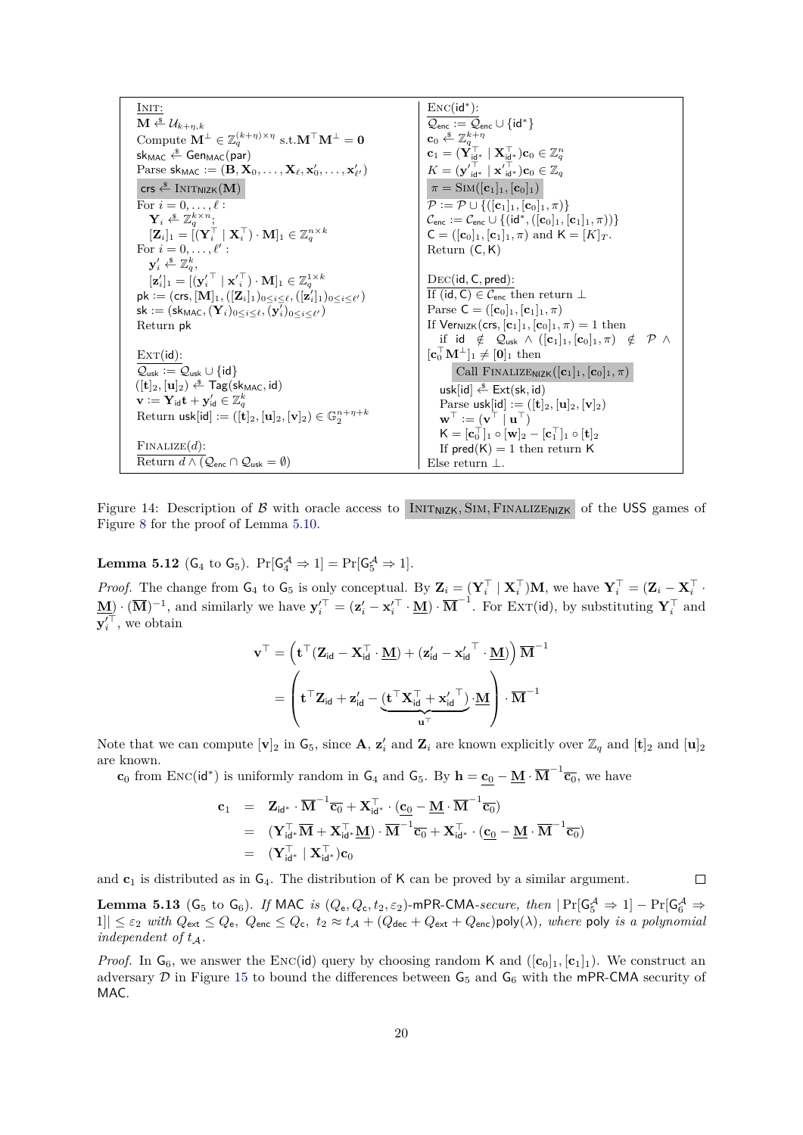| INIT:                                                                                                                                     | $\text{Enc}(\text{id}^*)$ :                                                                                                |
|-------------------------------------------------------------------------------------------------------------------------------------------|----------------------------------------------------------------------------------------------------------------------------|
| $\mathbf{M} \stackrel{\$}{\leftarrow} \mathcal{U}_{k+\eta,k}$                                                                             | $\mathcal{Q}_{\mathsf{enc}} := \mathcal{Q}_{\mathsf{enc}} \cup \{\mathsf{id}^*\}$                                          |
| Compute $\mathbf{M}^{\perp} \in \mathbb{Z}_q^{(k+\eta)\times \eta}$ s.t. $\mathbf{M}^{\top} \mathbf{M}^{\perp} = \mathbf{0}$              | $\mathbf{c}_0 \overset{\hspace{0.1em}\mathsf{\scriptscriptstyle\$}}{\leftarrow} \mathbb{Z}_q^{k+\eta}$                     |
| $sk_{MAC} \stackrel{\$}{\leftarrow} Gen_{MAC}(par)$                                                                                       | $\mathbf{c}_1 = (\mathbf{Y}_{\mathsf{id}^*}^\top \mid \mathbf{X}_{\mathsf{id}^*}^\top) \mathbf{c}_0 \in \mathbb{Z}_a^n$    |
| Parse sk <sub>MAC</sub> := $(\mathbf{B}, \mathbf{X}_0, \dots, \mathbf{X}_\ell, \mathbf{x}'_0, \dots, \mathbf{x}'_{\ell'})$                | $K = (\mathbf{y}'_{\mathsf{id}^*}^\top \mid \mathbf{x}'_{\mathsf{id}^*}^\top) \mathbf{c}_0 \in \mathbb{Z}_q$               |
| $\textsf{crs} \triangleq \text{INIT_{NIZK}}(\textbf{M})$                                                                                  | $\pi = \text{Sim}([\mathbf{c}_1]_1, [\mathbf{c}_0]_1)$                                                                     |
| For $i = \overline{0, \ldots, \ell}$ :                                                                                                    | $\mathcal{P} := \mathcal{P} \cup \{([\mathbf{c}_1]_1, [\mathbf{c}_0]_1, \pi)\}\$                                           |
| $\mathbf{Y}_i \stackrel{\$}{\leftarrow} \mathbb{Z}_q^{k \times n};$                                                                       | $\mathcal{C}_{\text{enc}} := \mathcal{C}_{\text{enc}} \cup \{ (\text{id}^*, ([\mathbf{c}_0]_1, [\mathbf{c}_1]_1, \pi)) \}$ |
| $[\mathbf{Z}_i]_1 = [(\mathbf{Y}_i^\top \mid \mathbf{X}_i^\top) \cdot \mathbf{M}]_1 \in \mathbb{Z}_a^{n \times k}$                        | $C = ([c_0]_1, [c_1]_1, \pi)$ and $K = [K]_T$ .                                                                            |
| For $i=0,\ldots,\ell'$ :                                                                                                                  | Return $(C, K)$                                                                                                            |
| $\mathbf{y}'_i \stackrel{\$}{\leftarrow} \mathbb{Z}_a^k$                                                                                  |                                                                                                                            |
| $[\mathbf{z}_i']_1 = [(\mathbf{y}_i'^\top \mid \mathbf{x'}_i^\top) \cdot \mathbf{M}]_1 \in \mathbb{Z}_a^{1 \times k}$                     | DEC(id, C, pred):                                                                                                          |
| $pk := (crs, [\mathbf{M}]_1, ([\mathbf{Z}_i]_1)_{0 \le i \le \ell}, ([\mathbf{z}_i']_1)_{0 \le i \le \ell'})$                             | If (id, C) $\in \mathcal{C}_{\text{enc}}$ then return $\perp$                                                              |
| $\mathsf{sk} \coloneqq (\mathsf{sk}_{\mathsf{MAC}}, (\mathbf{Y}_i)_{0 \leq i \leq \ell}, (\mathbf{y}'_i)_{0 \leq i \leq \ell'})$          | Parse $C = ([\mathbf{c}_0]_1, [\mathbf{c}_1]_1, \pi)$                                                                      |
| Return pk                                                                                                                                 | If Ver <sub>NIZK</sub> $(crs, [c_1]_1, [c_0]_1, \pi) = 1$ then                                                             |
|                                                                                                                                           | if id $\notin \mathcal{Q}_{\text{usk}} \wedge ([\mathbf{c}_1]_1, [\mathbf{c}_0]_1, \pi) \notin \mathcal{P} \wedge$         |
| $\operatorname{EXT}(\operatorname{\sf id})$ :                                                                                             | $[\mathbf{c}_0^\top \mathbf{M}^\perp]_1 \neq [\mathbf{0}]_1$ then                                                          |
| $\mathcal{Q}_{\text{usk}} := \mathcal{Q}_{\text{usk}} \cup \{\text{id}\}\$                                                                | Call FINALIZE <sub>NIZK</sub> $([\mathbf{c}_1]_1, [\mathbf{c}_0]_1, \pi)$                                                  |
| $([t]_2, [u]_2) \stackrel{\hspace{0.1em}\mathsf{\scriptscriptstyle\$}}{\leftarrow} \mathsf{Tag}(\mathsf{sk}_{\mathsf{MAC}}, \mathsf{id})$ | usk[id] $\xleftarrow{\$}$ Ext(sk, id)                                                                                      |
| $\mathbf{v} := \mathbf{Y}_{\text{id}} \mathbf{t} + \mathbf{y}'_{\text{id}} \in \mathbb{Z}_a^k$                                            | Parse usk[id] := $([t]_2, [u]_2, [v]_2)$                                                                                   |
| Return usk[id] := $([\mathbf{t}]_2, [\mathbf{u}]_2, [\mathbf{v}]_2) \in \mathbb{G}_2^{n+\eta+k}$                                          | $\mathbf{w}^{\top} := (\mathbf{v}^{\top}   \mathbf{u}^{\top})$                                                             |
|                                                                                                                                           | $K = [\mathbf{c}_0^\top]_1 \circ [\mathbf{w}]_2 - [\mathbf{c}_1^\top]_1 \circ [\mathbf{t}]_2$                              |
| $\text{FINALIZE}(d)$ :                                                                                                                    | If $pred(K) = 1$ then return K                                                                                             |
| Return $d \wedge (\mathcal{Q}_{\text{enc}} \cap \mathcal{Q}_{\text{usk}} = \emptyset)$                                                    | Else return $\perp$ .                                                                                                      |

<span id="page-19-0"></span>Figure 14: Description of  $\beta$  with oracle access to INIT<sub>NIZK</sub>, SIM, FINALIZE<sub>NIZK</sub> of the USS games of Figure [8](#page-13-0) for the proof of Lemma [5.10.](#page-16-3)

**Lemma 5.12** ( $G_4$  to  $G_5$ ).  $Pr[G_4^{\mathcal{A}} \Rightarrow 1] = Pr[G_5^{\mathcal{A}} \Rightarrow 1]$ .

*Proof.* The change from  $G_4$  to  $G_5$  is only conceptual. By  $\mathbf{Z}_i = (\mathbf{Y}_i^\top \mid \mathbf{X}_i^\top) \mathbf{M}$ , we have  $\mathbf{Y}_i^\top = (\mathbf{Z}_i - \mathbf{X}_i^\top \cdot \mathbf{M})$  $\underline{\mathbf{M}}$   $\cdot$   $(\overline{\mathbf{M}})^{-1}$ , and similarly we have  $\mathbf{y}'_i^{\top} = (\mathbf{z}'_i - \mathbf{x}'_i^{\top} \cdot \underline{\mathbf{M}}) \cdot \overline{\mathbf{M}}^{-1}$ . For Extr(id), by substituting  $\mathbf{Y}_i^{\top}$  and  $\mathbf{y}'_i^{\top}$ , we obtain

$$
\mathbf{v}^{\top} = \left( \mathbf{t}^{\top} (\mathbf{Z}_{\mathsf{id}} - \mathbf{X}_{\mathsf{id}}^{\top} \cdot \underline{\mathbf{M}}) + (\mathbf{z}_{\mathsf{id}}' - {\mathbf{x}_{\mathsf{id}}'}^{\top} \cdot \underline{\mathbf{M}}) \right) \overline{\mathbf{M}}^{-1} \\ = \left( \mathbf{t}^{\top} \mathbf{Z}_{\mathsf{id}} + \mathbf{z}_{\mathsf{id}}' - \underbrace{(\mathbf{t}^{\top} \mathbf{X}_{\mathsf{id}}^{\top} + {\mathbf{x}_{\mathsf{id}}'}^{\top})}_{\mathbf{u}^{\top}} \cdot \underline{\mathbf{M}} \right) \cdot \overline{\mathbf{M}}^{-1}
$$

Note that we can compute  $[\mathbf{v}]_2$  in  $\mathbf{G}_5$ , since **A**,  $\mathbf{z}'_i$  and  $\mathbf{Z}_i$  are known explicitly over  $\mathbb{Z}_q$  and  $[\mathbf{t}]_2$  and  $[\mathbf{u}]_2$ are known.

 $\mathbf{c}_0$  from ENC(id<sup>\*</sup>) is uniformly random in  $\mathsf{G}_4$  and  $\mathsf{G}_5$ . By  $\mathbf{h} = \underline{\mathbf{c}}_0 - \underline{\mathbf{M}} \cdot \overline{\mathbf{M}}^{-1} \overline{\mathbf{c}_0}$ , we have

$$
\begin{array}{lcl} \mathbf{c}_1 & = & \mathbf{Z}_{\mathsf{id}^*} \cdot \overline{\mathbf{M}}^{-1} \overline{\mathbf{c}_0} + \mathbf{X}_{\mathsf{id}^*}^\top \cdot (\underline{\mathbf{c}_0} - \underline{\mathbf{M}} \cdot \overline{\mathbf{M}}^{-1} \overline{\mathbf{c}_0}) \\ & = & (\mathbf{Y}_{\mathsf{id}^*}^\top \overline{\mathbf{M}} + \mathbf{X}_{\mathsf{id}^*}^\top \underline{\mathbf{M}}) \cdot \overline{\mathbf{M}}^{-1} \overline{\mathbf{c}_0} + \mathbf{X}_{\mathsf{id}^*}^\top \cdot (\underline{\mathbf{c}_0} - \underline{\mathbf{M}} \cdot \overline{\mathbf{M}}^{-1} \overline{\mathbf{c}_0}) \\ & = & (\mathbf{Y}_{\mathsf{id}^*}^\top \mid \mathbf{X}_{\mathsf{id}^*}^\top) \mathbf{c}_0 \end{array}
$$

and  $c_1$  is distributed as in  $G_4$ . The distribution of K can be proved by a similar argument.

<span id="page-19-1"></span> $\bf{Lemma 5.13}$  ( $\mathsf{G}_5$  to  $\mathsf{G}_6$ ). *If* MAC *is* ( $Q_e, Q_c, t_2, \varepsilon_2$ )-mPR-CMA-secure, then  $|\Pr[\mathsf{G}_5^{\mathcal{A}} \Rightarrow 1] - \Pr[\mathsf{G}_6^{\mathcal{A}} \Rightarrow$  $1]$   $\leq \varepsilon_2$  *with*  $Q_{\text{ext}} \leq Q_{\text{e}}$ ,  $Q_{\text{enc}} \leq Q_{\text{c}}$ ,  $t_2 \approx t_A + (Q_{\text{dec}} + Q_{\text{ext}} + Q_{\text{enc}})$ poly $(\lambda)$ *, where* poly *is a polynomial independent of*  $t_A$ .

 $\Box$ 

*Proof.* In  $G_6$ , we answer the ENC(id) query by choosing random K and  $([c_0]_1, [c_1]_1)$ . We construct an adversary  $D$  in Figure [15](#page-20-1) to bound the differences between  $G_5$  and  $G_6$  with the mPR-CMA security of MAC.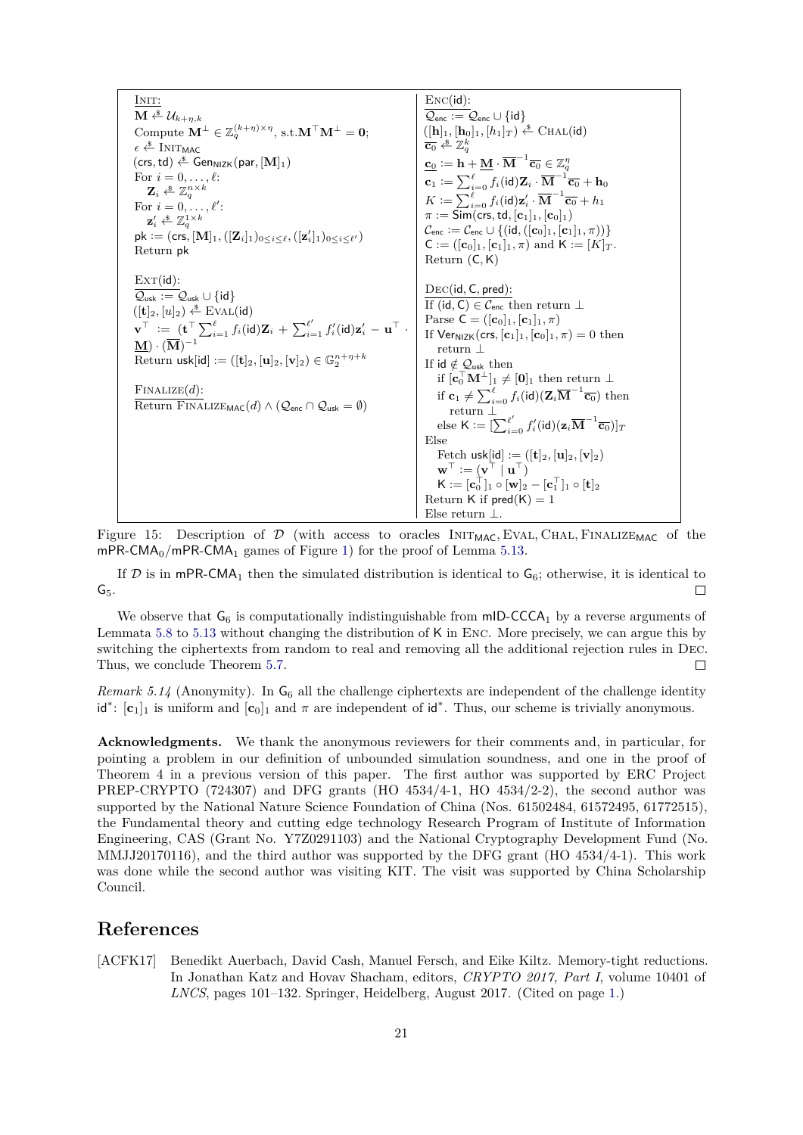| INIT:                                                                                                                                                                    | $\text{Enc}(\mathsf{id})$ :                                                                                                               |
|--------------------------------------------------------------------------------------------------------------------------------------------------------------------------|-------------------------------------------------------------------------------------------------------------------------------------------|
| $\mathbf{M} \stackrel{\$}{\leftarrow} \mathcal{U}_{k+\eta,k}$                                                                                                            | $\overline{\mathcal{Q}_{\mathsf{enc}}} := \mathcal{Q}_{\mathsf{enc}} \cup \{\mathsf{id}\}$                                                |
| Compute $\mathbf{M}^{\perp} \in \mathbb{Z}_q^{(k+\eta)\times \eta}$ , s.t. $\mathbf{M}^{\top} \mathbf{M}^{\perp} = \mathbf{0}$ ;                                         | $([{\bf h}]_1, [{\bf h}_0]_1, [h_1]_T) \stackrel{\hspace{0.1em}\mathsf{\scriptscriptstyle\$}}{\leftarrow}$ CHAL(id)                       |
| $\epsilon \stackrel{\$}{\leftarrow}$ INIT <sub>MAC</sub>                                                                                                                 | $\overline{\mathbf{c}_0} \stackrel{\hspace{0.1em}\mathsf{\scriptscriptstyle\$}}{\leftarrow} \mathbb{Z}_a^k$                               |
| $(crs, td) \stackrel{\$}{\leftarrow} Gen_{NIZK}(par, [\mathbf{M}]_1)$                                                                                                    | $\mathbf{c}_0 := \mathbf{h} + \underline{\mathbf{M}} \cdot \overline{\mathbf{M}}^{-1} \overline{\mathbf{c}_0} \in \mathbb{Z}_q^{\eta}$    |
| For $i = 0, \ldots, \ell$ :                                                                                                                                              | $\mathbf{c}_1 := \sum_{i=0}^{\ell} f_i(\mathsf{id}) \mathbf{Z}_i \cdot \overline{\mathbf{M}}^{-1} \overline{\mathbf{c}_0} + \mathbf{h}_0$ |
| $\mathbf{Z}_i \stackrel{\$}{\leftarrow} \mathbb{Z}_a^{n \times k}$                                                                                                       | $K:=\sum_{i=0}^{\ell}f_i(\mathsf{id})\mathbf{z}_i'\cdot \overline{\mathbf{M}}^{-1}\overline{\mathbf{c}_0}+h_1$                            |
| For $i=0,\ldots,\ell'$ :                                                                                                                                                 | $\pi := \mathsf{Sim}(\mathsf{crs}, \mathsf{td}, [\mathbf{c}_1]_1, [\mathbf{c}_0]_1)$                                                      |
| $\mathbf{z}'_i \overset{\$}{\leftarrow} \mathbb{Z}_a^{1 \times k}$                                                                                                       | $\mathcal{C}_{\text{enc}} := \mathcal{C}_{\text{enc}} \cup \{ (\text{id}, ([\mathbf{c}_0]_1, [\mathbf{c}_1]_1, \pi)) \}$                  |
| $pk := (crs, [\mathbf{M}]_1, ([\mathbf{Z}_i]_1)_{0 \le i \le \ell}, ([\mathbf{z}_i']_1)_{0 \le i \le \ell'})$                                                            | $C := ([c_0]_1, [c_1]_1, \pi)$ and $K := [K]_T$ .                                                                                         |
| Return pk                                                                                                                                                                | Return $(C, K)$                                                                                                                           |
|                                                                                                                                                                          |                                                                                                                                           |
| $\operatorname{EXT}(\operatorname{\sf id})$ :<br>$\mathcal{Q}_{\text{usk}} := \mathcal{Q}_{\text{usk}} \cup \{\text{id}\}\$                                              | DEC(id, C, pred):                                                                                                                         |
| $([t]_2, [u]_2) \xleftarrow{\$} \text{EVAL}(\mathsf{id})$                                                                                                                | If $(id, C) \in \mathcal{C}_{enc}$ then return $\perp$                                                                                    |
| $\mathbf{v}^{\top} := (\mathbf{t}^{\top} \sum_{i=1}^{\ell} f_i(\mathsf{id}) \mathbf{Z}_i + \sum_{i=1}^{\ell'} f'_i(\mathsf{id}) \mathbf{z}'_i - \mathbf{u}^{\top} \cdot$ | Parse $\mathbf{C} = ([\mathbf{c}_0]_1, [\mathbf{c}_1]_1, \pi)$                                                                            |
|                                                                                                                                                                          | If Ver <sub>NIZK</sub> $(crs, [c_1]_1, [c_0]_1, \pi) = 0$ then                                                                            |
| $\mathbf{M}) \cdot (\overline{\mathbf{M}})^{-1}$                                                                                                                         | return $\perp$                                                                                                                            |
| Return usk[id] := $([\mathbf{t}]_2, [\mathbf{u}]_2, [\mathbf{v}]_2) \in \mathbb{G}_2^{n+\eta+k}$                                                                         | If id $\notin \mathcal{Q}_{\text{usk}}$ then                                                                                              |
|                                                                                                                                                                          | if $[\mathbf{c}_0^\top \mathbf{M}^\perp]_1 \neq [\mathbf{0}]_1$ then return $\perp$                                                       |
| $\text{FinALIZE}(d)$ :                                                                                                                                                   | if $\mathbf{c}_1 \neq \sum_{i=0}^{\ell} f_i(\text{id}) (\mathbf{Z}_i \overline{\mathbf{M}}^{-1} \overline{\mathbf{c}_0})$ then            |
| Return FINALIZE <sub>MAC</sub> $(d) \wedge (\mathcal{Q}_{\text{enc}} \cap \mathcal{Q}_{\text{usk}} = \emptyset)$                                                         | return $\perp$                                                                                                                            |
|                                                                                                                                                                          | else $K := [\sum_{i=0}^{\ell'} f'_i(\mathsf{id}) (\mathbf{z}_i \overline{\mathbf{M}}^{-1} \overline{\mathbf{c}_0})]_T$                    |
|                                                                                                                                                                          | Else                                                                                                                                      |
|                                                                                                                                                                          | Fetch usk[id] $:=(\left[\mathbf{t}\right]_2,\left[\mathbf{u}\right]_2,\left[\mathbf{v}\right]_2)$                                         |
|                                                                                                                                                                          | $\mathbf{w}^{\top} := (\mathbf{v}^{\top}   \mathbf{u}^{\top})$                                                                            |
|                                                                                                                                                                          | $K := [\mathbf{c}_0^\top]_1 \circ [\mathbf{w}]_2 - [\mathbf{c}_1^\top]_1 \circ [\mathbf{t}]_2$                                            |
|                                                                                                                                                                          | Return K if $pred(K) = 1$                                                                                                                 |
|                                                                                                                                                                          | Else return $\perp$ .                                                                                                                     |

<span id="page-20-1"></span>Figure 15: Description of  $D$  (with access to oracles INIT<sub>MAC</sub>, EVAL, CHAL, FINALIZE<sub>MAC</sub> of the mPR-CMA<sub>0</sub>/mPR-CMA<sub>1</sub> games of Figure [1\)](#page-6-1) for the proof of Lemma [5.13.](#page-19-1)

If  $\mathcal D$  is in mPR-CMA<sub>1</sub> then the simulated distribution is identical to  $\mathsf G_6$ ; otherwise, it is identical to  $G<sub>5</sub>$ .  $\Box$ 

We observe that  $G_6$  is computationally indistinguishable from  $mID-CCCA_1$  by a reverse arguments of Lemmata [5.8](#page-16-4) to [5.13](#page-19-1) without changing the distribution of K in Enc. More precisely, we can argue this by switching the ciphertexts from random to real and removing all the additional rejection rules in Dec. Thus, we conclude Theorem [5.7.](#page-16-0)  $\Box$ 

*Remark 5.14* (Anonymity). In  $G_6$  all the challenge ciphertexts are independent of the challenge identity id<sup>\*</sup>:  $[\mathbf{c}_1]_1$  is uniform and  $[\mathbf{c}_0]_1$  and  $\pi$  are independent of id<sup>\*</sup>. Thus, our scheme is trivially anonymous.

**Acknowledgments.** We thank the anonymous reviewers for their comments and, in particular, for pointing a problem in our definition of unbounded simulation soundness, and one in the proof of Theorem 4 in a previous version of this paper. The first author was supported by ERC Project PREP-CRYPTO (724307) and DFG grants (HO 4534/4-1, HO 4534/2-2), the second author was supported by the National Nature Science Foundation of China (Nos. 61502484, 61572495, 61772515), the Fundamental theory and cutting edge technology Research Program of Institute of Information Engineering, CAS (Grant No. Y7Z0291103) and the National Cryptography Development Fund (No. MMJJ20170116), and the third author was supported by the DFG grant (HO 4534/4-1). This work was done while the second author was visiting KIT. The visit was supported by China Scholarship Council.

# **References**

<span id="page-20-0"></span>[ACFK17] Benedikt Auerbach, David Cash, Manuel Fersch, and Eike Kiltz. Memory-tight reductions. In Jonathan Katz and Hovav Shacham, editors, *CRYPTO 2017, Part I*, volume 10401 of *LNCS*, pages 101–132. Springer, Heidelberg, August 2017. (Cited on page [1.](#page-0-1))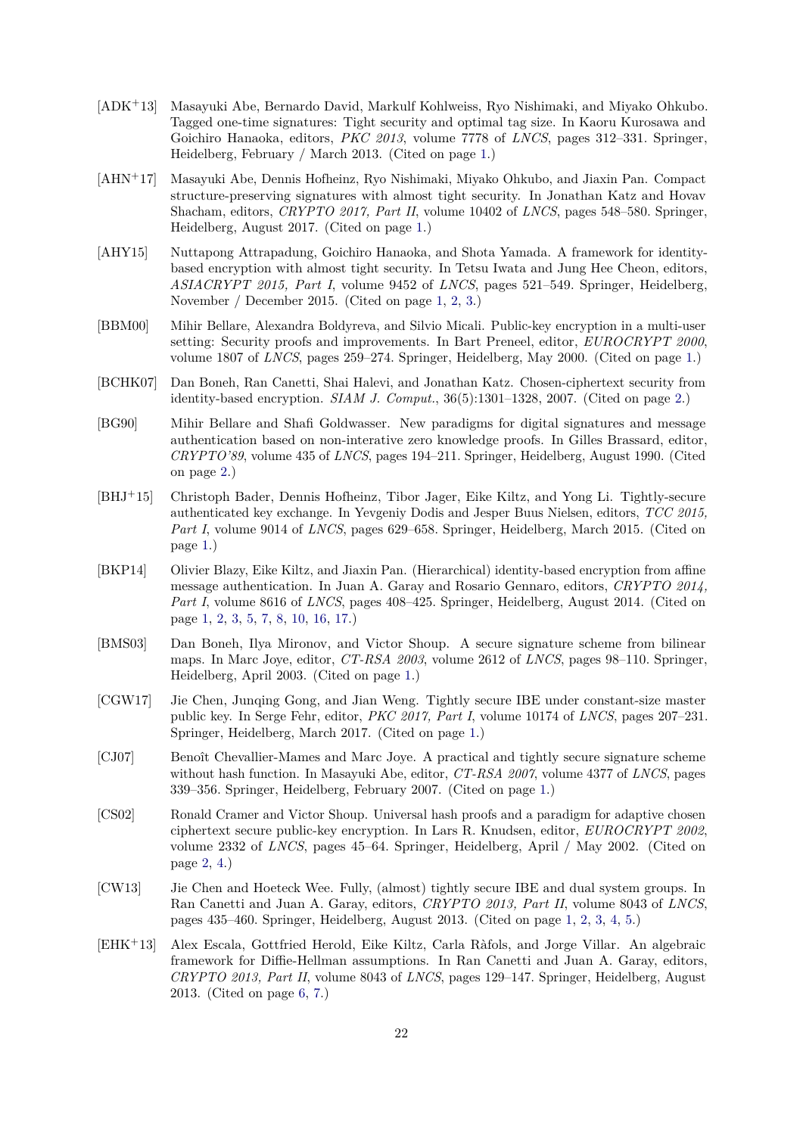- <span id="page-21-3"></span>[ADK<sup>+</sup>13] Masayuki Abe, Bernardo David, Markulf Kohlweiss, Ryo Nishimaki, and Miyako Ohkubo. Tagged one-time signatures: Tight security and optimal tag size. In Kaoru Kurosawa and Goichiro Hanaoka, editors, *PKC 2013*, volume 7778 of *LNCS*, pages 312–331. Springer, Heidelberg, February / March 2013. (Cited on page [1.](#page-0-1))
- <span id="page-21-6"></span>[AHN<sup>+</sup>17] Masayuki Abe, Dennis Hofheinz, Ryo Nishimaki, Miyako Ohkubo, and Jiaxin Pan. Compact structure-preserving signatures with almost tight security. In Jonathan Katz and Hovav Shacham, editors, *CRYPTO 2017, Part II*, volume 10402 of *LNCS*, pages 548–580. Springer, Heidelberg, August 2017. (Cited on page [1.](#page-0-1))
- <span id="page-21-7"></span>[AHY15] Nuttapong Attrapadung, Goichiro Hanaoka, and Shota Yamada. A framework for identitybased encryption with almost tight security. In Tetsu Iwata and Jung Hee Cheon, editors, *ASIACRYPT 2015, Part I*, volume 9452 of *LNCS*, pages 521–549. Springer, Heidelberg, November / December 2015. (Cited on page [1,](#page-0-1) [2,](#page-1-0) [3.](#page-2-2))
- <span id="page-21-0"></span>[BBM00] Mihir Bellare, Alexandra Boldyreva, and Silvio Micali. Public-key encryption in a multi-user setting: Security proofs and improvements. In Bart Preneel, editor, *EUROCRYPT 2000*, volume 1807 of *LNCS*, pages 259–274. Springer, Heidelberg, May 2000. (Cited on page [1.](#page-0-1))
- <span id="page-21-10"></span>[BCHK07] Dan Boneh, Ran Canetti, Shai Halevi, and Jonathan Katz. Chosen-ciphertext security from identity-based encryption. *SIAM J. Comput.*, 36(5):1301–1328, 2007. (Cited on page [2.](#page-1-0))
- <span id="page-21-12"></span>[BG90] Mihir Bellare and Shafi Goldwasser. New paradigms for digital signatures and message authentication based on non-interative zero knowledge proofs. In Gilles Brassard, editor, *CRYPTO'89*, volume 435 of *LNCS*, pages 194–211. Springer, Heidelberg, August 1990. (Cited on page [2.](#page-1-0))
- <span id="page-21-9"></span>[BHJ<sup>+</sup>15] Christoph Bader, Dennis Hofheinz, Tibor Jager, Eike Kiltz, and Yong Li. Tightly-secure authenticated key exchange. In Yevgeniy Dodis and Jesper Buus Nielsen, editors, *TCC 2015, Part I*, volume 9014 of *LNCS*, pages 629–658. Springer, Heidelberg, March 2015. (Cited on page [1.](#page-0-1))
- <span id="page-21-5"></span>[BKP14] Olivier Blazy, Eike Kiltz, and Jiaxin Pan. (Hierarchical) identity-based encryption from affine message authentication. In Juan A. Garay and Rosario Gennaro, editors, *CRYPTO 2014, Part I*, volume 8616 of *LNCS*, pages 408–425. Springer, Heidelberg, August 2014. (Cited on page [1,](#page-0-1) [2,](#page-1-0) [3,](#page-2-2) [5,](#page-4-1) [7,](#page-6-4) [8,](#page-7-4) [10,](#page-9-3) [16,](#page-15-1) [17.](#page-16-5))
- <span id="page-21-1"></span>[BMS03] Dan Boneh, Ilya Mironov, and Victor Shoup. A secure signature scheme from bilinear maps. In Marc Joye, editor, *CT-RSA 2003*, volume 2612 of *LNCS*, pages 98–110. Springer, Heidelberg, April 2003. (Cited on page [1.](#page-0-1))
- <span id="page-21-8"></span>[CGW17] Jie Chen, Junqing Gong, and Jian Weng. Tightly secure IBE under constant-size master public key. In Serge Fehr, editor, *PKC 2017, Part I*, volume 10174 of *LNCS*, pages 207–231. Springer, Heidelberg, March 2017. (Cited on page [1.](#page-0-1))
- <span id="page-21-2"></span>[CJ07] Benoît Chevallier-Mames and Marc Joye. A practical and tightly secure signature scheme without hash function. In Masayuki Abe, editor, *CT-RSA 2007*, volume 4377 of *LNCS*, pages 339–356. Springer, Heidelberg, February 2007. (Cited on page [1.](#page-0-1))
- <span id="page-21-11"></span>[CS02] Ronald Cramer and Victor Shoup. Universal hash proofs and a paradigm for adaptive chosen ciphertext secure public-key encryption. In Lars R. Knudsen, editor, *EUROCRYPT 2002*, volume 2332 of *LNCS*, pages 45–64. Springer, Heidelberg, April / May 2002. (Cited on page [2,](#page-1-0) [4.](#page-3-0))
- <span id="page-21-4"></span>[CW13] Jie Chen and Hoeteck Wee. Fully, (almost) tightly secure IBE and dual system groups. In Ran Canetti and Juan A. Garay, editors, *CRYPTO 2013, Part II*, volume 8043 of *LNCS*, pages 435–460. Springer, Heidelberg, August 2013. (Cited on page [1,](#page-0-1) [2,](#page-1-0) [3,](#page-2-2) [4,](#page-3-0) [5.](#page-4-1))
- <span id="page-21-13"></span>[EHK<sup>+</sup>13] Alex Escala, Gottfried Herold, Eike Kiltz, Carla Ràfols, and Jorge Villar. An algebraic framework for Diffie-Hellman assumptions. In Ran Canetti and Juan A. Garay, editors, *CRYPTO 2013, Part II*, volume 8043 of *LNCS*, pages 129–147. Springer, Heidelberg, August 2013. (Cited on page [6,](#page-5-1) [7.](#page-6-4))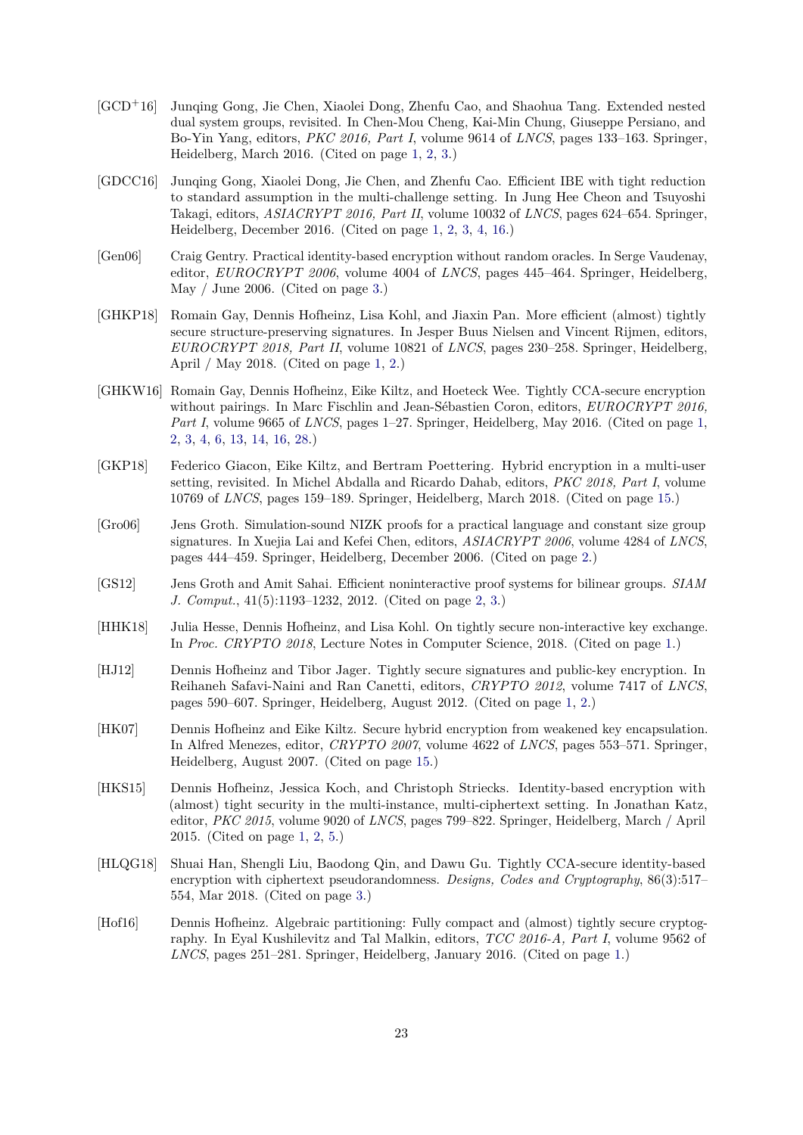- <span id="page-22-5"></span>[GCD<sup>+</sup>16] Junqing Gong, Jie Chen, Xiaolei Dong, Zhenfu Cao, and Shaohua Tang. Extended nested dual system groups, revisited. In Chen-Mou Cheng, Kai-Min Chung, Giuseppe Persiano, and Bo-Yin Yang, editors, *PKC 2016, Part I*, volume 9614 of *LNCS*, pages 133–163. Springer, Heidelberg, March 2016. (Cited on page [1,](#page-0-1) [2,](#page-1-0) [3.](#page-2-2))
- <span id="page-22-6"></span>[GDCC16] Junqing Gong, Xiaolei Dong, Jie Chen, and Zhenfu Cao. Efficient IBE with tight reduction to standard assumption in the multi-challenge setting. In Jung Hee Cheon and Tsuyoshi Takagi, editors, *ASIACRYPT 2016, Part II*, volume 10032 of *LNCS*, pages 624–654. Springer, Heidelberg, December 2016. (Cited on page [1,](#page-0-1) [2,](#page-1-0) [3,](#page-2-2) [4,](#page-3-0) [16.](#page-15-1))
- <span id="page-22-10"></span>[Gen06] Craig Gentry. Practical identity-based encryption without random oracles. In Serge Vaudenay, editor, *EUROCRYPT 2006*, volume 4004 of *LNCS*, pages 445–464. Springer, Heidelberg, May / June 2006. (Cited on page [3.](#page-2-2))
- <span id="page-22-3"></span>[GHKP18] Romain Gay, Dennis Hofheinz, Lisa Kohl, and Jiaxin Pan. More efficient (almost) tightly secure structure-preserving signatures. In Jesper Buus Nielsen and Vincent Rijmen, editors, *EUROCRYPT 2018, Part II*, volume 10821 of *LNCS*, pages 230–258. Springer, Heidelberg, April / May 2018. (Cited on page [1,](#page-0-1) [2.](#page-1-0))
- <span id="page-22-2"></span>[GHKW16] Romain Gay, Dennis Hofheinz, Eike Kiltz, and Hoeteck Wee. Tightly CCA-secure encryption without pairings. In Marc Fischlin and Jean-Sébastien Coron, editors, *EUROCRYPT 2016, Part I*, volume 9665 of *LNCS*, pages 1–27. Springer, Heidelberg, May 2016. (Cited on page [1,](#page-0-1) [2,](#page-1-0) [3,](#page-2-2) [4,](#page-3-0) [6,](#page-5-1) [13,](#page-12-2) [14,](#page-13-3) [16,](#page-15-1) [28.](#page-27-1))
- <span id="page-22-13"></span>[GKP18] Federico Giacon, Eike Kiltz, and Bertram Poettering. Hybrid encryption in a multi-user setting, revisited. In Michel Abdalla and Ricardo Dahab, editors, *PKC 2018, Part I*, volume 10769 of *LNCS*, pages 159–189. Springer, Heidelberg, March 2018. (Cited on page [15.](#page-14-1))
- <span id="page-22-9"></span>[Gro06] Jens Groth. Simulation-sound NIZK proofs for a practical language and constant size group signatures. In Xuejia Lai and Kefei Chen, editors, *ASIACRYPT 2006*, volume 4284 of *LNCS*, pages 444–459. Springer, Heidelberg, December 2006. (Cited on page [2.](#page-1-0))
- <span id="page-22-8"></span>[GS12] Jens Groth and Amit Sahai. Efficient noninteractive proof systems for bilinear groups. *SIAM J. Comput.*, 41(5):1193–1232, 2012. (Cited on page [2,](#page-1-0) [3.](#page-2-2))
- <span id="page-22-7"></span>[HHK18] Julia Hesse, Dennis Hofheinz, and Lisa Kohl. On tightly secure non-interactive key exchange. In *Proc. CRYPTO 2018*, Lecture Notes in Computer Science, 2018. (Cited on page [1.](#page-0-1))
- <span id="page-22-0"></span>[HJ12] Dennis Hofheinz and Tibor Jager. Tightly secure signatures and public-key encryption. In Reihaneh Safavi-Naini and Ran Canetti, editors, *CRYPTO 2012*, volume 7417 of *LNCS*, pages 590–607. Springer, Heidelberg, August 2012. (Cited on page [1,](#page-0-1) [2.](#page-1-0))
- <span id="page-22-12"></span>[HK07] Dennis Hofheinz and Eike Kiltz. Secure hybrid encryption from weakened key encapsulation. In Alfred Menezes, editor, *CRYPTO 2007*, volume 4622 of *LNCS*, pages 553–571. Springer, Heidelberg, August 2007. (Cited on page [15.](#page-14-1))
- <span id="page-22-4"></span>[HKS15] Dennis Hofheinz, Jessica Koch, and Christoph Striecks. Identity-based encryption with (almost) tight security in the multi-instance, multi-ciphertext setting. In Jonathan Katz, editor, *PKC 2015*, volume 9020 of *LNCS*, pages 799–822. Springer, Heidelberg, March / April 2015. (Cited on page [1,](#page-0-1) [2,](#page-1-0) [5.](#page-4-1))
- <span id="page-22-11"></span>[HLQG18] Shuai Han, Shengli Liu, Baodong Qin, and Dawu Gu. Tightly CCA-secure identity-based encryption with ciphertext pseudorandomness. *Designs, Codes and Cryptography*, 86(3):517– 554, Mar 2018. (Cited on page [3.](#page-2-2))
- <span id="page-22-1"></span>[Hof16] Dennis Hofheinz. Algebraic partitioning: Fully compact and (almost) tightly secure cryptography. In Eyal Kushilevitz and Tal Malkin, editors, *TCC 2016-A, Part I*, volume 9562 of *LNCS*, pages 251–281. Springer, Heidelberg, January 2016. (Cited on page [1.](#page-0-1))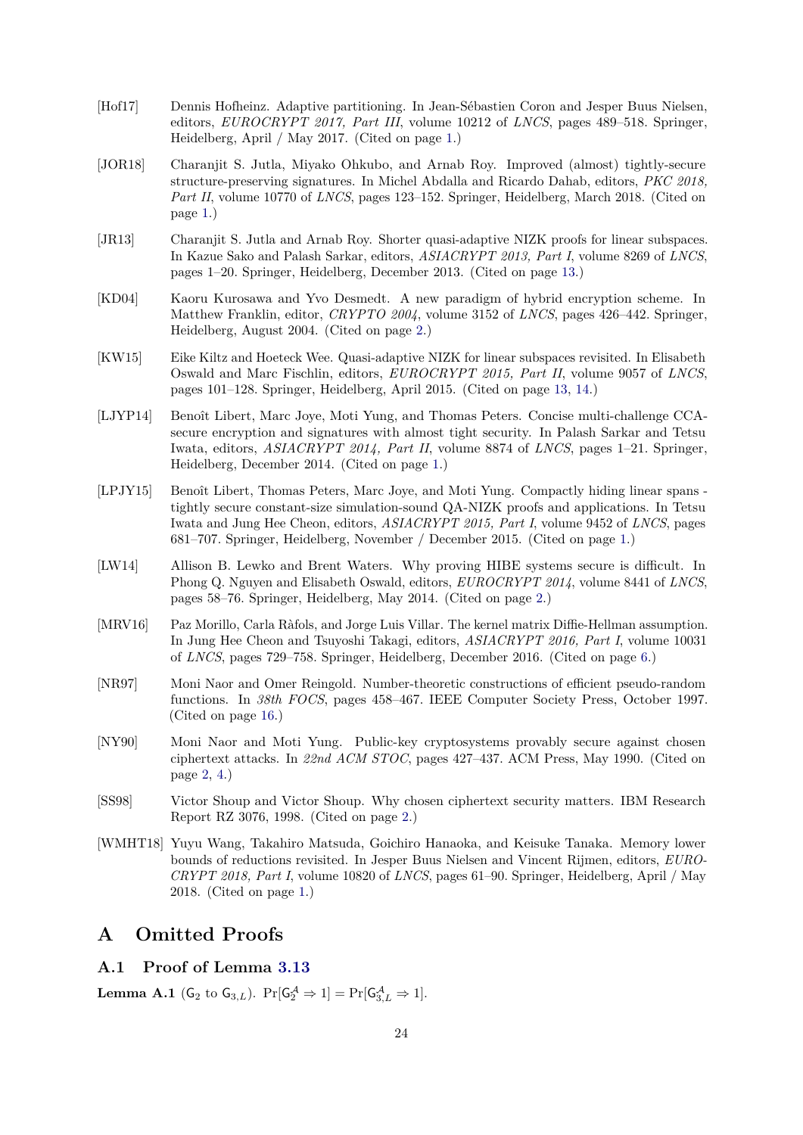- <span id="page-23-2"></span>[Hof17] Dennis Hofheinz. Adaptive partitioning. In Jean-Sébastien Coron and Jesper Buus Nielsen, editors, *EUROCRYPT 2017, Part III*, volume 10212 of *LNCS*, pages 489–518. Springer, Heidelberg, April / May 2017. (Cited on page [1.](#page-0-1))
- <span id="page-23-4"></span>[JOR18] Charanjit S. Jutla, Miyako Ohkubo, and Arnab Roy. Improved (almost) tightly-secure structure-preserving signatures. In Michel Abdalla and Ricardo Dahab, editors, *PKC 2018, Part II*, volume 10770 of *LNCS*, pages 123–152. Springer, Heidelberg, March 2018. (Cited on page [1.](#page-0-1))
- <span id="page-23-11"></span>[JR13] Charanjit S. Jutla and Arnab Roy. Shorter quasi-adaptive NIZK proofs for linear subspaces. In Kazue Sako and Palash Sarkar, editors, *ASIACRYPT 2013, Part I*, volume 8269 of *LNCS*, pages 1–20. Springer, Heidelberg, December 2013. (Cited on page [13.](#page-12-2))
- <span id="page-23-8"></span>[KD04] Kaoru Kurosawa and Yvo Desmedt. A new paradigm of hybrid encryption scheme. In Matthew Franklin, editor, *CRYPTO 2004*, volume 3152 of *LNCS*, pages 426–442. Springer, Heidelberg, August 2004. (Cited on page [2.](#page-1-0))
- <span id="page-23-12"></span>[KW15] Eike Kiltz and Hoeteck Wee. Quasi-adaptive NIZK for linear subspaces revisited. In Elisabeth Oswald and Marc Fischlin, editors, *EUROCRYPT 2015, Part II*, volume 9057 of *LNCS*, pages 101–128. Springer, Heidelberg, April 2015. (Cited on page [13,](#page-12-2) [14.](#page-13-3))
- <span id="page-23-0"></span>[LJYP14] Benoît Libert, Marc Joye, Moti Yung, and Thomas Peters. Concise multi-challenge CCAsecure encryption and signatures with almost tight security. In Palash Sarkar and Tetsu Iwata, editors, *ASIACRYPT 2014, Part II*, volume 8874 of *LNCS*, pages 1–21. Springer, Heidelberg, December 2014. (Cited on page [1.](#page-0-1))
- <span id="page-23-1"></span>[LPJY15] Benoît Libert, Thomas Peters, Marc Joye, and Moti Yung. Compactly hiding linear spans tightly secure constant-size simulation-sound QA-NIZK proofs and applications. In Tetsu Iwata and Jung Hee Cheon, editors, *ASIACRYPT 2015, Part I*, volume 9452 of *LNCS*, pages 681–707. Springer, Heidelberg, November / December 2015. (Cited on page [1.](#page-0-1))
- <span id="page-23-6"></span>[LW14] Allison B. Lewko and Brent Waters. Why proving HIBE systems secure is difficult. In Phong Q. Nguyen and Elisabeth Oswald, editors, *EUROCRYPT 2014*, volume 8441 of *LNCS*, pages 58–76. Springer, Heidelberg, May 2014. (Cited on page [2.](#page-1-0))
- <span id="page-23-9"></span>[MRV16] Paz Morillo, Carla Ràfols, and Jorge Luis Villar. The kernel matrix Diffie-Hellman assumption. In Jung Hee Cheon and Tsuyoshi Takagi, editors, *ASIACRYPT 2016, Part I*, volume 10031 of *LNCS*, pages 729–758. Springer, Heidelberg, December 2016. (Cited on page [6.](#page-5-1))
- <span id="page-23-13"></span>[NR97] Moni Naor and Omer Reingold. Number-theoretic constructions of efficient pseudo-random functions. In *38th FOCS*, pages 458–467. IEEE Computer Society Press, October 1997. (Cited on page [16.](#page-15-1))
- <span id="page-23-7"></span>[NY90] Moni Naor and Moti Yung. Public-key cryptosystems provably secure against chosen ciphertext attacks. In *22nd ACM STOC*, pages 427–437. ACM Press, May 1990. (Cited on page [2,](#page-1-0) [4.](#page-3-0))
- <span id="page-23-5"></span>[SS98] Victor Shoup and Victor Shoup. Why chosen ciphertext security matters. IBM Research Report RZ 3076, 1998. (Cited on page [2.](#page-1-0))
- <span id="page-23-3"></span>[WMHT18] Yuyu Wang, Takahiro Matsuda, Goichiro Hanaoka, and Keisuke Tanaka. Memory lower bounds of reductions revisited. In Jesper Buus Nielsen and Vincent Rijmen, editors, *EURO-CRYPT 2018, Part I*, volume 10820 of *LNCS*, pages 61–90. Springer, Heidelberg, April / May 2018. (Cited on page [1.](#page-0-1))

### **A Omitted Proofs**

### <span id="page-23-10"></span>**A.1 Proof of Lemma [3.13](#page-12-3)**

<span id="page-23-14"></span>**Lemma A.1** ( $G_2$  to  $G_{3,L}$ ).  $Pr[G_2^{\mathcal{A}} \Rightarrow 1] = Pr[G_{3,L}^{\mathcal{A}} \Rightarrow 1]$ .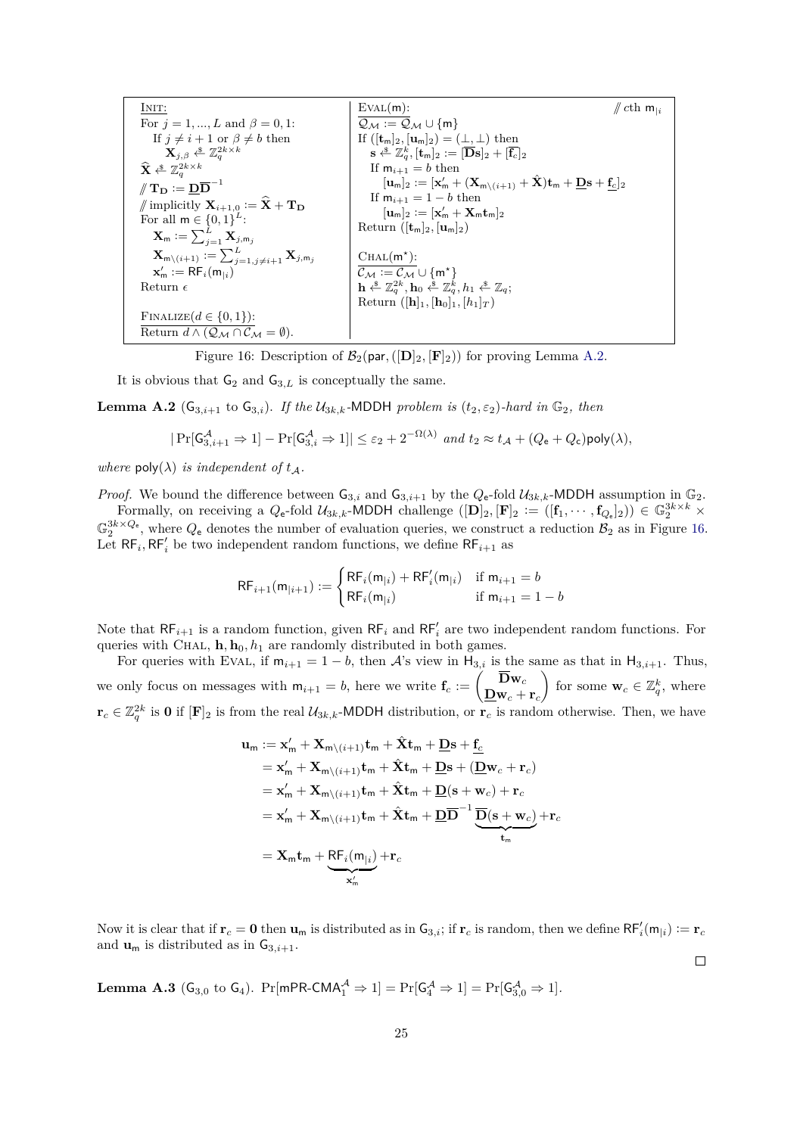| INIT:                                                                                       | EVAL(m):                                                                                                                                                                                             | // cth $m_{ii}$ |
|---------------------------------------------------------------------------------------------|------------------------------------------------------------------------------------------------------------------------------------------------------------------------------------------------------|-----------------|
| For $j = 1, , L$ and $\beta = 0, 1$ :                                                       | $\overline{\mathcal{Q}_M} := \mathcal{Q}_M \cup \{m\}$                                                                                                                                               |                 |
| If $i \neq i+1$ or $\beta \neq b$ then                                                      | If $([\mathbf{t}_m]_2, [\mathbf{u}_m]_2) = (\perp, \perp)$ then                                                                                                                                      |                 |
| $\mathbf{X}_{i,\beta} \leftarrow \mathbb{Z}_a^{2k \times k}$                                | $\mathbf{s} \triangleq \mathbb{Z}_a^k$ , $[\mathbf{t}_m]_2 := [\overline{\mathbf{D}} \mathbf{s}]_2 + [\overline{\mathbf{f}_c}]_2$                                                                    |                 |
| $\widehat{\mathbf{X}} \triangleq \mathbb{Z}_a^{2k \times k}$                                | If $m_{i+1} = b$ then                                                                                                                                                                                |                 |
| $\mathcal{U} \mathbf{T}_\mathbf{D} \coloneqq \mathbf{D} \overline{\mathbf{D}}^{-1}$         | $[\mathbf{u}_{\mathsf{m}}]_2 := [\mathbf{x}'_{\mathsf{m}} + (\mathbf{X}_{\mathsf{m}\setminus (i+1)} + \hat{\mathbf{X}})\mathbf{t}_{\mathsf{m}} + \underline{\mathbf{D}}\mathbf{s} + \mathbf{f}_c]_2$ |                 |
| $\text{/}$ implicitly $\mathbf{X}_{i+1,0} := \mathbf{X} + \mathbf{T_D}$                     | If $m_{i+1} = 1 - b$ then                                                                                                                                                                            |                 |
| For all $m \in \{0, 1\}^L$ :                                                                | $[\mathbf{u}_{\mathsf{m}}]_2 := [\mathbf{x}'_{\mathsf{m}} + \mathbf{X}_{\mathsf{m}} \mathbf{t}_{\mathsf{m}}]_2$                                                                                      |                 |
|                                                                                             | Return $([t_m]_2, [u_m]_2)$                                                                                                                                                                          |                 |
| $\mathbf{X}_{m} := \sum_{i=1}^{L} \mathbf{X}_{j,m_j}$                                       |                                                                                                                                                                                                      |                 |
| $\mathbf{X}_{m \setminus (i+1)} := \sum_{i=1}^{L} \sum_{i \neq i+1}^{L} \mathbf{X}_{j,m_i}$ | $CHAL(m^*)$ :                                                                                                                                                                                        |                 |
| $\mathbf{x}'_{m} := \mathsf{RF}_i(\mathsf{m}_{1i})$                                         | $\mathcal{C}_M := \mathcal{C}_M \cup \{m^{\star}\}\$                                                                                                                                                 |                 |
| Return $\epsilon$                                                                           | $\mathbf{h} \stackrel{\$}{\leftarrow} \mathbb{Z}_q^{2k}, \mathbf{h}_0 \stackrel{\$}{\leftarrow} \mathbb{Z}_q^k, h_1 \stackrel{\$}{\leftarrow} \mathbb{Z}_q;$                                         |                 |
|                                                                                             | Return $([h]_1, [h_0]_1, [h_1]_T)$                                                                                                                                                                   |                 |
| FINALIZE $(d \in \{0, 1\})$ :                                                               |                                                                                                                                                                                                      |                 |
| Return $d \wedge (\mathcal{Q}_M \cap \mathcal{C}_M = \emptyset).$                           |                                                                                                                                                                                                      |                 |

<span id="page-24-1"></span>Figure 16: Description of  $\mathcal{B}_2(\text{par},([\mathbf{D}]_2,[\mathbf{F}]_2))$  for proving Lemma [A.2.](#page-24-0)

It is obvious that  $G_2$  and  $G_{3,L}$  is conceptually the same.

<span id="page-24-0"></span>**Lemma A.2** ( $G_{3,i+1}$  to  $G_{3,i}$ ). *If the*  $U_{3k,k}$ *-MDDH problem is* ( $t_2, \epsilon_2$ *)-hard in*  $G_2$ *, then* 

$$
|\Pr[\mathsf{G}^{\mathcal{A}}_{3,i+1} \Rightarrow 1] - \Pr[\mathsf{G}^{\mathcal{A}}_{3,i} \Rightarrow 1]| \leq \varepsilon_2 + 2^{-\Omega(\lambda)} \text{ and } t_2 \approx t_{\mathcal{A}} + (Q_e + Q_c) \text{poly}(\lambda),
$$

*where*  $poly(\lambda)$  *is independent of*  $t_A$ *.* 

*Proof.* We bound the difference between  $\mathsf{G}_{3,i}$  and  $\mathsf{G}_{3,i+1}$  by the  $Q_e$ -fold  $\mathcal{U}_{3k,k}$ -MDDH assumption in  $\mathbb{G}_2$ .

Formally, on receiving a  $Q_e$ -fold  $\mathcal{U}_{3k,k}$ -MDDH challenge  $([\mathbf{D}]_2, [\mathbf{F}]_2 := ([\mathbf{f}_1, \cdots, \mathbf{f}_{Q_e}]_2) \in \mathbb{G}_2^{3k \times k} \times$  $\mathbb{G}_2^{3k\times Q_e}$ , where  $Q_e$  denotes the number of evaluation queries, we construct a reduction  $\mathcal{B}_2$  as in Figure [16.](#page-24-1) Let  $RF_i, RF'_i$  be two independent random functions, we define  $RF_{i+1}$  as

$$
\mathsf{RF}_{i+1}(\mathsf{m}_{|i+1}) := \begin{cases} \mathsf{RF}_{i}(\mathsf{m}_{|i}) + \mathsf{RF}'_{i}(\mathsf{m}_{|i}) & \text{if } \mathsf{m}_{i+1} = b \\ \mathsf{RF}_{i}(\mathsf{m}_{|i}) & \text{if } \mathsf{m}_{i+1} = 1 - b \end{cases}
$$

Note that  $RF_{i+1}$  is a random function, given  $RF_i$  and  $RF_i'$  are two independent random functions. For queries with CHAL,  $\mathbf{h}, \mathbf{h}_0, h_1$  are randomly distributed in both games.

For queries with EVAL, if  $m_{i+1} = 1 - b$ , then A's view in  $H_{3,i}$  is the same as that in  $H_{3,i+1}$ . Thus, we only focus on messages with  $m_{i+1} = b$ , here we write  $f_c := \begin{pmatrix} \overline{\mathbf{D}} \mathbf{w}_c \\ \mathbf{D} \mathbf{w}_c \end{pmatrix}$  $\mathbf{\underline{D}}\mathbf{w}_{c} + \mathbf{r}_{c}$ for some  $\mathbf{w}_c \in \mathbb{Z}_q^k$ , where  $\mathbf{r}_c \in \mathbb{Z}_q^{2k}$  is **0** if  $[\mathbf{F}]_2$  is from the real  $\mathcal{U}_{3k,k}$ -MDDH distribution, or  $\mathbf{r}_c$  is random otherwise. Then, we have

$$
\mathbf{u}_{\mathsf{m}} := \mathbf{x}'_{\mathsf{m}} + \mathbf{X}_{\mathsf{m}\setminus(i+1)}\mathbf{t}_{\mathsf{m}} + \hat{\mathbf{X}}\mathbf{t}_{\mathsf{m}} + \underline{\mathbf{D}}\mathbf{s} + \underline{\mathbf{f}}_{c}
$$
\n
$$
= \mathbf{x}'_{\mathsf{m}} + \mathbf{X}_{\mathsf{m}\setminus(i+1)}\mathbf{t}_{\mathsf{m}} + \hat{\mathbf{X}}\mathbf{t}_{\mathsf{m}} + \underline{\mathbf{D}}\mathbf{s} + (\underline{\mathbf{D}}\mathbf{w}_{c} + \mathbf{r}_{c})
$$
\n
$$
= \mathbf{x}'_{\mathsf{m}} + \mathbf{X}_{\mathsf{m}\setminus(i+1)}\mathbf{t}_{\mathsf{m}} + \hat{\mathbf{X}}\mathbf{t}_{\mathsf{m}} + \underline{\mathbf{D}}(\mathbf{s} + \mathbf{w}_{c}) + \mathbf{r}_{c}
$$
\n
$$
= \mathbf{x}'_{\mathsf{m}} + \mathbf{X}_{\mathsf{m}\setminus(i+1)}\mathbf{t}_{\mathsf{m}} + \hat{\mathbf{X}}\mathbf{t}_{\mathsf{m}} + \underline{\mathbf{D}}\overline{\mathbf{D}}^{-1}\underbrace{\overline{\mathbf{D}}(\mathbf{s} + \mathbf{w}_{c})}_{\mathbf{t}_{\mathsf{m}}} + \mathbf{r}_{c}
$$
\n
$$
= \mathbf{X}_{\mathsf{m}}\mathbf{t}_{\mathsf{m}} + \underbrace{\mathsf{RF}_{i}(\mathsf{m}_{|i})}_{\mathbf{x}'_{\mathsf{m}}} + \mathbf{r}_{c}
$$

Now it is clear that if  $\mathbf{r}_c = \mathbf{0}$  then  $\mathbf{u}_m$  is distributed as in  $\mathsf{G}_{3,i}$ ; if  $\mathbf{r}_c$  is random, then we define  $\mathsf{RF}'_i(\mathsf{m}_{|i}) := \mathbf{r}_c$ and  $\mathbf{u}_m$  is distributed as in  $\mathsf{G}_{3,i+1}$ .

 $\Box$ 

<span id="page-24-2"></span>**Lemma A.3** ( $G_{3,0}$  to  $G_4$ ). Pr[mPR-CMA $_1^{\mathcal{A}} \Rightarrow 1$ ] = Pr[ $G_4^{\mathcal{A}} \Rightarrow 1$ ] = Pr[ $G_{3,0}^{\mathcal{A}} \Rightarrow 1$ ].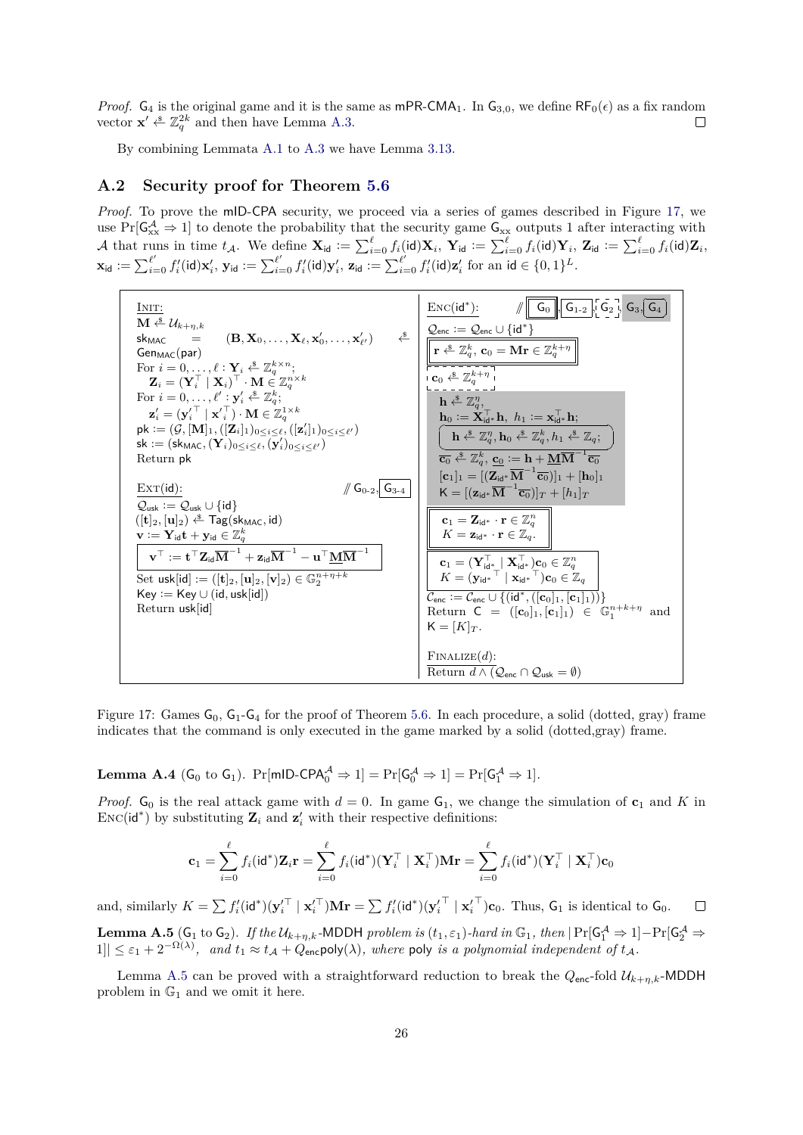*Proof.*  $G_4$  is the original game and it is the same as mPR-CMA<sub>1</sub>. In  $G_{3,0}$ , we define  $RF_0(\epsilon)$  as a fix random vector  $\mathbf{x}' \overset{\ast}{\leftarrow} \mathbb{Z}_q^{2k}$  and then have Lemma [A.3.](#page-24-2)  $\Box$ 

By combining Lemmata [A.1](#page-23-14) to [A.3](#page-24-2) we have Lemma [3.13.](#page-12-3)

#### <span id="page-25-0"></span>**A.2 Security proof for Theorem [5.6](#page-16-1)**

*Proof.* To prove the mID-CPA security, we proceed via a series of games described in Figure [17,](#page-25-1) we use  $Pr[G_{xx}^{\mathcal{A}} \Rightarrow 1]$  to denote the probability that the security game  $G_{xx}$  outputs 1 after interacting with A that runs in time  $t_{\mathcal{A}}$ . We define  $\mathbf{X}_{\mathsf{id}} := \sum_{i=0}^{\ell} f_i(\mathsf{id}) \mathbf{X}_i$ ,  $\mathbf{Y}_{\mathsf{id}} := \sum_{i=0}^{\ell} f_i(\mathsf{id}) \mathbf{Y}_i$ ,  $\mathbf{Z}_{\mathsf{id}} := \sum_{i=0}^{\ell} f_i(\mathsf{id}) \mathbf{Z}_i$ ,  $\mathbf{x}_{\mathsf{id}} \vcentcolon= \sum_{i=0}^{\ell'} f_i'(\mathsf{id}) \mathbf{x}'_i, \ \mathbf{y}_{\mathsf{id}} \vcentcolon= \sum_{i=0}^{\ell'} f_i'(\mathsf{id}) \mathbf{y}'_i, \ \mathbf{z}_{\mathsf{id}} \vcentcolon= \sum_{i=0}^{\ell'} f_i'(\mathsf{id}) \mathbf{z}'_i \ \text{for an $\mathsf{id} \in \{0,1\}^L$.}$ 



<span id="page-25-1"></span>Figure 17: Games  $G_0$ ,  $G_1-G_4$  for the proof of Theorem [5.6.](#page-16-1) In each procedure, a solid (dotted, gray) frame indicates that the command is only executed in the game marked by a solid (dotted,gray) frame.

<span id="page-25-3"></span>**Lemma A.4** ( $G_0$  to  $G_1$ ). Pr[mID-CPA $_0^{\mathcal{A}} \Rightarrow 1$ ] = Pr[ $G_0^{\mathcal{A}} \Rightarrow 1$ ] = Pr[ $G_1^{\mathcal{A}} \Rightarrow 1$ ].

*Proof.*  $G_0$  is the real attack game with  $d = 0$ . In game  $G_1$ , we change the simulation of  $c_1$  and K in ENC( $id^*$ ) by substituting  $\mathbf{Z}_i$  and  $\mathbf{z}'_i$  with their respective definitions:

$$
\mathbf{c}_1 = \sum_{i=0}^{\ell} f_i(\mathsf{id}^*) \mathbf{Z}_i \mathbf{r} = \sum_{i=0}^{\ell} f_i(\mathsf{id}^*) (\mathbf{Y}_i^{\top} \mid \mathbf{X}_i^{\top}) \mathbf{M} \mathbf{r} = \sum_{i=0}^{\ell} f_i(\mathsf{id}^*) (\mathbf{Y}_i^{\top} \mid \mathbf{X}_i^{\top}) \mathbf{c}_0
$$

and, similarly  $K = \sum f_i'(\mathsf{id}^*)(\mathbf{y}_i'^\top \mid \mathbf{x}_i'^\top) \mathbf{M} \mathbf{r} = \sum f_i'(\mathsf{id}^*)(\mathbf{y}_i'^\top \mid \mathbf{x}_i'^\top) \mathbf{c}_0$ . Thus,  $\mathsf{G}_1$  is identical to  $\mathsf{G}_0$ .  $\Box$ 

<span id="page-25-2"></span>**Lemma A.5** ( $G_1$  to  $G_2$ ). *If the*  $U_{k+\eta,k}$ -MDDH *problem is* ( $t_1, \varepsilon_1$ )-hard in  $G_1$ , then  $|Pr[G_1^{\mathcal{A}} \Rightarrow 1] - Pr[G_2^{\mathcal{A}} \Rightarrow$  $|1| \leq \varepsilon_1 + 2^{-\Omega(\lambda)}$ , and  $t_1 \approx t_A + Q_{\text{enc}}$ poly( $\lambda$ ), where poly *is a polynomial independent of*  $t_A$ .

Lemma [A.5](#page-25-2) can be proved with a straightforward reduction to break the  $Q_{\text{enc}}$ -fold  $\mathcal{U}_{k+\eta,k}$ -MDDH problem in  $\mathbb{G}_1$  and we omit it here.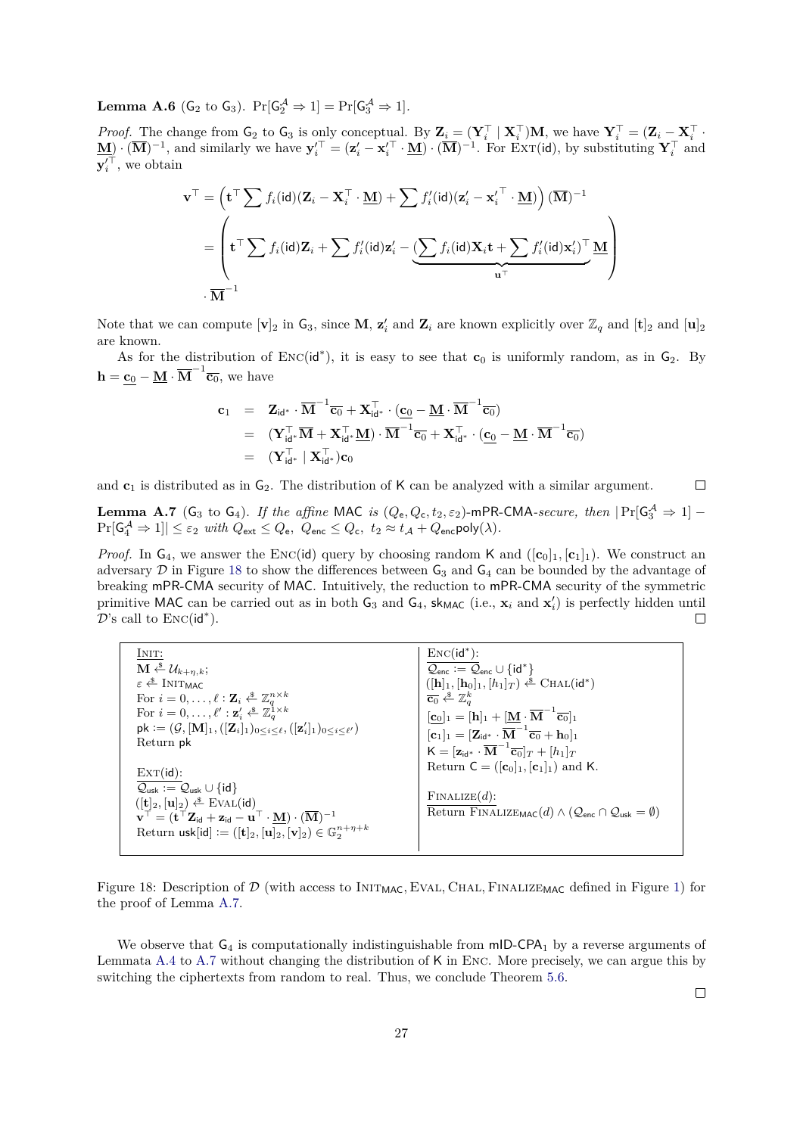**Lemma A.6** ( $G_2$  to  $G_3$ ).  $Pr[G_2^{\mathcal{A}} \Rightarrow 1] = Pr[G_3^{\mathcal{A}} \Rightarrow 1]$ .

*Proof.* The change from  $G_2$  to  $G_3$  is only conceptual. By  $\mathbf{Z}_i = (\mathbf{Y}_i^\top \mid \mathbf{X}_i^\top) \mathbf{M}$ , we have  $\mathbf{Y}_i^\top = (\mathbf{Z}_i - \mathbf{X}_i^\top \cdot \mathbf{M})$  $\underline{\mathbf{M}}$ )  $\cdot (\overline{\mathbf{M}})^{-1}$ , and similarly we have  $\mathbf{y}_i^{\prime \top} = (\mathbf{z}_i^{\prime} - \mathbf{x}_i^{\prime \top} \cdot \underline{\mathbf{M}}) \cdot (\overline{\mathbf{M}})^{-1}$ . For EXT(id), by substituting  $\mathbf{Y}_i^{\top}$  and  $\mathbf{y}'_i^{\top}$ , we obtain

$$
\mathbf{v}^{\top} = \left( \mathbf{t}^{\top} \sum f_i(\mathrm{id}) (\mathbf{Z}_i - \mathbf{X}_i^{\top} \cdot \underline{\mathbf{M}}) + \sum f'_i(\mathrm{id}) (\mathbf{z}'_i - {\mathbf{x}'_i}^{\top} \cdot \underline{\mathbf{M}}) \right) (\overline{\mathbf{M}})^{-1}
$$

$$
= \left( \mathbf{t}^{\top} \sum f_i(\mathrm{id}) \mathbf{Z}_i + \sum f'_i(\mathrm{id}) \mathbf{z}'_i - \underbrace{(\sum f_i(\mathrm{id}) \mathbf{X}_i \mathbf{t} + \sum f'_i(\mathrm{id}) \mathbf{x}'_i)^{\top} \underline{\mathbf{M}}}_{\mathbf{u}^{\top}} \right)
$$

$$
\cdot \overline{\mathbf{M}}^{-1}
$$

Note that we can compute  $[\mathbf{v}]_2$  in  $\mathbf{G}_3$ , since **M**,  $\mathbf{z}'_i$  and  $\mathbf{Z}_i$  are known explicitly over  $\mathbb{Z}_q$  and  $[\mathbf{t}]_2$  and  $[\mathbf{u}]_2$ are known.

As for the distribution of  $Enc(id^*)$ , it is easy to see that  $c_0$  is uniformly random, as in  $G_2$ . By  $h = c_0 - \underline{M} \cdot \overline{M}^{-1} \overline{c_0}$ , we have

$$
\begin{array}{lcl} \mathbf{c}_1 & = & \mathbf{Z}_{\mathsf{id}^*} \cdot \overline{\mathbf{M}}^{-1} \overline{\mathbf{c}_0} + \mathbf{X}_{\mathsf{id}^*}^\top \cdot (\underline{\mathbf{c}_0} - \underline{\mathbf{M}} \cdot \overline{\mathbf{M}}^{-1} \overline{\mathbf{c}_0}) \\ & = & \big( \mathbf{Y}_{\mathsf{id}^*}^\top \overline{\mathbf{M}} + \mathbf{X}_{\mathsf{id}^*}^\top \underline{\mathbf{M}} \big) \cdot \overline{\mathbf{M}}^{-1} \overline{\mathbf{c}_0} + \mathbf{X}_{\mathsf{id}^*}^\top \cdot (\underline{\mathbf{c}_0} - \underline{\mathbf{M}} \cdot \overline{\mathbf{M}}^{-1} \overline{\mathbf{c}_0} \big) \\ & = & \big( \mathbf{Y}_{\mathsf{id}^*}^\top \mid \mathbf{X}_{\mathsf{id}^*}^\top \big) \mathbf{c}_0 \end{array}
$$

and  $c_1$  is distributed as in  $G_2$ . The distribution of K can be analyzed with a similar argument.  $\Box$ 

<span id="page-26-1"></span>**Lemma A.7** ( $G_3$  to  $G_4$ ). *If the affine* MAC *is* ( $Q_e, Q_c, t_2, \epsilon_2$ )-mPR-CMA-secure, then  $|Pr[G_3^{\mathcal{A}} \Rightarrow 1]$  –  $\Pr[\mathsf{G}_4^{\mathcal{A}} \Rightarrow 1] \leq \varepsilon_2 \text{ with } Q_{\mathsf{ext}} \leq Q_{\mathsf{e}}, \ Q_{\mathsf{enc}} \leq Q_{\mathsf{c}}, \ t_2 \approx t_{\mathcal{A}} + Q_{\mathsf{enc}} \mathsf{poly}(\lambda).$ 

*Proof.* In  $G_4$ , we answer the ENC(id) query by choosing random K and  $([c_0]_1, [c_1]_1)$ . We construct an adversary  $\mathcal D$  in Figure [18](#page-26-0) to show the differences between  $\mathsf G_3$  and  $\mathsf G_4$  can be bounded by the advantage of breaking mPR-CMA security of MAC. Intuitively, the reduction to mPR-CMA security of the symmetric primitive MAC can be carried out as in both  $G_3$  and  $G_4$ ,  $sk_{MAC}$  (i.e.,  $\mathbf{x}_i$  and  $\mathbf{x}'_i$ ) is perfectly hidden until  $\mathcal{D}$ 's call to ENC(id<sup>\*</sup>).  $\Box$ 

| INIT:                                                                                                                                                                               | $\text{Enc}(\text{id}^*)$ :                                                                                                    |
|-------------------------------------------------------------------------------------------------------------------------------------------------------------------------------------|--------------------------------------------------------------------------------------------------------------------------------|
| $\mathbf{M} \stackrel{\$}{\leftarrow} \mathcal{U}_{k+\eta,k};$                                                                                                                      | $\overline{\mathcal{Q}_{\mathsf{enc}}} := \overline{\mathcal{Q}}_{\mathsf{enc}} \cup \{\mathsf{id}^*\}$                        |
| $\varepsilon \stackrel{\$}{\leftarrow}$ INIT <sub>MAC</sub>                                                                                                                         | $([{\bf h}]_1, [{\bf h}_0]_1, [h_1]_T) \stackrel{\hspace{0.1em}\mathsf{\scriptscriptstyle\$}}{\leftarrow}$ CHAL $({\sf id}^*)$ |
| For $i = 0, \ldots, \ell : \mathbf{Z}_i \stackrel{\$}{\leftarrow} \mathbb{Z}_q^{n \times k}$                                                                                        | $\overline{\mathbf{c}_0} \overset{\hspace{0.1em}\mathsf{\scriptscriptstyle\$}}{\leftarrow} \mathbb{Z}_a^k$                     |
| For $i = 0, \ldots, \ell' : \mathbf{z}'_i \stackrel{\$}{\leftarrow} \mathbb{Z}_a^{1 \times k}$                                                                                      | $[\mathbf{c}_0]_1 = [\mathbf{h}]_1 + [\underline{\mathbf{M}} \cdot \overline{\mathbf{M}}^{-1} \overline{\mathbf{c}_0}]_1$      |
| $pk := (\mathcal{G}, [\mathbf{M}]_1, ([\mathbf{Z}_i]_1)_{0 \le i \le \ell}, ([\mathbf{z}'_i]_1)_{0 \le i \le \ell'})$                                                               | $[\mathbf{c}_1]_1 = [\mathbf{Z}_{\mathsf{id}^*} \cdot \overline{\mathbf{M}}^{-1} \overline{\mathbf{c}_0} + \mathbf{h}_0]_1$    |
| Return pk                                                                                                                                                                           | $\mathsf{K} = [\mathbf{z}_{\mathsf{id}^*} \cdot \overline{\mathbf{M}}^{-1} \overline{\mathbf{c}_0}]_T + [h_1]_T$               |
|                                                                                                                                                                                     | Return $C = ([c0]1, [c1]1)$ and K.                                                                                             |
| $\operatorname{EXT}(\operatorname{\sf id})$ :                                                                                                                                       |                                                                                                                                |
| $\mathcal{Q}_{\mathsf{usk}} := \mathcal{Q}_{\mathsf{usk}} \cup \{\mathsf{id}\}\$                                                                                                    | $\text{FINALIZE}(d)$ :                                                                                                         |
| $([t]_2, [u]_2) \stackrel{\$}{\leftarrow}$ EVAL(id)                                                                                                                                 | Return FINALIZE <sub>MAC</sub> $(d) \wedge (Q_{\text{enc}} \cap Q_{\text{usk}} = \emptyset)$                                   |
| $\mathbf{v}^{\top} = (\mathbf{t}^{\top} \mathbf{Z}_{\mathsf{id}} + \mathbf{z}_{\mathsf{id}} - \mathbf{u}^{\top} \cdot \mathbf{M}) \cdot (\overline{\mathbf{M}})^{-1}$               |                                                                                                                                |
| Return usk[id] $:=(\begin{bmatrix} \mathbf{t} \end{bmatrix}_2, \begin{bmatrix} \mathbf{u} \end{bmatrix}_2, \begin{bmatrix} \mathbf{v} \end{bmatrix}_2) \in \mathbb{G}_2^{n+\eta+k}$ |                                                                                                                                |
|                                                                                                                                                                                     |                                                                                                                                |

<span id="page-26-0"></span>Figure 18: Description of D (with access to INIT<sub>MAC</sub>, EVAL, CHAL, FINALIZE<sub>MAC</sub> defined in Figure [1\)](#page-6-1) for the proof of Lemma [A.7.](#page-26-1)

We observe that  $G_4$  is computationally indistinguishable from  $mID-CPA_1$  by a reverse arguments of Lemmata [A.4](#page-25-3) to [A.7](#page-26-1) without changing the distribution of K in Enc. More precisely, we can argue this by switching the ciphertexts from random to real. Thus, we conclude Theorem [5.6.](#page-16-1)

 $\Box$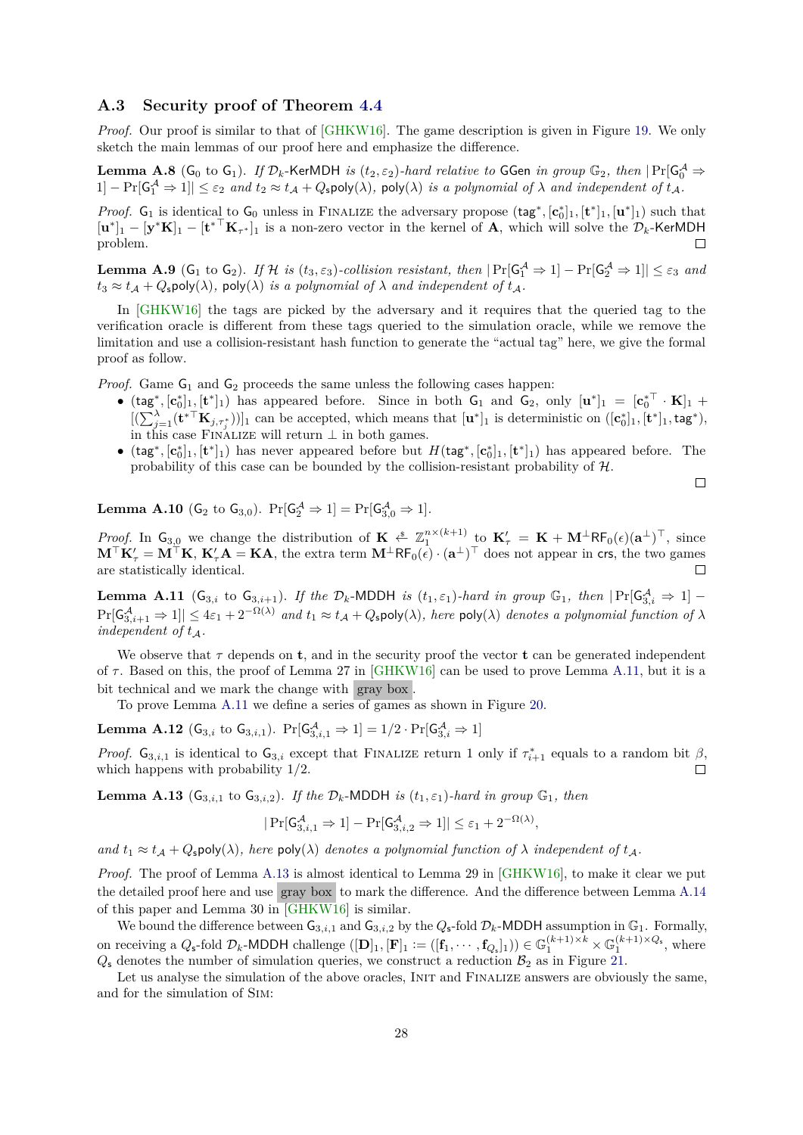#### <span id="page-27-1"></span><span id="page-27-0"></span>**A.3 Security proof of Theorem [4.4](#page-13-4)**

*Proof.* Our proof is similar to that of [\[GHKW16\]](#page-22-2). The game description is given in Figure [19.](#page-28-0) We only sketch the main lemmas of our proof here and emphasize the difference.

**Lemma A.8** ( $G_0$  to  $G_1$ ). *If*  $\mathcal{D}_k$ -KerMDH *is* ( $t_2, \varepsilon_2$ )*-hard relative to* GGen *in group*  $G_2$ , *then*  $|Pr[G_0^{\mathcal{A}} \Rightarrow$  $|1| - \Pr[\mathsf{G}_1^{\mathcal{A}} \Rightarrow 1]| \leq \varepsilon_2$  and  $t_2 \approx t_{\mathcal{A}} + Q_s$ poly $(\lambda)$ , poly $(\lambda)$  is a polynomial of  $\lambda$  and independent of  $t_{\mathcal{A}}$ .

*Proof.*  $G_1$  is identical to  $G_0$  unless in FINALIZE the adversary propose  $(\text{tag}^*, [\mathbf{c}_0^*]_1, [\mathbf{t}^*]_1, [\mathbf{u}^*]_1)$  such that  $[\mathbf{u}^*]_1 - [\mathbf{y}^* \mathbf{K}]_1 - [\mathbf{t}^* \mathbf{K}_{\tau^*}]_1$  is a non-zero vector in the kernel of **A**, which will solve the  $\mathcal{D}_k$ -KerMDH problem.  $\Box$ 

**Lemma A.9** ( $G_1$  to  $G_2$ ). If H is  $(t_3, \varepsilon_3)$ -collision resistant, then  $|\Pr[G_1^{\mathcal{A}} \Rightarrow 1] - \Pr[G_2^{\mathcal{A}} \Rightarrow 1]| \leq \varepsilon_3$  and  $t_3 \approx t_A + Q_s$ poly( $\lambda$ )*,* poly( $\lambda$ ) *is a polynomial of*  $\lambda$  *and independent of*  $t_A$ *.* 

In [\[GHKW16\]](#page-22-2) the tags are picked by the adversary and it requires that the queried tag to the verification oracle is different from these tags queried to the simulation oracle, while we remove the limitation and use a collision-resistant hash function to generate the "actual tag" here, we give the formal proof as follow.

*Proof.* Game  $G_1$  and  $G_2$  proceeds the same unless the following cases happen:

- $(\text{tag}^*, [\mathbf{c}_0^*]_1, [\mathbf{t}^*]_1)$  has appeared before. Since in both  $G_1$  and  $G_2$ , only  $[\mathbf{u}^*]_1 = [\mathbf{c}_0^*$ <sup>T</sup> ·  $\mathbf{K}]_1$  +  $[(\sum_{j=1}^{\lambda} (\mathbf{t}^*)^{\mathsf{T}} \mathbf{K}_{j,\tau_j^*})]_1$  can be accepted, which means that  $[\mathbf{u}^*]_1$  is deterministic on  $([\mathbf{c}_0^*]_1, [\mathbf{t}^*]_1, \mathsf{tag}^*),$ in this case FINALIZE will return  $\perp$  in both games.
- (tag<sup>\*</sup>,  $[\mathbf{c}_0^*]_1$ ,  $[\mathbf{t}^*]_1$ ) has never appeared before but  $H(\mathsf{tag}^*, [\mathbf{c}_0^*]_1, [\mathbf{t}^*]_1)$  has appeared before. The probability of this case can be bounded by the collision-resistant probability of H.

 $\Box$ 

**Lemma A.10** (G<sub>2</sub> to G<sub>3,0</sub>). 
$$
\Pr[G_2^{\mathcal{A}} \Rightarrow 1] = \Pr[G_{3,0}^{\mathcal{A}} \Rightarrow 1].
$$

*Proof.* In  $G_{3,0}$  we change the distribution of  $\mathbf{K} \stackrel{\ast}{\leftarrow} \mathbb{Z}_1^{n \times (k+1)}$  to  $\mathbf{K}'_{\tau} = \mathbf{K} + \mathbf{M}^{\perp} \mathsf{RF}_0(\epsilon)(\mathbf{a}^{\perp})^{\top}$ , since  $M^{\top}K'_{\tau} = M^{\top}K$ ,  $K'_{\tau}A = KA$ , the extra term  $M^{\perp}RF_0(\epsilon) \cdot (a^{\perp})^{\top}$  does not appear in crs, the two games are statistically identical.  $\Box$ 

<span id="page-27-2"></span>**Lemma A.11** ( $G_{3,i}$  to  $G_{3,i+1}$ ). If the  $D_k$ -MDDH is  $(t_1, \varepsilon_1)$ -hard in group  $G_1$ , then  $|Pr[G_{3,i}^{\mathcal{A}} \Rightarrow 1]$  –  $\Pr[\mathsf{G}^{\mathcal{A}}_{3,i+1} \Rightarrow 1] \leq 4\varepsilon_1 + 2^{-\Omega(\lambda)}$  and  $t_1 \approx t_{\mathcal{A}} + Q_{\mathsf{s}}$ poly $(\lambda)$ , here poly $(\lambda)$  denotes a polynomial function of  $\lambda$ *independent of*  $t_A$ .

We observe that  $\tau$  depends on **t**, and in the security proof the vector **t** can be generated independent of *τ* . Based on this, the proof of Lemma 27 in [\[GHKW16\]](#page-22-2) can be used to prove Lemma [A.11,](#page-27-2) but it is a bit technical and we mark the change with gray box .

To prove Lemma [A.11](#page-27-2) we define a series of games as shown in Figure [20.](#page-29-0)

<span id="page-27-4"></span>**Lemma A.12** ( $G_{3,i}$  to  $G_{3,i,1}$ ).  $Pr[G_{3,i,1}^{\mathcal{A}} \Rightarrow 1] = 1/2 \cdot Pr[G_{3,i}^{\mathcal{A}} \Rightarrow 1]$ 

*Proof.*  $G_{3,i,1}$  is identical to  $G_{3,i}$  except that FINALIZE return 1 only if  $\tau_{i+1}^*$  equals to a random bit  $\beta$ , which happens with probability 1*/*2.

<span id="page-27-3"></span>**Lemma A.13** ( $G_{3,i,1}$  to  $G_{3,i,2}$ ). *If the*  $\mathcal{D}_k$ -MDDH *is* ( $t_1, \varepsilon_1$ )*-hard in group*  $\mathbb{G}_1$ *, then* 

$$
|\Pr[\mathsf{G}^{\mathcal{A}}_{3,i,1} \Rightarrow 1] - \Pr[\mathsf{G}^{\mathcal{A}}_{3,i,2} \Rightarrow 1]| \leq \varepsilon_1 + 2^{-\Omega(\lambda)},
$$

*and*  $t_1 \approx t_A + Q_s$  **poly** $(\lambda)$ *, here* **poly** $(\lambda)$  *denotes a polynomial function of*  $\lambda$  *independent of*  $t_A$ *.* 

*Proof.* The proof of Lemma [A.13](#page-27-3) is almost identical to Lemma 29 in [\[GHKW16\]](#page-22-2), to make it clear we put the detailed proof here and use gray box to mark the difference. And the difference between Lemma [A.14](#page-28-1) of this paper and Lemma 30 in [\[GHKW16\]](#page-22-2) is similar.

We bound the difference between  $G_{3,i,1}$  and  $G_{3,i,2}$  by the  $Q_{s}$ -fold  $\mathcal{D}_{k}$ -MDDH assumption in  $\mathbb{G}_{1}$ . Formally, on receiving a  $Q_s$ -fold  $\mathcal{D}_k$ -MDDH challenge  $([\mathbf{D}]_1, [\mathbf{F}]_1 := ([\mathbf{f}_1, \cdots, \mathbf{f}_{Q_s}]_1) \in \mathbb{G}_1^{(k+1)\times k} \times \mathbb{G}_1^{(k+1)\times Q_s}$ , where  $Q_s$  denotes the number of simulation queries, we construct a reduction  $B_2$  as in Figure [21.](#page-30-0)

Let us analyse the simulation of the above oracles, INIT and FINALIZE answers are obviously the same, and for the simulation of Sim: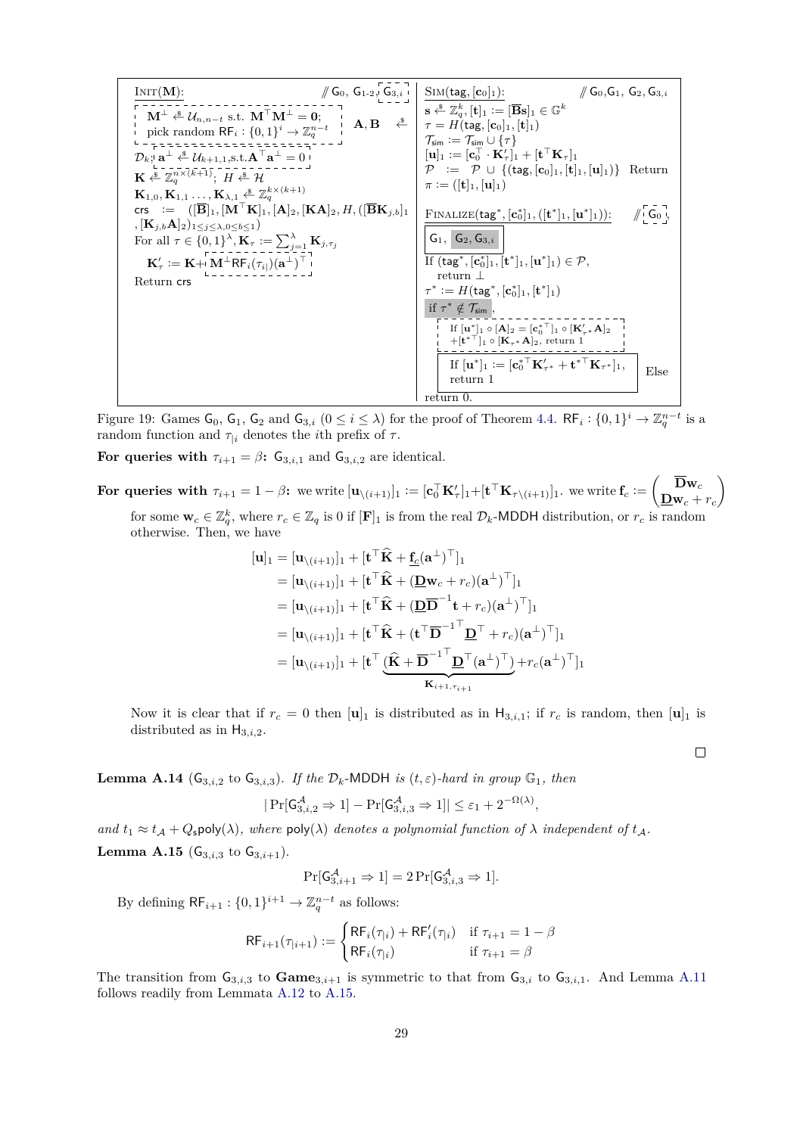

<span id="page-28-0"></span>Figure 19: Games  $\mathsf{G}_0, \mathsf{G}_1, \mathsf{G}_2$  and  $\mathsf{G}_{3,i}$   $(0 \leq i \leq \lambda)$  for the proof of Theorem [4.4.](#page-13-4)  $\mathsf{RF}_i : \{0,1\}^i \to \mathbb{Z}_q^{n-t}$  is a random function and  $\tau_{|i}$  denotes the *i*th prefix of  $\tau$ .

For queries with  $\tau_{i+1} = \beta$ :  $G_{3,i,1}$  and  $G_{3,i,2}$  are identical.

For queries with  $\tau_{i+1} = 1 - \beta$ : we write  $[\mathbf{u}_{\setminus (i+1)}]_1 := [\mathbf{c}_0^\top \mathbf{K}_{\tau}']_1 + [\mathbf{t}^\top \mathbf{K}_{\tau \setminus (i+1)}]_1$ . we write  $\mathbf{f}_c := \begin{pmatrix} \overline{\mathbf{D}} \mathbf{w}_c \\ \mathbf{D} \mathbf{w}_c \end{pmatrix}$  $\mathbf{Dw}_c + r_c$  $\setminus$ 

for some  $\mathbf{w}_c \in \mathbb{Z}_q^k$ , where  $r_c \in \mathbb{Z}_q$  is 0 if  $[\mathbf{F}]_1$  is from the real  $\mathcal{D}_k$ -MDDH distribution, or  $r_c$  is random otherwise. Then, we have

$$
\begin{aligned}\n[\mathbf{u}]_1 &= [\mathbf{u}_{\setminus (i+1)}]_1 + [\mathbf{t}^\top \hat{\mathbf{K}} + \underline{\mathbf{f}}_c (\mathbf{a}^\perp)^\top]_1 \\
&= [\mathbf{u}_{\setminus (i+1)}]_1 + [\mathbf{t}^\top \hat{\mathbf{K}} + (\underline{\mathbf{D}} \mathbf{w}_c + r_c)(\mathbf{a}^\perp)^\top]_1 \\
&= [\mathbf{u}_{\setminus (i+1)}]_1 + [\mathbf{t}^\top \hat{\mathbf{K}} + (\underline{\mathbf{D}} \overline{\mathbf{D}}^{-1} \mathbf{t} + r_c)(\mathbf{a}^\perp)^\top]_1 \\
&= [\mathbf{u}_{\setminus (i+1)}]_1 + [\mathbf{t}^\top \hat{\mathbf{K}} + (\mathbf{t}^\top \overline{\mathbf{D}}^{-1^\top} \underline{\mathbf{D}}^\top + r_c)(\mathbf{a}^\perp)^\top]_1 \\
&= [\mathbf{u}_{\setminus (i+1)}]_1 + [\mathbf{t}^\top (\underline{\hat{\mathbf{K}} + \overline{\mathbf{D}}^{-1^\top} \underline{\mathbf{D}}^\top (\mathbf{a}^\perp)^\top) + r_c (\mathbf{a}^\perp)^\top]_1\n\end{aligned}
$$

Now it is clear that if  $r_c = 0$  then  $[\mathbf{u}]_1$  is distributed as in  $H_{3,i,1}$ ; if  $r_c$  is random, then  $[\mathbf{u}]_1$  is distributed as in  $H_{3,i,2}$ .

<span id="page-28-1"></span>**Lemma A.14** ( $G_{3,i,2}$  to  $G_{3,i,3}$ ). *If the*  $\mathcal{D}_k$ -MDDH *is* ( $t, \varepsilon$ )*-hard in group*  $\mathbb{G}_1$ *, then* 

$$
|\Pr[\mathsf{G}^{\mathcal{A}}_{3,i,2} \Rightarrow 1] - \Pr[\mathsf{G}^{\mathcal{A}}_{3,i,3} \Rightarrow 1]| \leq \varepsilon_1 + 2^{-\Omega(\lambda)},
$$

<span id="page-28-2"></span>*and*  $t_1 \approx t_A + Q_s$ poly( $\lambda$ )*, where* poly( $\lambda$ ) *denotes a polynomial function of*  $\lambda$  *independent of*  $t_A$ *.* **Lemma A.15** ( $G_{3,i,3}$  to  $G_{3,i+1}$ ).

$$
\Pr[\mathsf{G}^{\mathcal{A}}_{3,i+1} \Rightarrow 1] = 2 \Pr[\mathsf{G}^{\mathcal{A}}_{3,i,3} \Rightarrow 1].
$$

By defining  $\mathsf{RF}_{i+1}: \{0,1\}^{i+1} \to \mathbb{Z}_q^{n-t}$  as follows:

$$
\mathsf{RF}_{i+1}(\tau_{|i+1}) := \begin{cases} \mathsf{RF}_{i}(\tau_{|i}) + \mathsf{RF}'_{i}(\tau_{|i}) & \text{if } \tau_{i+1} = 1 - \beta \\ \mathsf{RF}_{i}(\tau_{|i}) & \text{if } \tau_{i+1} = \beta \end{cases}
$$

The transition from  $G_{3,i,3}$  to  $Game_{3,i+1}$  is symmetric to that from  $G_{3,i}$  to  $G_{3,i,1}$ . And Lemma [A.11](#page-27-2) follows readily from Lemmata [A.12](#page-27-4) to [A.15.](#page-28-2)

 $\Box$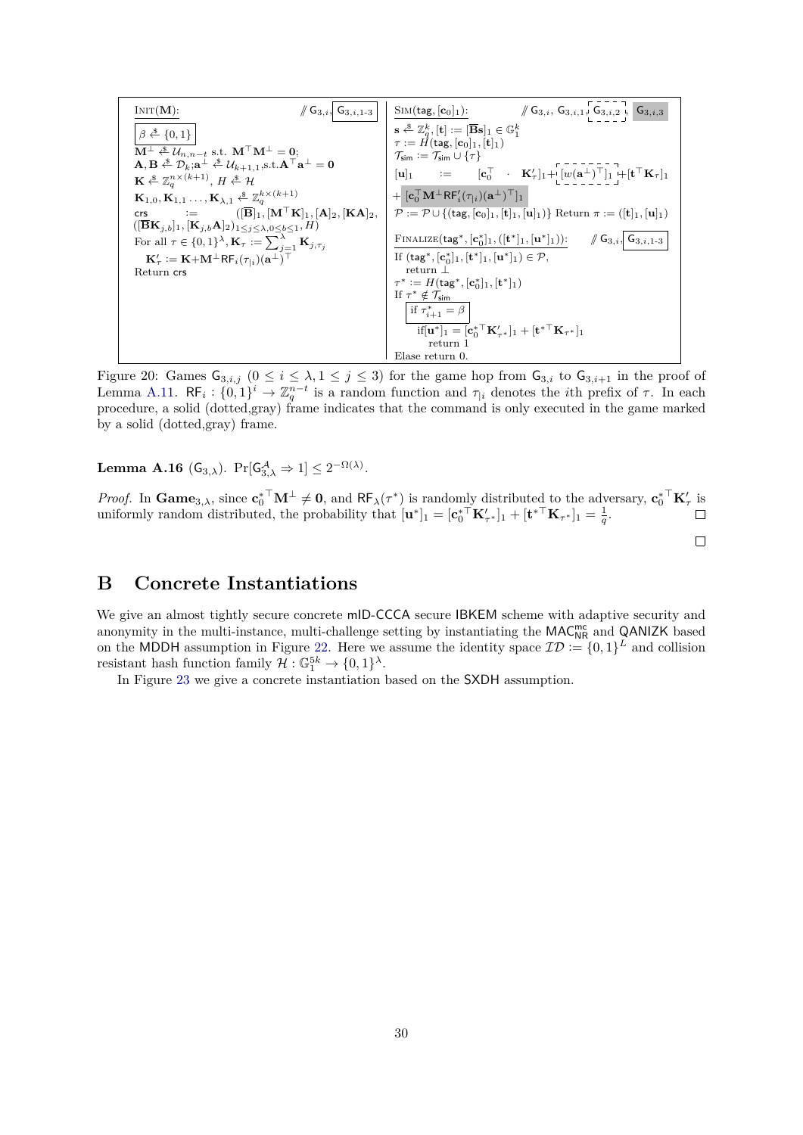

<span id="page-29-0"></span>Figure 20: Games  $G_{3,i,j}$   $(0 \le i \le \lambda, 1 \le j \le 3)$  for the game hop from  $G_{3,i}$  to  $G_{3,i+1}$  in the proof of Lemma [A.11.](#page-27-2)  $\mathsf{RF}_i: \{0,1\}^i \to \mathbb{Z}_q^{n-t}$  is a random function and  $\tau_{|i}$  denotes the *i*th prefix of  $\tau$ . In each procedure, a solid (dotted,gray) frame indicates that the command is only executed in the game marked by a solid (dotted,gray) frame.

**Lemma A.16** ( $G_{3,\lambda}$ ). Pr[ $G_{3,\lambda}^{\mathcal{A}} \Rightarrow 1$ ]  $\leq 2^{-\Omega(\lambda)}$ .

*Proof.* In  $\textbf{Game}_{3,\lambda}$ , since  $\mathbf{c}_0^*$ <sup> $\top$ </sup> $\mathbf{M}^{\perp} \neq \mathbf{0}$ , and  $\textbf{RF}_{\lambda}(\tau^*)$  is randomly distributed to the adversary,  $\mathbf{c}_0^*$  $\top$  $\mathbf{K}'_{\tau}$  is uniformly random distributed, the probability that  $[\mathbf{u}^*]_1 = [\mathbf{c}_0^* \mathbf{K}_{\tau^*}]_1 + [\mathbf{t}^* \mathbf{K}_{\tau^*}]_1 = \frac{1}{q}$ .  $\Box$ 

 $\Box$ 

# **B Concrete Instantiations**

We give an almost tightly secure concrete mID-CCCA secure IBKEM scheme with adaptive security and anonymity in the multi-instance, multi-challenge setting by instantiating the  $\text{MAC}_{\text{NR}}^{\text{mc}}$  and  $\text{QANIZK}$  based on the MDDH assumption in Figure [22.](#page-30-1) Here we assume the identity space  $\mathcal{ID} := \{0,1\}^L$  and collision resistant hash function family  $\mathcal{H}: \mathbb{G}_1^{5k} \to \{0,1\}^{\lambda}$ .

In Figure [23](#page-31-0) we give a concrete instantiation based on the SXDH assumption.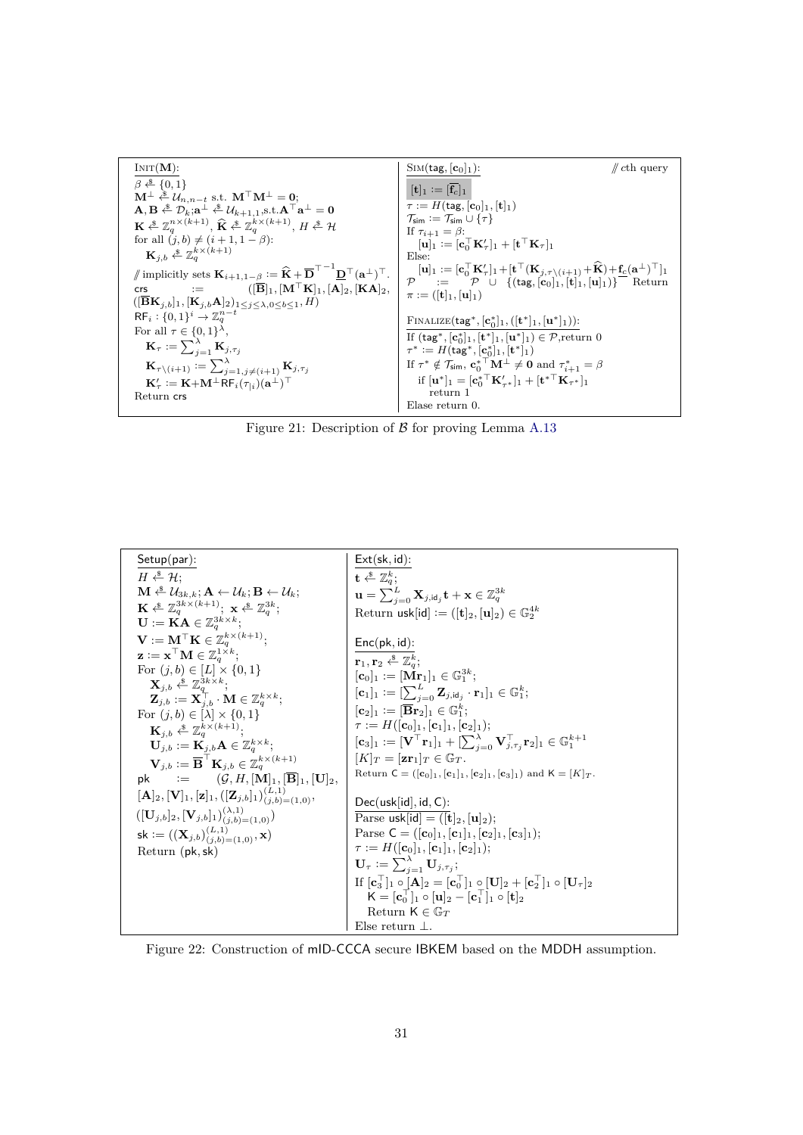| INT(M):                                                                                                                                                                                                                                                                                                                     | $Sim(tag,  \mathbf{c}_0 _1)$ :<br>$\#$ cth query                                                                                                                                            |
|-----------------------------------------------------------------------------------------------------------------------------------------------------------------------------------------------------------------------------------------------------------------------------------------------------------------------------|---------------------------------------------------------------------------------------------------------------------------------------------------------------------------------------------|
| $\beta \stackrel{\$}{\leftarrow} \{0,1\}$                                                                                                                                                                                                                                                                                   | $[\mathbf{t}]_1 := [\mathbf{f}_c]_1$                                                                                                                                                        |
| $\mathbf{M}^{\perp} \overset{\$}{\leftarrow} \mathcal{U}_{n,n-t}$ s.t. $\mathbf{M}^{\top} \mathbf{M}^{\perp} = \mathbf{0}$ ;<br>$\mathbf{A}, \mathbf{B} \stackrel{\$}{\leftarrow} \mathcal{D}_k; \mathbf{a}^\perp \stackrel{\$}{\leftarrow} \mathcal{U}_{k+1,1}, \text{s.t.} \mathbf{A}^\top \mathbf{a}^\perp = \mathbf{0}$ | $\tau := H(\mathsf{tag}, [\mathbf{c}_0]_1, [\mathbf{t}]_1)$                                                                                                                                 |
| $\mathbf{K} \stackrel{\$}{\leftarrow} \mathbb{Z}_q^{n \times (k+1)}$ , $\widehat{\mathbf{K}} \stackrel{\$}{\leftarrow} \mathbb{Z}_q^{k \times (k+1)}$ , $H \stackrel{\$}{\leftarrow} \mathcal{H}$                                                                                                                           | $\mathcal{T}_{sim} := \mathcal{T}_{sim} \cup \{\tau\}$                                                                                                                                      |
| for all $(i, b) \neq (i + 1, 1 - \beta)$ :                                                                                                                                                                                                                                                                                  | If $\tau_{i+1} = \beta$ :                                                                                                                                                                   |
| $\mathbf{K}_{i,b} \triangleq \mathbb{Z}_a^{k \times (k+1)}$                                                                                                                                                                                                                                                                 | $[\mathbf{u}]_1 := [\mathbf{c}_0^\top \mathbf{K}_\tau']_1 + [\mathbf{t}^\top \mathbf{K}_\tau]_1$<br>Else:                                                                                   |
| $\text{m}\text{p}\text{lineality sets }\mathbf{K}_{i+1,1-\beta} := \widehat{\mathbf{K}} + \overline{\mathbf{D}}^{\top} \mathbf{D}^{\top} (\mathbf{a}^{\perp})^{\top}.$                                                                                                                                                      | $[\mathbf{u}]_1 := [\mathbf{c}_0^\top \mathbf{K}_\tau']_1 + [\mathbf{t}^\top (\mathbf{K}_{j,\tau \setminus (i+1)} + \hat{\mathbf{K}}) + \underline{\mathbf{f}}_c(\mathbf{a}^\perp)^\top]_1$ |
| $([\overline{\mathbf{B}}]_1, [\mathbf{M}^\top \mathbf{K}]_1, [\mathbf{A}]_2, [\mathbf{K} \mathbf{A}]_2,$<br>$\mathcal{L} = \mathcal{L}$<br><b>CrS</b>                                                                                                                                                                       | $\mathcal{P}$ := $\mathcal{P}$ $\cup$ {(tag, $[\mathbf{c}_0]_1$ , $[\mathbf{t}]_1$ , $[\mathbf{u}]_1$ )} Return<br>$\pi := ([{\bf t}]_1, [{\bf u}]_1)$                                      |
| $([\overline{\mathbf{B}}\mathbf{K}_{j,b}]_1, [\mathbf{K}_{j,b}\mathbf{A}]_2)_{1 \leq j \leq \lambda, 0 \leq b \leq 1}, H)$                                                                                                                                                                                                  |                                                                                                                                                                                             |
| $RF_i: \{0,1\}^i \rightarrow \mathbb{Z}_q^{n-t}$                                                                                                                                                                                                                                                                            | FINALIZE(tag*, $ {\bf c}_{0}^{*} _1$ , $( {\bf t}^* _1,  {\bf u}^* _1)$ ):                                                                                                                  |
| For all $\tau \in \{0,1\}^{\lambda}$ ,                                                                                                                                                                                                                                                                                      | If $(tag^*, [c_0^*]_1, [t^*]_1, [u^*]_1) \in \mathcal{P}$ , return 0                                                                                                                        |
| $\mathbf{K}_{\tau} \vcentcolon= \sum_{i=1}^{\lambda} \mathbf{K}_{j,\tau_i}$                                                                                                                                                                                                                                                 | $\tau^* := H(\text{tag}^*, [\mathbf{c}_0^*]_1, [\mathbf{t}^*]_1)$                                                                                                                           |
| $\mathbf{K}_{\tau \backslash (i+1)} \coloneqq \sum_{j=1, j \neq (i+1)}^{\lambda} \mathbf{K}_{j, \tau_{j}}$                                                                                                                                                                                                                  | If $\tau^* \notin \mathcal{T}_{\text{sim}}, \mathbf{c}_0^* \in M^\perp \neq \mathbf{0}$ and $\tau_{i+1}^* = \beta$                                                                          |
| $\mathbf{K}'_{\tau} \vcentcolon = \mathbf{K} + \mathbf{M}^{\perp} \mathsf{RF}_i(\tau_{ i}) (\mathbf{a}^{\perp})^{\top}$                                                                                                                                                                                                     | if $[\mathbf{u}^*]_1 = [\mathbf{c}_0^{*\top} \mathbf{K}'_{\tau^*}]_1 + [\mathbf{t}^{*\top} \mathbf{K}_{\tau^*}]_1$                                                                          |
| Return crs                                                                                                                                                                                                                                                                                                                  | return 1                                                                                                                                                                                    |
|                                                                                                                                                                                                                                                                                                                             | Elase return 0.                                                                                                                                                                             |

<span id="page-30-0"></span>Figure 21: Description of  $\mathcal B$  for proving Lemma [A.13](#page-27-3)

| Setup(par):                                                                                                                          | $Ext(sk, id)$ :                                                                                                                                         |
|--------------------------------------------------------------------------------------------------------------------------------------|---------------------------------------------------------------------------------------------------------------------------------------------------------|
| $H \xleftarrow{\$} H$ :                                                                                                              | $\mathbf{t} \stackrel{\$}{\leftarrow} \mathbb{Z}_a^k$ ;                                                                                                 |
| $\mathbf{M} \stackrel{\$}{\leftarrow} \mathcal{U}_{3k,k}; \mathbf{A} \leftarrow \mathcal{U}_k; \mathbf{B} \leftarrow \mathcal{U}_k;$ | $\mathbf{u} = \sum_{i=0}^{L} \mathbf{X}_{j, \mathsf{id}_j} \mathbf{t} + \mathbf{x} \in \mathbb{Z}_q^{3k}$                                               |
| $\mathbf{K} \xleftarrow{\$} \mathbb{Z}_{a}^{3k \times (k+1)}$ ; $\mathbf{x} \xleftarrow{\$} \mathbb{Z}_{a}^{3k}$ ;                   | Return usk[id] $:= ([\mathbf{t}]_2, [\mathbf{u}]_2) \in \mathbb{G}_2^{4k}$                                                                              |
| $\mathbf{U} \coloneqq \mathbf{K} \mathbf{A} \in \mathbb{Z}_a^{3k \times k};$                                                         |                                                                                                                                                         |
| $\mathbf{V} := \mathbf{M}^{\top} \mathbf{K} \in \mathbb{Z}_a^{k \times (k+1)}$                                                       | $Enc(pk, id)$ :                                                                                                                                         |
| $\mathbf{z} \mathrel{\mathop{:}}= \mathbf{x}^{\top} \mathbf{M} \in \mathbb{Z}_a^{1 \times k}$                                        | $\mathbf{r}_1, \mathbf{r}_2 \overset{\hspace{0.1em}\mathsf{\scriptscriptstyle\$}}{\leftarrow} \mathbb{Z}_a^k;$                                          |
| For $(j, b) \in [L] \times \{0, 1\}$                                                                                                 | $[\mathbf{c}_0]_1 := [\mathbf{Mr}_1]_1 \in \mathbb{G}_1^{3k};$                                                                                          |
| $\mathbf{X}_{i,b} \stackrel{\$}{\leftarrow} \mathbb{Z}_a^{3k \times k};$                                                             | $[\mathbf{c}_1]_1 := [\sum_{i=0}^L \mathbf{Z}_{j, \mathsf{id}_j} \cdot \mathbf{r}_1]_1 \in \mathbb{G}_1^k;$                                             |
| $\mathbf{Z}_{j,b} := \mathbf{X}_{j,b}^{\top} \cdot \mathbf{M} \in \mathbb{Z}_a^{k \times k};$                                        | $[\mathbf{c}_2]_1 := [\mathbf{Br}_2]_1 \in \mathbb{G}_1^k;$                                                                                             |
| For $(j, b) \in [\lambda] \times \{0, 1\}$<br>$\mathbf{K}_{i,b} \triangleq \mathbb{Z}_a^{k \times (k+1)}$ ;                          | $\tau := H([\mathbf{c}_0]_1, [\mathbf{c}_1]_1, [\mathbf{c}_2]_1);$                                                                                      |
| $\mathbf{U}_{j,b} \vcentcolon = \mathbf{K}_{j,b} \mathbf{A} \in \mathbb{Z}_a^{k \times k};$                                          | $\mathbf{[c_3]_1} \coloneqq [\mathbf{V}^\top \mathbf{r}_1]_1 + [\sum_{i=0}^{\lambda} \mathbf{V}_{j,\tau_i}^\top \mathbf{r}_2]_1 \in \mathbb{G}_1^{k+1}$ |
|                                                                                                                                      | $[K]_T = [\mathbf{z} \mathbf{r}_1]_T \in \mathbb{G}_T.$                                                                                                 |
| $\mathbf{V}_{i,b} := \overline{\mathbf{B}}^{\top} \mathbf{K}_{i,b} \in \mathbb{Z}_a^{k \times (k+1)}$                                | Return $C = ([c_0]_1, [c_1]_1, [c_2]_1, [c_3]_1)$ and $K = [K]_T$ .                                                                                     |
| $pk$ $:=$ $(\mathcal{G}, H, [\mathbf{M}]_1, [\mathbf{B}]_1, [\mathbf{U}]_2,$                                                         |                                                                                                                                                         |
| $[\mathbf{A}]_2, [\mathbf{V}]_1, [\mathbf{z}]_1, ([\mathbf{Z}_{j,b}]_1)_{(j,b)=(1,0)}^{(L,1)},$                                      | $Dec(usk[id], id, C)$ :                                                                                                                                 |
| $([{\bf U}_{j,b}]_2, [{\bf V}_{j,b}]_1)_{(j,b)=(1,0)}^{(\lambda,1)}$                                                                 | Parse usk[id] = $([t]_2, [u]_2)$ ;                                                                                                                      |
| sk := $((\mathbf{X}_{j,b})_{(i,b)=(1,0)}^{(L,1)}, \mathbf{x})$                                                                       | Parse $C = ([c_0]_1, [c_1]_1, [c_2]_1, [c_3]_1);$                                                                                                       |
| Return (pk, sk)                                                                                                                      | $\tau := H([\mathbf{c}_0]_1, [\mathbf{c}_1]_1, [\mathbf{c}_2]_1);$                                                                                      |
|                                                                                                                                      | $\mathbf{U}_{\tau} := \sum_{i=1}^{\lambda} \mathbf{U}_{j,\tau_i};$                                                                                      |
|                                                                                                                                      | If $[\mathbf{c}_3^\top]_1 \circ [\mathbf{A}]_2 = [\mathbf{c}_0^\top]_1 \circ [\mathbf{U}]_2 + [\mathbf{c}_2^\top]_1 \circ [\mathbf{U}_\tau]_2$          |
|                                                                                                                                      | $K = [\mathbf{c}_0^{\top}]_1 \circ [\mathbf{u}]_2 - [\mathbf{c}_1^{\top}]_1 \circ [\mathbf{t}]_2$                                                       |
|                                                                                                                                      | Return $K \in \mathbb{G}_T$                                                                                                                             |
|                                                                                                                                      | Else return $\perp$ .                                                                                                                                   |

<span id="page-30-1"></span>Figure 22: Construction of mID-CCCA secure IBKEM based on the MDDH assumption.